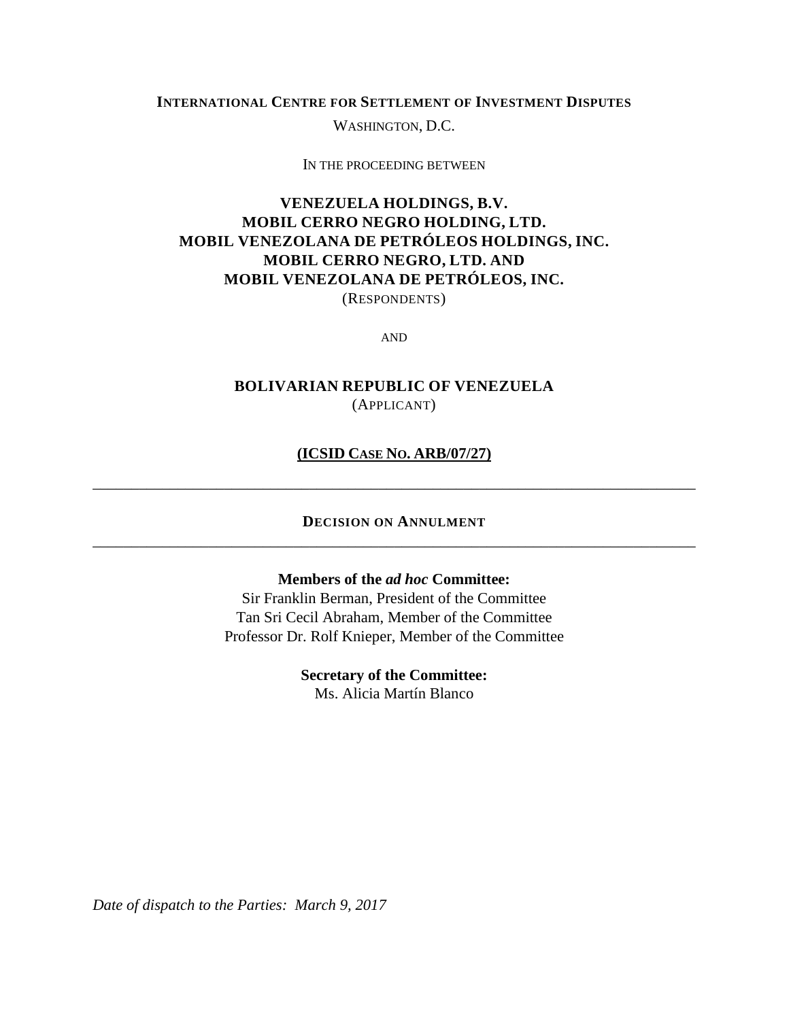## **INTERNATIONAL CENTRE FOR SETTLEMENT OF INVESTMENT DISPUTES**

WASHINGTON, D.C.

IN THE PROCEEDING BETWEEN

## **VENEZUELA HOLDINGS, B.V. MOBIL CERRO NEGRO HOLDING, LTD. MOBIL VENEZOLANA DE PETRÓLEOS HOLDINGS, INC. MOBIL CERRO NEGRO, LTD. AND MOBIL VENEZOLANA DE PETRÓLEOS, INC.** (RESPONDENTS)

AND

## **BOLIVARIAN REPUBLIC OF VENEZUELA** (APPLICANT)

## **(ICSID CASE NO. ARB/07/27)**

\_\_\_\_\_\_\_\_\_\_\_\_\_\_\_\_\_\_\_\_\_\_\_\_\_\_\_\_\_\_\_\_\_\_\_\_\_\_\_\_\_\_\_\_\_\_\_\_\_\_\_\_\_\_\_\_\_\_\_\_\_\_\_\_\_\_\_\_\_\_\_\_\_\_\_\_\_\_

## **DECISION ON ANNULMENT** \_\_\_\_\_\_\_\_\_\_\_\_\_\_\_\_\_\_\_\_\_\_\_\_\_\_\_\_\_\_\_\_\_\_\_\_\_\_\_\_\_\_\_\_\_\_\_\_\_\_\_\_\_\_\_\_\_\_\_\_\_\_\_\_\_\_\_\_\_\_\_\_\_\_\_\_\_\_

#### **Members of the** *ad hoc* **Committee:**

Sir Franklin Berman, President of the Committee Tan Sri Cecil Abraham, Member of the Committee Professor Dr. Rolf Knieper, Member of the Committee

> **Secretary of the Committee:** Ms. Alicia Martín Blanco

*Date of dispatch to the Parties: March 9, 2017*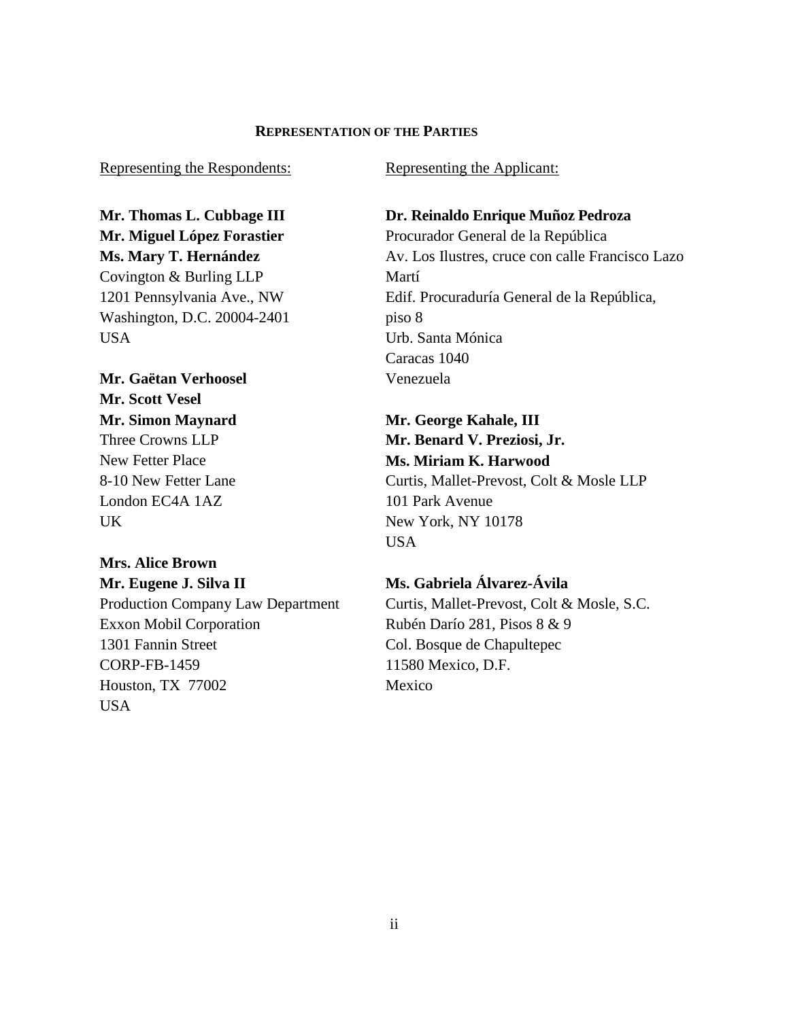## **REPRESENTATION OF THE PARTIES**

Representing the Respondents:

**Mr. Thomas L. Cubbage III Mr. Miguel López Forastier Ms. Mary T. Hernández** Covington & Burling LLP 1201 Pennsylvania Ave., NW Washington, D.C. 20004-2401 USA

**Mr. Gaëtan Verhoosel Mr. Scott Vesel Mr. Simon Maynard** Three Crowns LLP New Fetter Place 8-10 New Fetter Lane London EC4A 1AZ UK

## **Mrs. Alice Brown Mr. Eugene J. Silva II**

Production Company Law Department Exxon Mobil Corporation 1301 Fannin Street CORP-FB-1459 Houston, TX 77002 USA

Representing the Applicant:

# **Dr. Reinaldo Enrique Muñoz Pedroza** Procurador General de la República Av. Los Ilustres, cruce con calle Francisco Lazo Martí Edif. Procuraduría General de la República, piso 8 Urb. Santa Mónica Caracas 1040 Venezuela

**Mr. George Kahale, III Mr. Benard V. Preziosi, Jr. Ms. Miriam K. Harwood** Curtis, Mallet-Prevost, Colt & Mosle LLP 101 Park Avenue New York, NY 10178 USA

# **Ms. Gabriela Álvarez-Ávila**

Curtis, Mallet-Prevost, Colt & Mosle, S.C. Rubén Darío 281, Pisos 8 & 9 Col. Bosque de Chapultepec 11580 Mexico, D.F. Mexico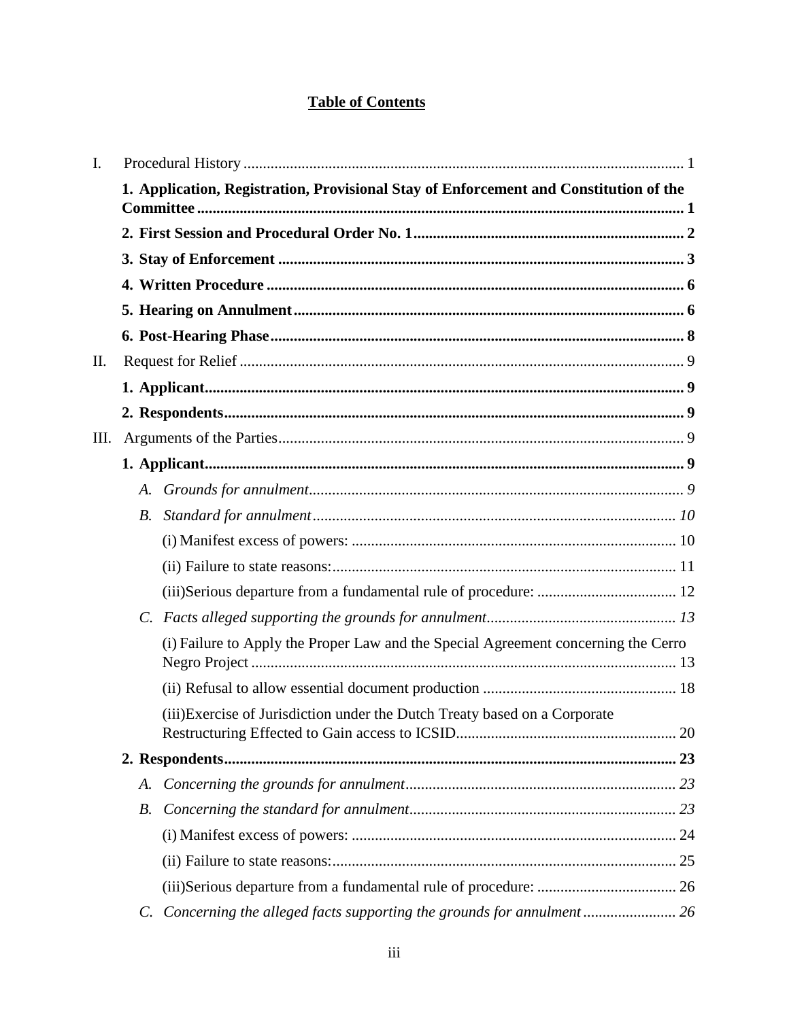# **Table of Contents**

| I. |                                                                                       |                                                                                    |  |
|----|---------------------------------------------------------------------------------------|------------------------------------------------------------------------------------|--|
|    | 1. Application, Registration, Provisional Stay of Enforcement and Constitution of the |                                                                                    |  |
|    |                                                                                       |                                                                                    |  |
|    |                                                                                       |                                                                                    |  |
|    |                                                                                       |                                                                                    |  |
|    |                                                                                       |                                                                                    |  |
|    |                                                                                       |                                                                                    |  |
| П. |                                                                                       |                                                                                    |  |
|    |                                                                                       |                                                                                    |  |
|    |                                                                                       |                                                                                    |  |
| Ш. |                                                                                       |                                                                                    |  |
|    |                                                                                       |                                                                                    |  |
|    |                                                                                       |                                                                                    |  |
|    | <i>B</i> .                                                                            |                                                                                    |  |
|    |                                                                                       |                                                                                    |  |
|    |                                                                                       |                                                                                    |  |
|    |                                                                                       |                                                                                    |  |
|    |                                                                                       |                                                                                    |  |
|    |                                                                                       | (i) Failure to Apply the Proper Law and the Special Agreement concerning the Cerro |  |
|    |                                                                                       |                                                                                    |  |
|    |                                                                                       | (iii) Exercise of Jurisdiction under the Dutch Treaty based on a Corporate         |  |
|    |                                                                                       |                                                                                    |  |
|    | A.                                                                                    |                                                                                    |  |
|    |                                                                                       |                                                                                    |  |
|    |                                                                                       |                                                                                    |  |
|    |                                                                                       |                                                                                    |  |
|    |                                                                                       |                                                                                    |  |
|    | $C_{\cdot}$                                                                           | Concerning the alleged facts supporting the grounds for annulment 26               |  |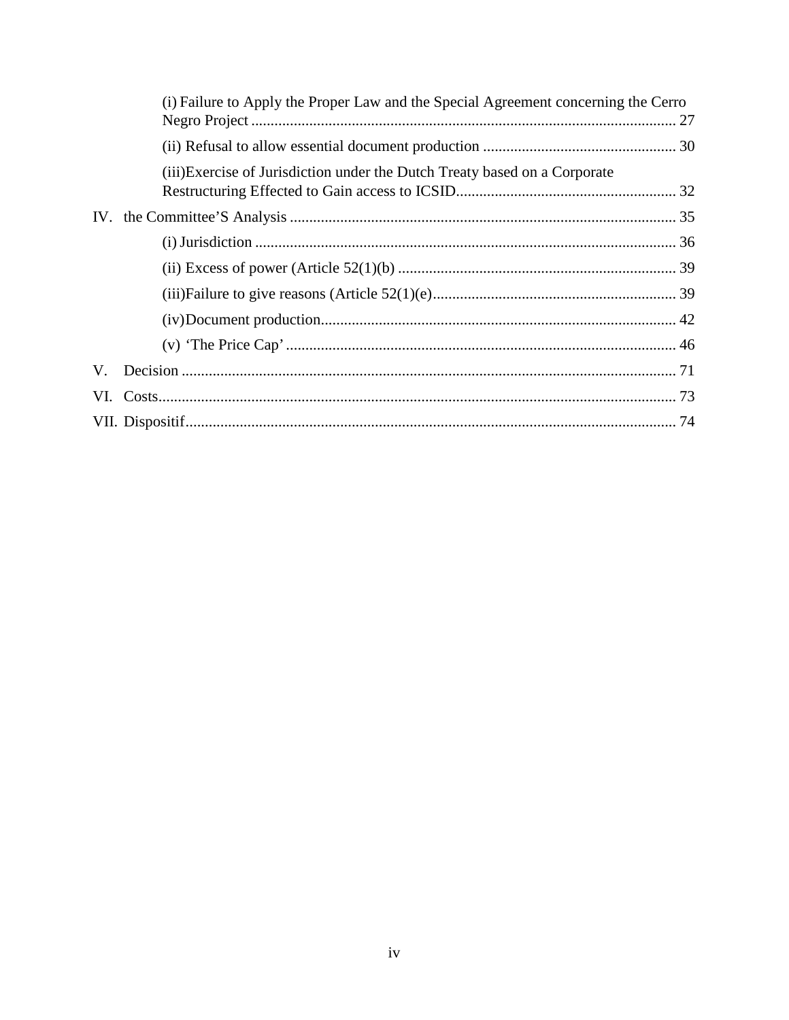|    | (i) Failure to Apply the Proper Law and the Special Agreement concerning the Cerro |  |  |
|----|------------------------------------------------------------------------------------|--|--|
|    |                                                                                    |  |  |
|    |                                                                                    |  |  |
|    | (iii) Exercise of Jurisdiction under the Dutch Treaty based on a Corporate         |  |  |
|    |                                                                                    |  |  |
|    |                                                                                    |  |  |
|    |                                                                                    |  |  |
|    |                                                                                    |  |  |
|    |                                                                                    |  |  |
|    |                                                                                    |  |  |
|    |                                                                                    |  |  |
| V. |                                                                                    |  |  |
|    |                                                                                    |  |  |
|    |                                                                                    |  |  |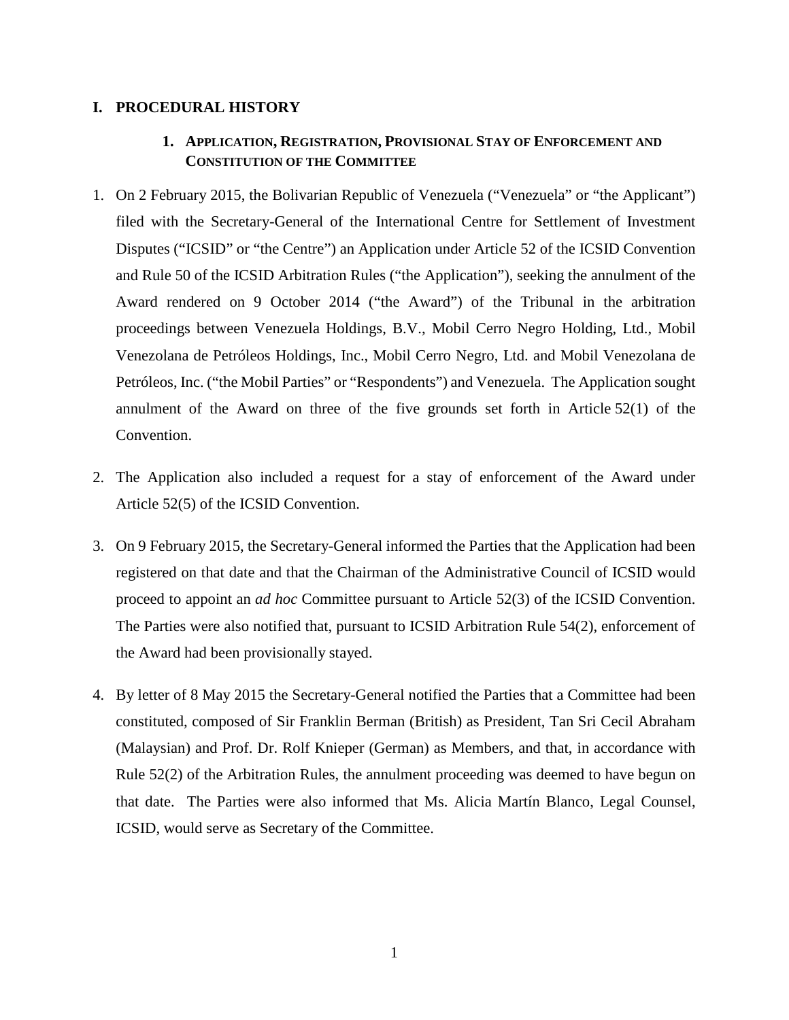## <span id="page-4-1"></span><span id="page-4-0"></span>**I. PROCEDURAL HISTORY**

## **1. APPLICATION, REGISTRATION, PROVISIONAL STAY OF ENFORCEMENT AND CONSTITUTION OF THE COMMITTEE**

- 1. On 2 February 2015, the Bolivarian Republic of Venezuela ("Venezuela" or "the Applicant") filed with the Secretary-General of the International Centre for Settlement of Investment Disputes ("ICSID" or "the Centre") an Application under Article 52 of the ICSID Convention and Rule 50 of the ICSID Arbitration Rules ("the Application"), seeking the annulment of the Award rendered on 9 October 2014 ("the Award") of the Tribunal in the arbitration proceedings between Venezuela Holdings, B.V., Mobil Cerro Negro Holding, Ltd., Mobil Venezolana de Petróleos Holdings, Inc., Mobil Cerro Negro, Ltd. and Mobil Venezolana de Petróleos, Inc. ("the Mobil Parties" or "Respondents") and Venezuela. The Application sought annulment of the Award on three of the five grounds set forth in Article 52(1) of the Convention.
- 2. The Application also included a request for a stay of enforcement of the Award under Article 52(5) of the ICSID Convention.
- 3. On 9 February 2015, the Secretary-General informed the Parties that the Application had been registered on that date and that the Chairman of the Administrative Council of ICSID would proceed to appoint an *ad hoc* Committee pursuant to Article 52(3) of the ICSID Convention. The Parties were also notified that, pursuant to ICSID Arbitration Rule 54(2), enforcement of the Award had been provisionally stayed.
- 4. By letter of 8 May 2015 the Secretary-General notified the Parties that a Committee had been constituted, composed of Sir Franklin Berman (British) as President, Tan Sri Cecil Abraham (Malaysian) and Prof. Dr. Rolf Knieper (German) as Members, and that, in accordance with Rule 52(2) of the Arbitration Rules, the annulment proceeding was deemed to have begun on that date. The Parties were also informed that Ms. Alicia Martín Blanco, Legal Counsel, ICSID, would serve as Secretary of the Committee.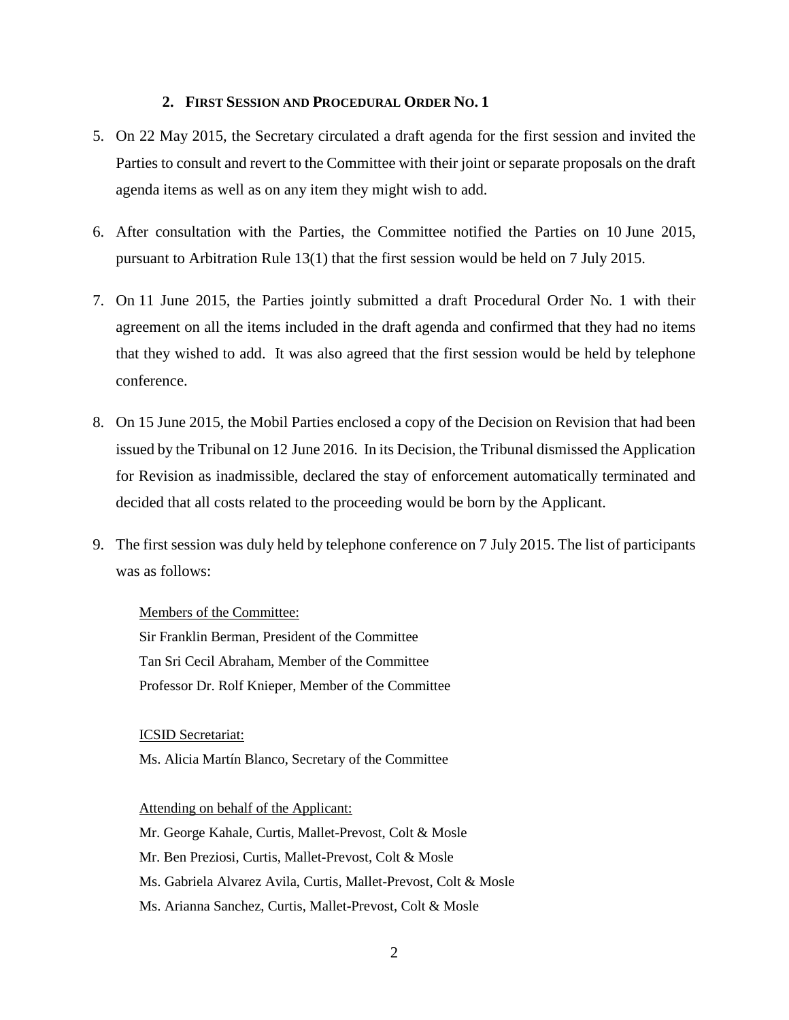#### **2. FIRST SESSION AND PROCEDURAL ORDER NO. 1**

- <span id="page-5-0"></span>5. On 22 May 2015, the Secretary circulated a draft agenda for the first session and invited the Parties to consult and revert to the Committee with their joint or separate proposals on the draft agenda items as well as on any item they might wish to add.
- 6. After consultation with the Parties, the Committee notified the Parties on 10 June 2015, pursuant to Arbitration Rule 13(1) that the first session would be held on 7 July 2015.
- 7. On 11 June 2015, the Parties jointly submitted a draft Procedural Order No. 1 with their agreement on all the items included in the draft agenda and confirmed that they had no items that they wished to add. It was also agreed that the first session would be held by telephone conference.
- 8. On 15 June 2015, the Mobil Parties enclosed a copy of the Decision on Revision that had been issued by the Tribunal on 12 June 2016. In its Decision, the Tribunal dismissed the Application for Revision as inadmissible, declared the stay of enforcement automatically terminated and decided that all costs related to the proceeding would be born by the Applicant.
- 9. The first session was duly held by telephone conference on 7 July 2015. The list of participants was as follows:

Members of the Committee: Sir Franklin Berman, President of the Committee Tan Sri Cecil Abraham, Member of the Committee Professor Dr. Rolf Knieper, Member of the Committee

ICSID Secretariat:

Ms. Alicia Martín Blanco, Secretary of the Committee

Attending on behalf of the Applicant: Mr. George Kahale, Curtis, Mallet-Prevost, Colt & Mosle

- Mr. Ben Preziosi, Curtis, Mallet-Prevost, Colt & Mosle
- Ms. Gabriela Alvarez Avila, Curtis, Mallet-Prevost, Colt & Mosle
- Ms. Arianna Sanchez, Curtis, Mallet-Prevost, Colt & Mosle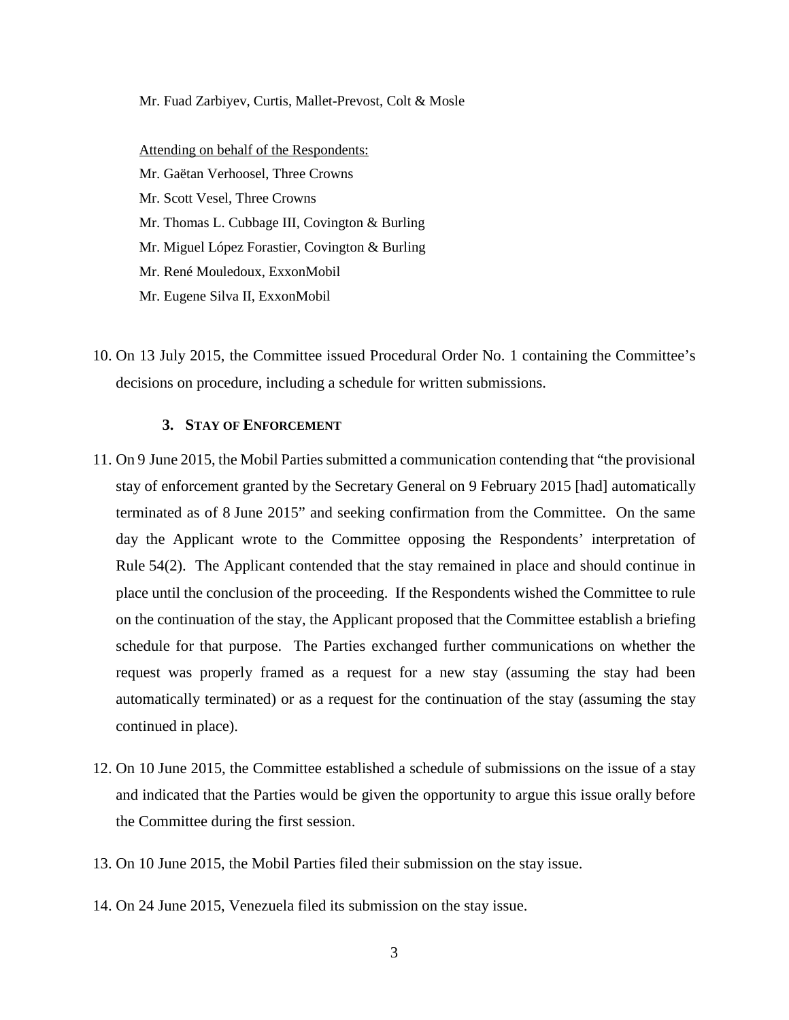#### Mr. Fuad Zarbiyev, Curtis, Mallet-Prevost, Colt & Mosle

Attending on behalf of the Respondents: Mr. Gaëtan Verhoosel, Three Crowns Mr. Scott Vesel, Three Crowns Mr. Thomas L. Cubbage III, Covington & Burling Mr. Miguel López Forastier, Covington & Burling Mr. René Mouledoux, ExxonMobil Mr. Eugene Silva II, ExxonMobil

10. On 13 July 2015, the Committee issued Procedural Order No. 1 containing the Committee's decisions on procedure, including a schedule for written submissions.

## **3. STAY OF ENFORCEMENT**

- <span id="page-6-0"></span>11. On 9 June 2015, the Mobil Parties submitted a communication contending that "the provisional stay of enforcement granted by the Secretary General on 9 February 2015 [had] automatically terminated as of 8 June 2015" and seeking confirmation from the Committee. On the same day the Applicant wrote to the Committee opposing the Respondents' interpretation of Rule 54(2). The Applicant contended that the stay remained in place and should continue in place until the conclusion of the proceeding. If the Respondents wished the Committee to rule on the continuation of the stay, the Applicant proposed that the Committee establish a briefing schedule for that purpose. The Parties exchanged further communications on whether the request was properly framed as a request for a new stay (assuming the stay had been automatically terminated) or as a request for the continuation of the stay (assuming the stay continued in place).
- 12. On 10 June 2015, the Committee established a schedule of submissions on the issue of a stay and indicated that the Parties would be given the opportunity to argue this issue orally before the Committee during the first session.
- 13. On 10 June 2015, the Mobil Parties filed their submission on the stay issue.
- 14. On 24 June 2015, Venezuela filed its submission on the stay issue.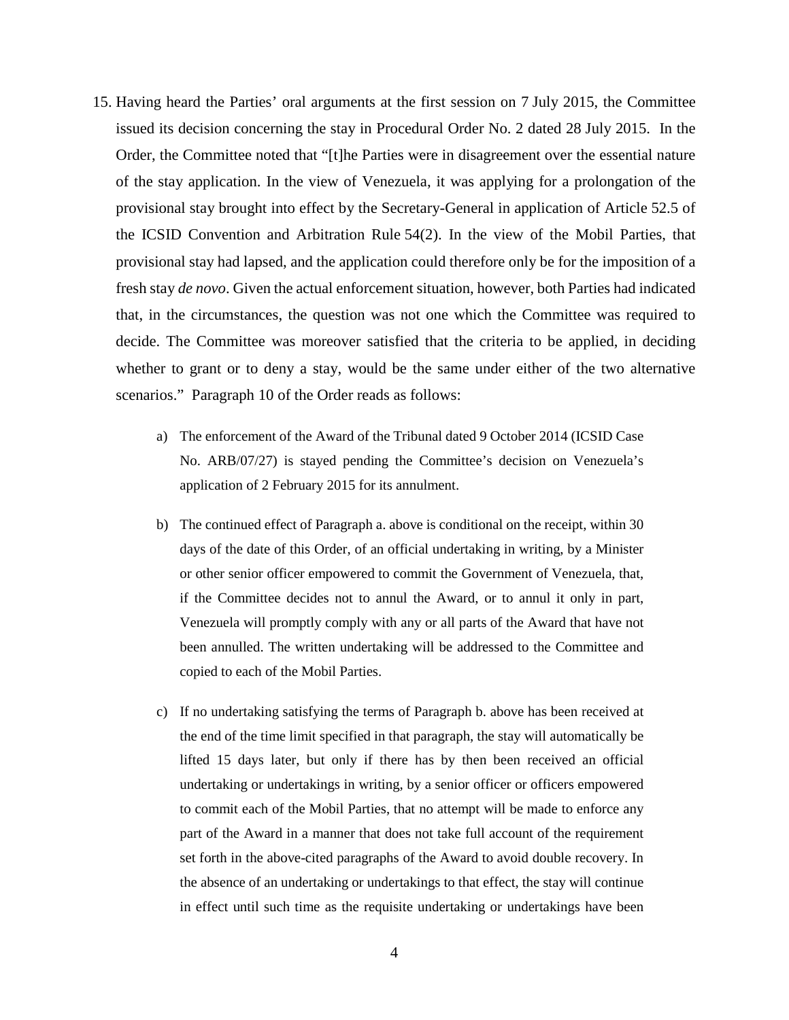- 15. Having heard the Parties' oral arguments at the first session on 7 July 2015, the Committee issued its decision concerning the stay in Procedural Order No. 2 dated 28 July 2015. In the Order, the Committee noted that "[t]he Parties were in disagreement over the essential nature of the stay application. In the view of Venezuela, it was applying for a prolongation of the provisional stay brought into effect by the Secretary-General in application of Article 52.5 of the ICSID Convention and Arbitration Rule 54(2). In the view of the Mobil Parties, that provisional stay had lapsed, and the application could therefore only be for the imposition of a fresh stay *de novo*. Given the actual enforcement situation, however, both Parties had indicated that, in the circumstances, the question was not one which the Committee was required to decide. The Committee was moreover satisfied that the criteria to be applied, in deciding whether to grant or to deny a stay, would be the same under either of the two alternative scenarios." Paragraph 10 of the Order reads as follows:
	- a) The enforcement of the Award of the Tribunal dated 9 October 2014 (ICSID Case No. ARB/07/27) is stayed pending the Committee's decision on Venezuela's application of 2 February 2015 for its annulment.
	- b) The continued effect of Paragraph a. above is conditional on the receipt, within 30 days of the date of this Order, of an official undertaking in writing, by a Minister or other senior officer empowered to commit the Government of Venezuela, that, if the Committee decides not to annul the Award, or to annul it only in part, Venezuela will promptly comply with any or all parts of the Award that have not been annulled. The written undertaking will be addressed to the Committee and copied to each of the Mobil Parties.
	- c) If no undertaking satisfying the terms of Paragraph b. above has been received at the end of the time limit specified in that paragraph, the stay will automatically be lifted 15 days later, but only if there has by then been received an official undertaking or undertakings in writing, by a senior officer or officers empowered to commit each of the Mobil Parties, that no attempt will be made to enforce any part of the Award in a manner that does not take full account of the requirement set forth in the above-cited paragraphs of the Award to avoid double recovery. In the absence of an undertaking or undertakings to that effect, the stay will continue in effect until such time as the requisite undertaking or undertakings have been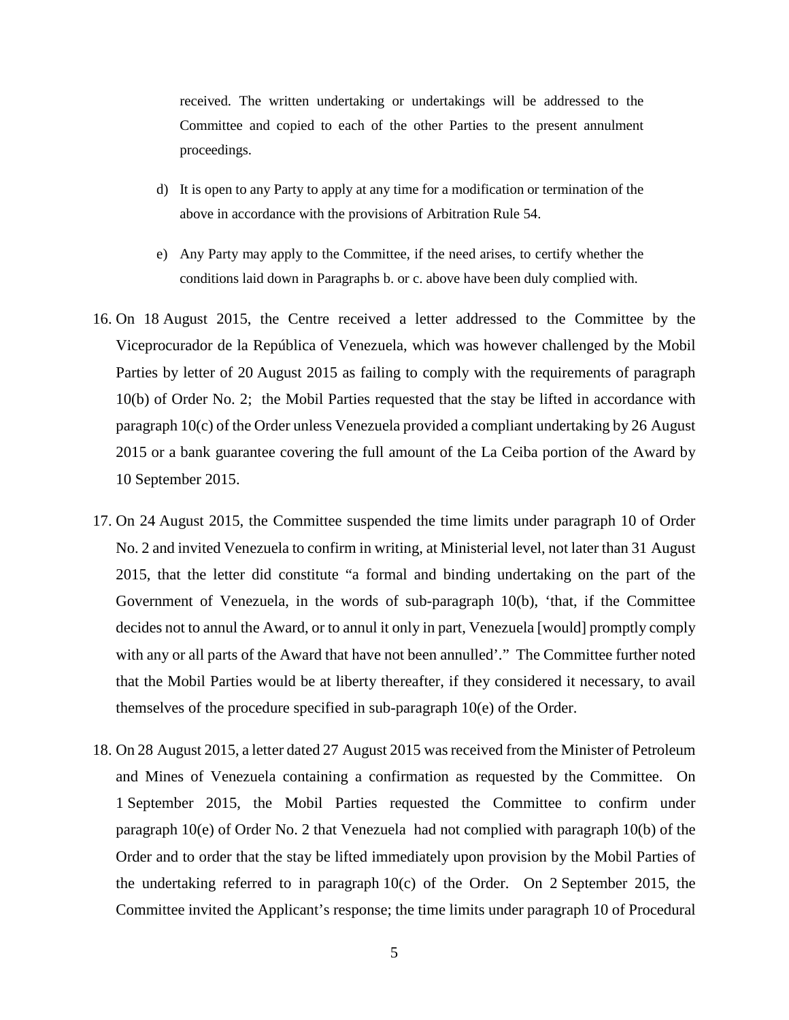received. The written undertaking or undertakings will be addressed to the Committee and copied to each of the other Parties to the present annulment proceedings.

- d) It is open to any Party to apply at any time for a modification or termination of the above in accordance with the provisions of Arbitration Rule 54.
- e) Any Party may apply to the Committee, if the need arises, to certify whether the conditions laid down in Paragraphs b. or c. above have been duly complied with.
- 16. On 18 August 2015, the Centre received a letter addressed to the Committee by the Viceprocurador de la República of Venezuela, which was however challenged by the Mobil Parties by letter of 20 August 2015 as failing to comply with the requirements of paragraph 10(b) of Order No. 2; the Mobil Parties requested that the stay be lifted in accordance with paragraph 10(c) of the Order unless Venezuela provided a compliant undertaking by 26 August 2015 or a bank guarantee covering the full amount of the La Ceiba portion of the Award by 10 September 2015.
- 17. On 24 August 2015, the Committee suspended the time limits under paragraph 10 of Order No. 2 and invited Venezuela to confirm in writing, at Ministerial level, not later than 31 August 2015, that the letter did constitute "a formal and binding undertaking on the part of the Government of Venezuela, in the words of sub-paragraph 10(b), 'that, if the Committee decides not to annul the Award, or to annul it only in part, Venezuela [would] promptly comply with any or all parts of the Award that have not been annulled'." The Committee further noted that the Mobil Parties would be at liberty thereafter, if they considered it necessary, to avail themselves of the procedure specified in sub-paragraph 10(e) of the Order.
- 18. On 28 August 2015, a letter dated 27 August 2015 was received from the Minister of Petroleum and Mines of Venezuela containing a confirmation as requested by the Committee. On 1 September 2015, the Mobil Parties requested the Committee to confirm under paragraph 10(e) of Order No. 2 that Venezuela had not complied with paragraph 10(b) of the Order and to order that the stay be lifted immediately upon provision by the Mobil Parties of the undertaking referred to in paragraph 10(c) of the Order. On 2 September 2015, the Committee invited the Applicant's response; the time limits under paragraph 10 of Procedural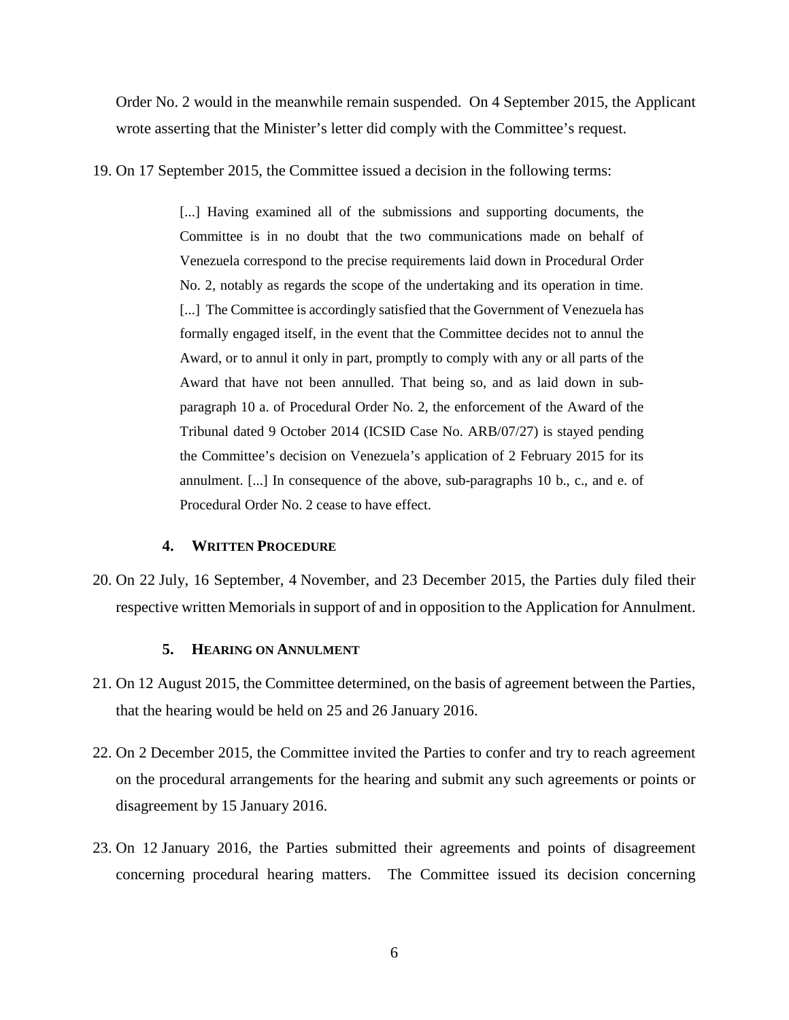Order No. 2 would in the meanwhile remain suspended. On 4 September 2015, the Applicant wrote asserting that the Minister's letter did comply with the Committee's request.

19. On 17 September 2015, the Committee issued a decision in the following terms:

[...] Having examined all of the submissions and supporting documents, the Committee is in no doubt that the two communications made on behalf of Venezuela correspond to the precise requirements laid down in Procedural Order No. 2, notably as regards the scope of the undertaking and its operation in time. [...] The Committee is accordingly satisfied that the Government of Venezuela has formally engaged itself, in the event that the Committee decides not to annul the Award, or to annul it only in part, promptly to comply with any or all parts of the Award that have not been annulled. That being so, and as laid down in subparagraph 10 a. of Procedural Order No. 2, the enforcement of the Award of the Tribunal dated 9 October 2014 (ICSID Case No. ARB/07/27) is stayed pending the Committee's decision on Venezuela's application of 2 February 2015 for its annulment. [...] In consequence of the above, sub-paragraphs 10 b., c., and e. of Procedural Order No. 2 cease to have effect.

#### <span id="page-9-0"></span>**4. WRITTEN PROCEDURE**

20. On 22 July, 16 September, 4 November, and 23 December 2015, the Parties duly filed their respective written Memorials in support of and in opposition to the Application for Annulment.

#### <span id="page-9-1"></span>**5. HEARING ON ANNULMENT**

- 21. On 12 August 2015, the Committee determined, on the basis of agreement between the Parties, that the hearing would be held on 25 and 26 January 2016.
- 22. On 2 December 2015, the Committee invited the Parties to confer and try to reach agreement on the procedural arrangements for the hearing and submit any such agreements or points or disagreement by 15 January 2016.
- 23. On 12 January 2016, the Parties submitted their agreements and points of disagreement concerning procedural hearing matters. The Committee issued its decision concerning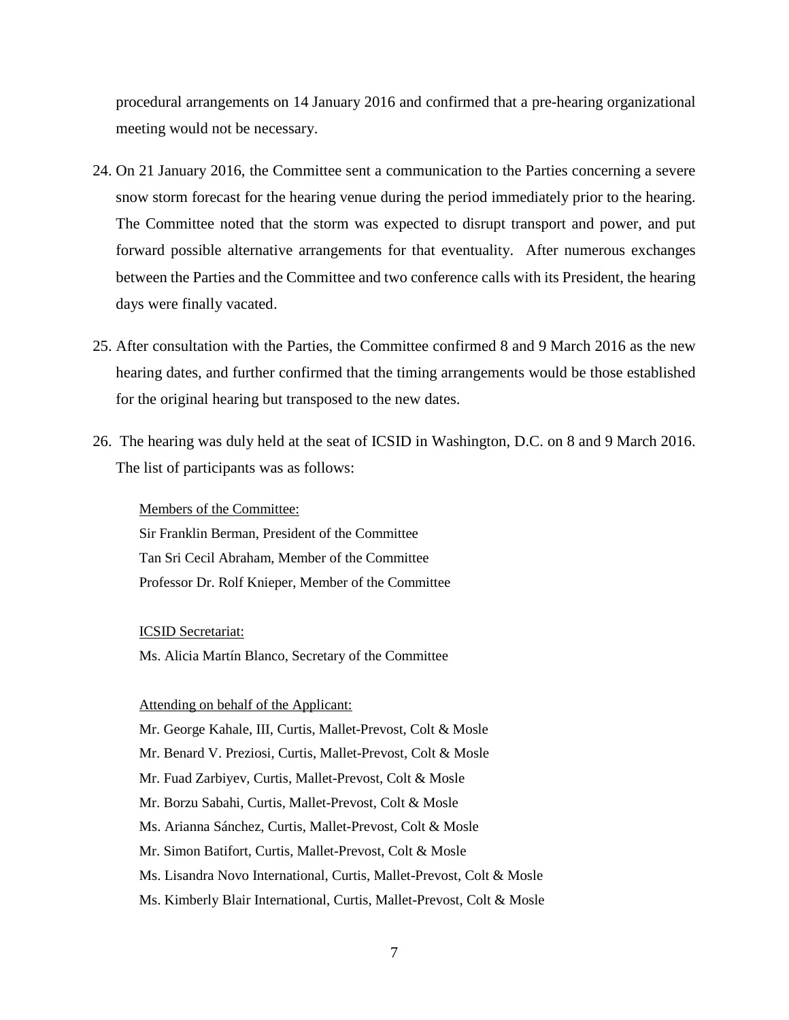procedural arrangements on 14 January 2016 and confirmed that a pre-hearing organizational meeting would not be necessary.

- 24. On 21 January 2016, the Committee sent a communication to the Parties concerning a severe snow storm forecast for the hearing venue during the period immediately prior to the hearing. The Committee noted that the storm was expected to disrupt transport and power, and put forward possible alternative arrangements for that eventuality. After numerous exchanges between the Parties and the Committee and two conference calls with its President, the hearing days were finally vacated.
- 25. After consultation with the Parties, the Committee confirmed 8 and 9 March 2016 as the new hearing dates, and further confirmed that the timing arrangements would be those established for the original hearing but transposed to the new dates.
- 26. The hearing was duly held at the seat of ICSID in Washington, D.C. on 8 and 9 March 2016. The list of participants was as follows:

Members of the Committee: Sir Franklin Berman, President of the Committee Tan Sri Cecil Abraham, Member of the Committee Professor Dr. Rolf Knieper, Member of the Committee

ICSID Secretariat:

Ms. Alicia Martín Blanco, Secretary of the Committee

#### Attending on behalf of the Applicant:

Mr. George Kahale, III, Curtis, Mallet-Prevost, Colt & Mosle Mr. Benard V. Preziosi, Curtis, Mallet-Prevost, Colt & Mosle Mr. Fuad Zarbiyev, Curtis, Mallet-Prevost, Colt & Mosle Mr. Borzu Sabahi, Curtis, Mallet-Prevost, Colt & Mosle Ms. Arianna Sánchez, Curtis, Mallet-Prevost, Colt & Mosle Mr. Simon Batifort, Curtis, Mallet-Prevost, Colt & Mosle Ms. Lisandra Novo International, Curtis, Mallet-Prevost, Colt & Mosle Ms. Kimberly Blair International, Curtis, Mallet-Prevost, Colt & Mosle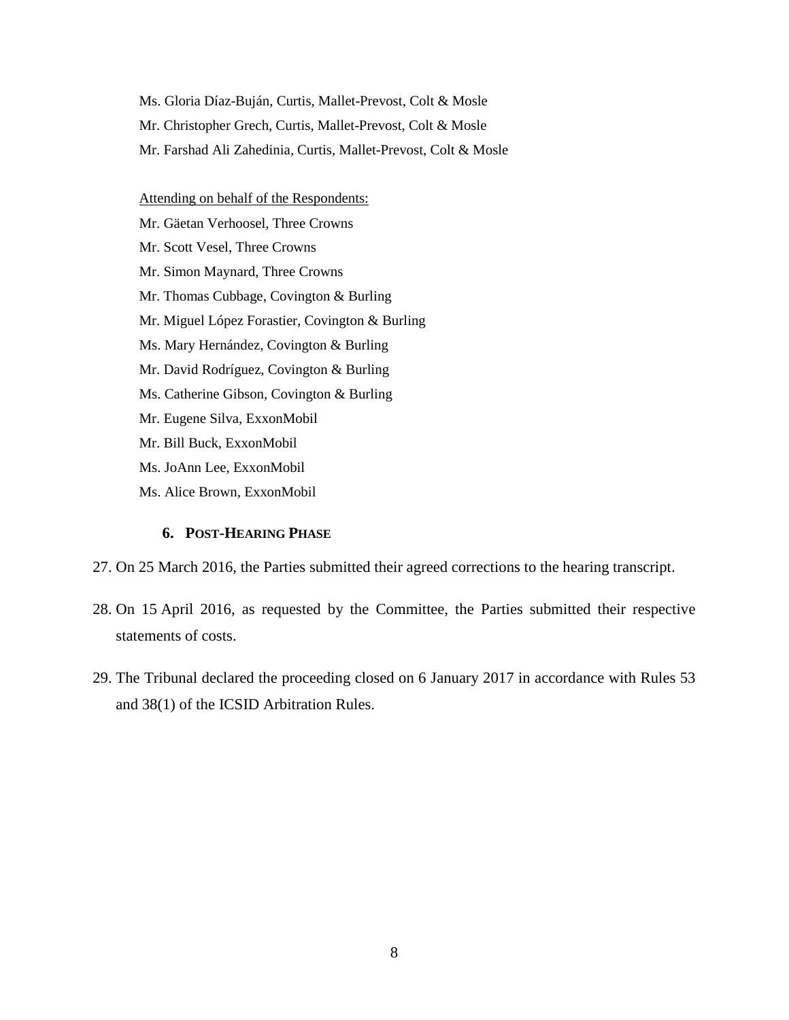Ms. Gloria Díaz-Buján, Curtis, Mallet-Prevost, Colt & Mosle Mr. Christopher Grech, Curtis, Mallet-Prevost, Colt & Mosle Mr. Farshad Ali Zahedinia, Curtis, Mallet-Prevost, Colt & Mosle

Attending on behalf of the Respondents:

Mr. Gäetan Verhoosel, Three Crowns Mr. Scott Vesel, Three Crowns Mr. Simon Maynard, Three Crowns Mr. Thomas Cubbage, Covington & Burling Mr. Miguel López Forastier, Covington & Burling Ms. Mary Hernández, Covington & Burling Mr. David Rodríguez, Covington & Burling Ms. Catherine Gibson, Covington & Burling Mr. Eugene Silva, ExxonMobil Mr. Bill Buck, ExxonMobil Ms. JoAnn Lee, ExxonMobil Ms. Alice Brown, ExxonMobil

## **6. POST-HEARING PHASE**

- <span id="page-11-0"></span>27. On 25 March 2016, the Parties submitted their agreed corrections to the hearing transcript.
- 28. On 15 April 2016, as requested by the Committee, the Parties submitted their respective statements of costs.
- 29. The Tribunal declared the proceeding closed on 6 January 2017 in accordance with Rules 53 and 38(1) of the ICSID Arbitration Rules.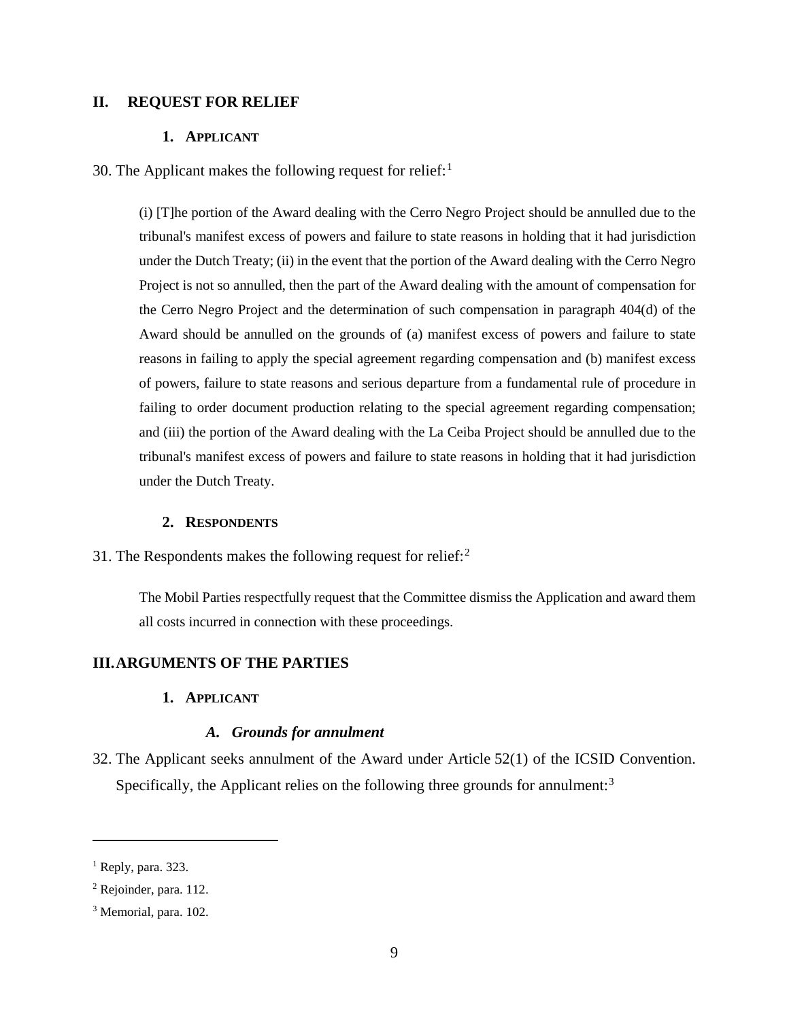## <span id="page-12-1"></span><span id="page-12-0"></span>**II. REQUEST FOR RELIEF**

## **1. APPLICANT**

30. The Applicant makes the following request for relief: $<sup>1</sup>$  $<sup>1</sup>$  $<sup>1</sup>$ </sup>

(i) [T]he portion of the Award dealing with the Cerro Negro Project should be annulled due to the tribunal's manifest excess of powers and failure to state reasons in holding that it had jurisdiction under the Dutch Treaty; (ii) in the event that the portion of the Award dealing with the Cerro Negro Project is not so annulled, then the part of the Award dealing with the amount of compensation for the Cerro Negro Project and the determination of such compensation in paragraph 404(d) of the Award should be annulled on the grounds of (a) manifest excess of powers and failure to state reasons in failing to apply the special agreement regarding compensation and (b) manifest excess of powers, failure to state reasons and serious departure from a fundamental rule of procedure in failing to order document production relating to the special agreement regarding compensation; and (iii) the portion of the Award dealing with the La Ceiba Project should be annulled due to the tribunal's manifest excess of powers and failure to state reasons in holding that it had jurisdiction under the Dutch Treaty.

#### **2. RESPONDENTS**

<span id="page-12-2"></span>31. The Respondents makes the following request for relief: $<sup>2</sup>$  $<sup>2</sup>$  $<sup>2</sup>$ </sup>

The Mobil Parties respectfully request that the Committee dismiss the Application and award them all costs incurred in connection with these proceedings.

#### <span id="page-12-4"></span><span id="page-12-3"></span>**III.ARGUMENTS OF THE PARTIES**

**1. APPLICANT**

#### *A. Grounds for annulment*

<span id="page-12-5"></span>32. The Applicant seeks annulment of the Award under Article 52(1) of the ICSID Convention. Specifically, the Applicant relies on the following three grounds for annulment: $3$ 

<span id="page-12-6"></span> $<sup>1</sup>$  Reply, para. 323.</sup>

<span id="page-12-7"></span><sup>2</sup> Rejoinder, para. 112.

<span id="page-12-8"></span><sup>3</sup> Memorial, para. 102.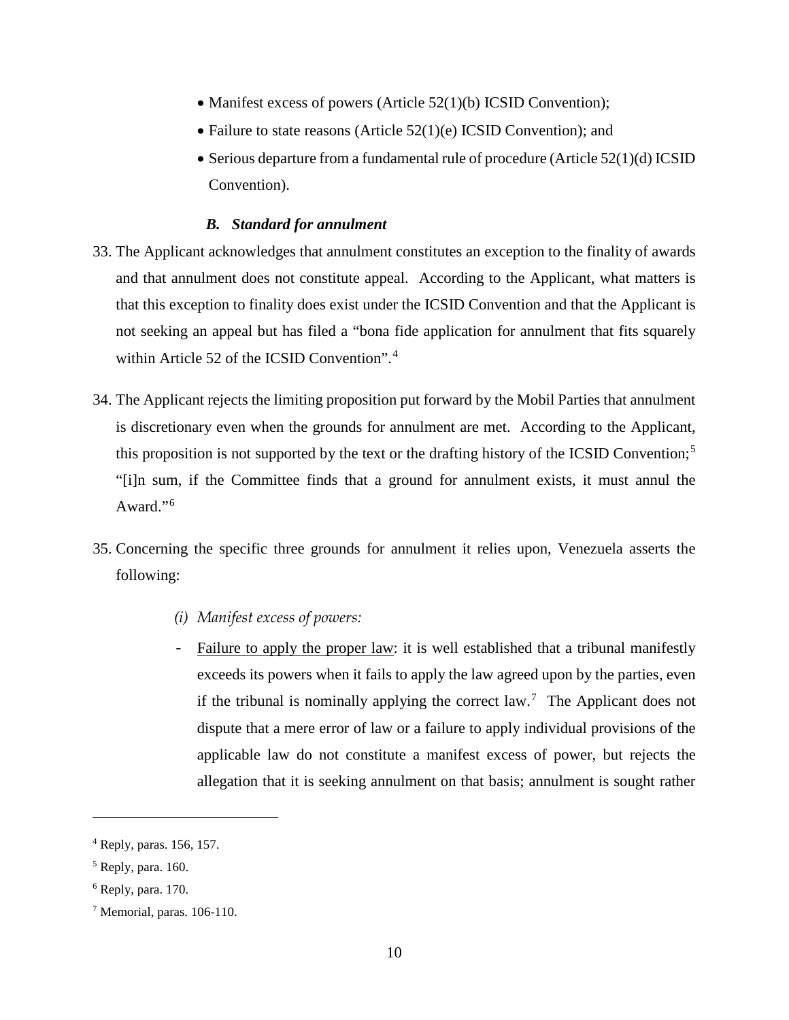- Manifest excess of powers (Article 52(1)(b) ICSID Convention);
- Failure to state reasons (Article 52(1)(e) ICSID Convention); and
- Serious departure from a fundamental rule of procedure (Article 52(1)(d) ICSID Convention).

## *B. Standard for annulment*

- <span id="page-13-0"></span>33. The Applicant acknowledges that annulment constitutes an exception to the finality of awards and that annulment does not constitute appeal. According to the Applicant, what matters is that this exception to finality does exist under the ICSID Convention and that the Applicant is not seeking an appeal but has filed a "bona fide application for annulment that fits squarely within Article 52 of the ICSID Convention".[4](#page-13-2)
- 34. The Applicant rejects the limiting proposition put forward by the Mobil Parties that annulment is discretionary even when the grounds for annulment are met. According to the Applicant, this proposition is not supported by the text or the drafting history of the ICSID Convention; [5](#page-13-3) "[i]n sum, if the Committee finds that a ground for annulment exists, it must annul the Award."[6](#page-13-4)
- <span id="page-13-1"></span>35. Concerning the specific three grounds for annulment it relies upon, Venezuela asserts the following:
	- *(i) Manifest excess of powers:*
	- Failure to apply the proper law: it is well established that a tribunal manifestly exceeds its powers when it fails to apply the law agreed upon by the parties, even if the tribunal is nominally applying the correct  $law$ .<sup>[7](#page-13-5)</sup> The Applicant does not dispute that a mere error of law or a failure to apply individual provisions of the applicable law do not constitute a manifest excess of power, but rejects the allegation that it is seeking annulment on that basis; annulment is sought rather

<span id="page-13-2"></span><sup>4</sup> Reply, paras. 156, 157.

<span id="page-13-3"></span><sup>5</sup> Reply, para. 160.

<span id="page-13-4"></span> $6$  Reply, para. 170.

<span id="page-13-5"></span><sup>7</sup> Memorial, paras. 106-110.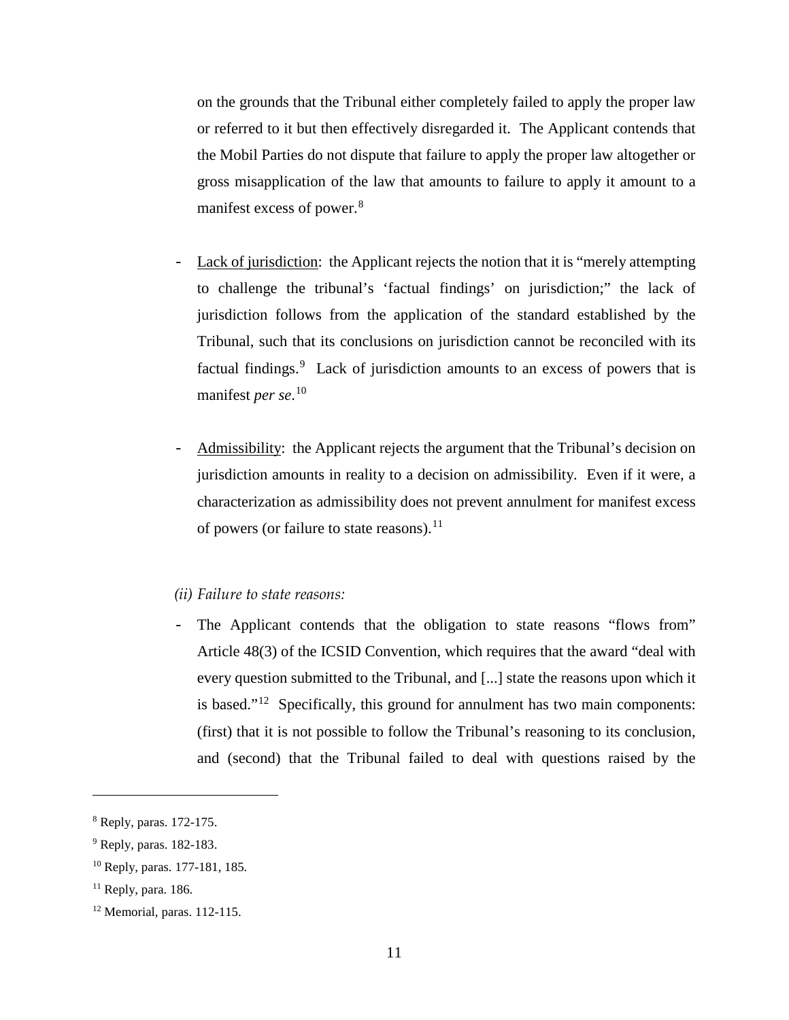on the grounds that the Tribunal either completely failed to apply the proper law or referred to it but then effectively disregarded it. The Applicant contends that the Mobil Parties do not dispute that failure to apply the proper law altogether or gross misapplication of the law that amounts to failure to apply it amount to a manifest excess of power. [8](#page-14-1)

- Lack of jurisdiction: the Applicant rejects the notion that it is "merely attempting to challenge the tribunal's 'factual findings' on jurisdiction;" the lack of jurisdiction follows from the application of the standard established by the Tribunal, such that its conclusions on jurisdiction cannot be reconciled with its factual findings.<sup>[9](#page-14-2)</sup> Lack of jurisdiction amounts to an excess of powers that is manifest *per se*. [10](#page-14-3)
- Admissibility: the Applicant rejects the argument that the Tribunal's decision on jurisdiction amounts in reality to a decision on admissibility. Even if it were, a characterization as admissibility does not prevent annulment for manifest excess of powers (or failure to state reasons).  $^{11}$

## <span id="page-14-0"></span>*(ii) Failure to state reasons:*

- The Applicant contends that the obligation to state reasons "flows from" Article 48(3) of the ICSID Convention, which requires that the award "deal with every question submitted to the Tribunal, and [...] state the reasons upon which it is based." $12$  Specifically, this ground for annulment has two main components: (first) that it is not possible to follow the Tribunal's reasoning to its conclusion, and (second) that the Tribunal failed to deal with questions raised by the

<span id="page-14-1"></span><sup>8</sup> Reply, paras. 172-175.

<span id="page-14-2"></span><sup>9</sup> Reply, paras. 182-183.

<span id="page-14-3"></span><sup>10</sup> Reply, paras. 177-181, 185.

<span id="page-14-4"></span> $11$  Reply, para. 186.

<span id="page-14-5"></span><sup>12</sup> Memorial, paras. 112-115.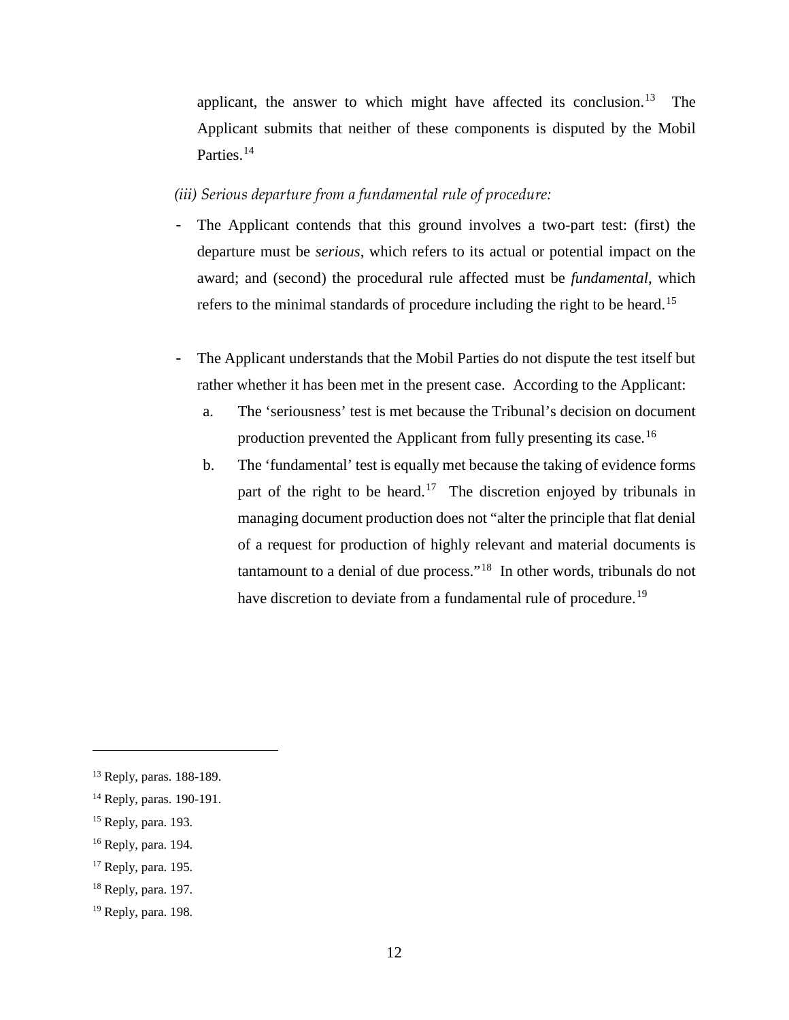applicant, the answer to which might have affected its conclusion. $13$  The Applicant submits that neither of these components is disputed by the Mobil Parties.<sup>[14](#page-15-2)</sup>

<span id="page-15-0"></span>*(iii) Serious departure from a fundamental rule of procedure:*

- The Applicant contends that this ground involves a two-part test: (first) the departure must be *serious*, which refers to its actual or potential impact on the award; and (second) the procedural rule affected must be *fundamental*, which refers to the minimal standards of procedure including the right to be heard.<sup>[15](#page-15-3)</sup>
- The Applicant understands that the Mobil Parties do not dispute the test itself but rather whether it has been met in the present case. According to the Applicant:
	- a. The 'seriousness' test is met because the Tribunal's decision on document production prevented the Applicant from fully presenting its case.<sup>[16](#page-15-4)</sup>
	- b. The 'fundamental' test is equally met because the taking of evidence forms part of the right to be heard.<sup>17</sup> The discretion enjoyed by tribunals in managing document production does not "alter the principle that flat denial of a request for production of highly relevant and material documents is tantamount to a denial of due process."[18](#page-15-6) In other words, tribunals do not have discretion to deviate from a fundamental rule of procedure.<sup>[19](#page-15-7)</sup>

<span id="page-15-1"></span><sup>13</sup> Reply, paras. 188-189.

<span id="page-15-2"></span><sup>14</sup> Reply, paras. 190-191.

<span id="page-15-3"></span><sup>15</sup> Reply, para. 193.

<span id="page-15-4"></span><sup>16</sup> Reply, para. 194.

<span id="page-15-5"></span><sup>17</sup> Reply, para. 195.

<span id="page-15-6"></span> $18$  Reply, para. 197.

<span id="page-15-7"></span><sup>19</sup> Reply, para. 198.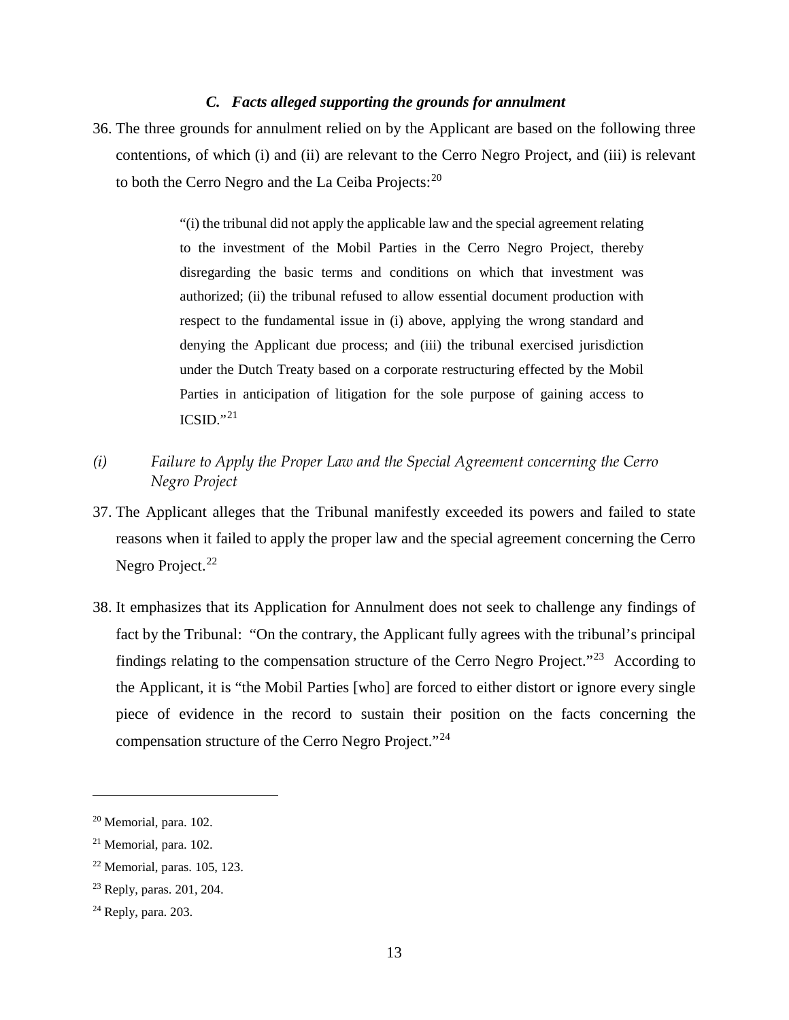## *C. Facts alleged supporting the grounds for annulment*

<span id="page-16-0"></span>36. The three grounds for annulment relied on by the Applicant are based on the following three contentions, of which (i) and (ii) are relevant to the Cerro Negro Project, and (iii) is relevant to both the Cerro Negro and the La Ceiba Projects: $20$ 

> "(i) the tribunal did not apply the applicable law and the special agreement relating to the investment of the Mobil Parties in the Cerro Negro Project, thereby disregarding the basic terms and conditions on which that investment was authorized; (ii) the tribunal refused to allow essential document production with respect to the fundamental issue in (i) above, applying the wrong standard and denying the Applicant due process; and (iii) the tribunal exercised jurisdiction under the Dutch Treaty based on a corporate restructuring effected by the Mobil Parties in anticipation of litigation for the sole purpose of gaining access to  $ICSID.$ <sup>[21](#page-16-3)</sup>

- <span id="page-16-1"></span>*(i) Failure to Apply the Proper Law and the Special Agreement concerning the Cerro Negro Project*
- 37. The Applicant alleges that the Tribunal manifestly exceeded its powers and failed to state reasons when it failed to apply the proper law and the special agreement concerning the Cerro Negro Project.<sup>[22](#page-16-4)</sup>
- 38. It emphasizes that its Application for Annulment does not seek to challenge any findings of fact by the Tribunal: "On the contrary, the Applicant fully agrees with the tribunal's principal findings relating to the compensation structure of the Cerro Negro Project."[23](#page-16-5) According to the Applicant, it is "the Mobil Parties [who] are forced to either distort or ignore every single piece of evidence in the record to sustain their position on the facts concerning the compensation structure of the Cerro Negro Project."<sup>[24](#page-16-6)</sup>

<span id="page-16-2"></span><sup>20</sup> Memorial, para. 102.

<span id="page-16-3"></span><sup>21</sup> Memorial, para. 102.

<span id="page-16-4"></span><sup>22</sup> Memorial, paras. 105, 123.

<span id="page-16-5"></span><sup>23</sup> Reply, paras. 201, 204.

<span id="page-16-6"></span><sup>24</sup> Reply, para. 203.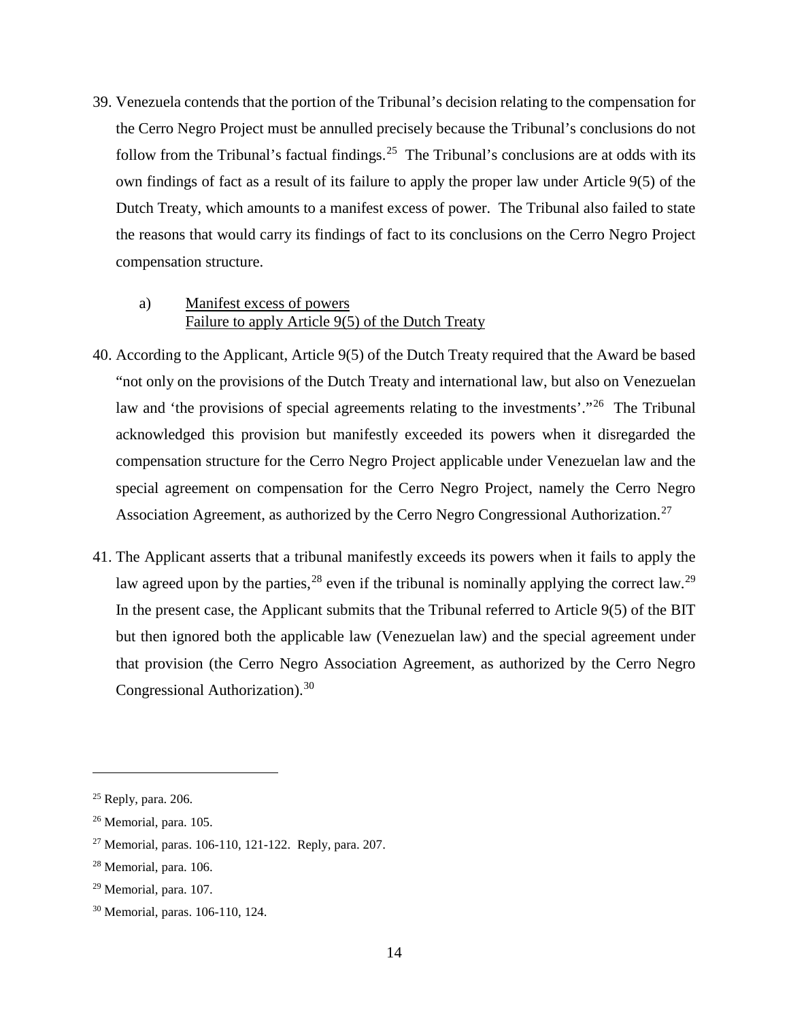39. Venezuela contends that the portion of the Tribunal's decision relating to the compensation for the Cerro Negro Project must be annulled precisely because the Tribunal's conclusions do not follow from the Tribunal's factual findings.<sup>[25](#page-17-0)</sup> The Tribunal's conclusions are at odds with its own findings of fact as a result of its failure to apply the proper law under Article 9(5) of the Dutch Treaty, which amounts to a manifest excess of power. The Tribunal also failed to state the reasons that would carry its findings of fact to its conclusions on the Cerro Negro Project compensation structure.

## a) Manifest excess of powers Failure to apply Article 9(5) of the Dutch Treaty

- 40. According to the Applicant, Article 9(5) of the Dutch Treaty required that the Award be based "not only on the provisions of the Dutch Treaty and international law, but also on Venezuelan law and 'the provisions of special agreements relating to the investments'."<sup>26</sup> The Tribunal acknowledged this provision but manifestly exceeded its powers when it disregarded the compensation structure for the Cerro Negro Project applicable under Venezuelan law and the special agreement on compensation for the Cerro Negro Project, namely the Cerro Negro Association Agreement, as authorized by the Cerro Negro Congressional Authorization.<sup>[27](#page-17-2)</sup>
- 41. The Applicant asserts that a tribunal manifestly exceeds its powers when it fails to apply the law agreed upon by the parties,  $2^8$  even if the tribunal is nominally applying the correct law.  $2^9$ In the present case, the Applicant submits that the Tribunal referred to Article 9(5) of the BIT but then ignored both the applicable law (Venezuelan law) and the special agreement under that provision (the Cerro Negro Association Agreement, as authorized by the Cerro Negro Congressional Authorization).<sup>30</sup>

<span id="page-17-0"></span><sup>25</sup> Reply, para. 206.

<span id="page-17-1"></span><sup>26</sup> Memorial, para. 105.

<span id="page-17-2"></span><sup>27</sup> Memorial, paras. 106-110, 121-122. Reply, para. 207.

<span id="page-17-3"></span><sup>28</sup> Memorial, para. 106.

<span id="page-17-4"></span><sup>29</sup> Memorial, para. 107.

<span id="page-17-5"></span><sup>30</sup> Memorial, paras. 106-110, 124.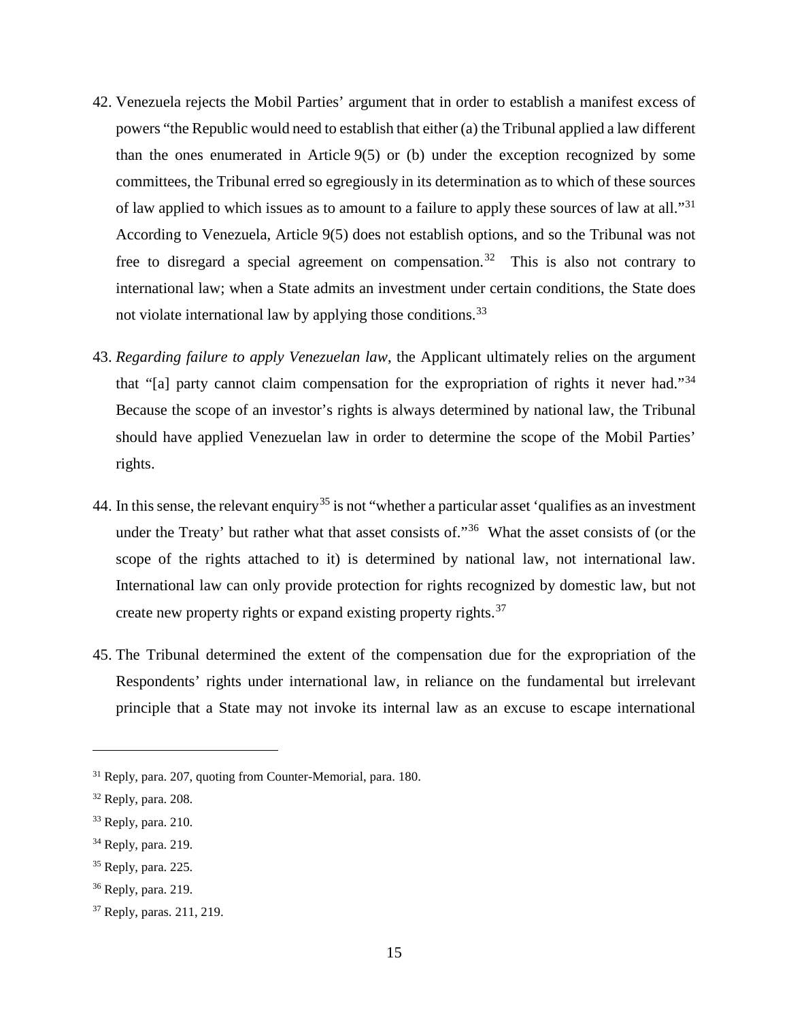- 42. Venezuela rejects the Mobil Parties' argument that in order to establish a manifest excess of powers "the Republic would need to establish that either (a) the Tribunal applied a law different than the ones enumerated in Article 9(5) or (b) under the exception recognized by some committees, the Tribunal erred so egregiously in its determination as to which of these sources of law applied to which issues as to amount to a failure to apply these sources of law at all."<sup>[31](#page-18-0)</sup> According to Venezuela, Article 9(5) does not establish options, and so the Tribunal was not free to disregard a special agreement on compensation.<sup>[32](#page-18-1)</sup> This is also not contrary to international law; when a State admits an investment under certain conditions, the State does not violate international law by applying those conditions.<sup>[33](#page-18-2)</sup>
- 43. *Regarding failure to apply Venezuelan law*, the Applicant ultimately relies on the argument that "[a] party cannot claim compensation for the expropriation of rights it never had."[34](#page-18-3) Because the scope of an investor's rights is always determined by national law, the Tribunal should have applied Venezuelan law in order to determine the scope of the Mobil Parties' rights.
- 44. In this sense, the relevant enquiry<sup>[35](#page-18-4)</sup> is not "whether a particular asset 'qualifies as an investment under the Treaty' but rather what that asset consists of."<sup>36</sup> What the asset consists of (or the scope of the rights attached to it) is determined by national law, not international law. International law can only provide protection for rights recognized by domestic law, but not create new property rights or expand existing property rights.<sup>[37](#page-18-6)</sup>
- 45. The Tribunal determined the extent of the compensation due for the expropriation of the Respondents' rights under international law, in reliance on the fundamental but irrelevant principle that a State may not invoke its internal law as an excuse to escape international

<span id="page-18-0"></span><sup>31</sup> Reply, para. 207, quoting from Counter-Memorial, para. 180.

<span id="page-18-1"></span> $32$  Reply, para. 208.

<span id="page-18-2"></span><sup>33</sup> Reply, para. 210.

<span id="page-18-3"></span><sup>34</sup> Reply, para. 219.

<span id="page-18-4"></span><sup>35</sup> Reply, para. 225.

<span id="page-18-5"></span><sup>36</sup> Reply, para. 219.

<span id="page-18-6"></span><sup>37</sup> Reply, paras. 211, 219.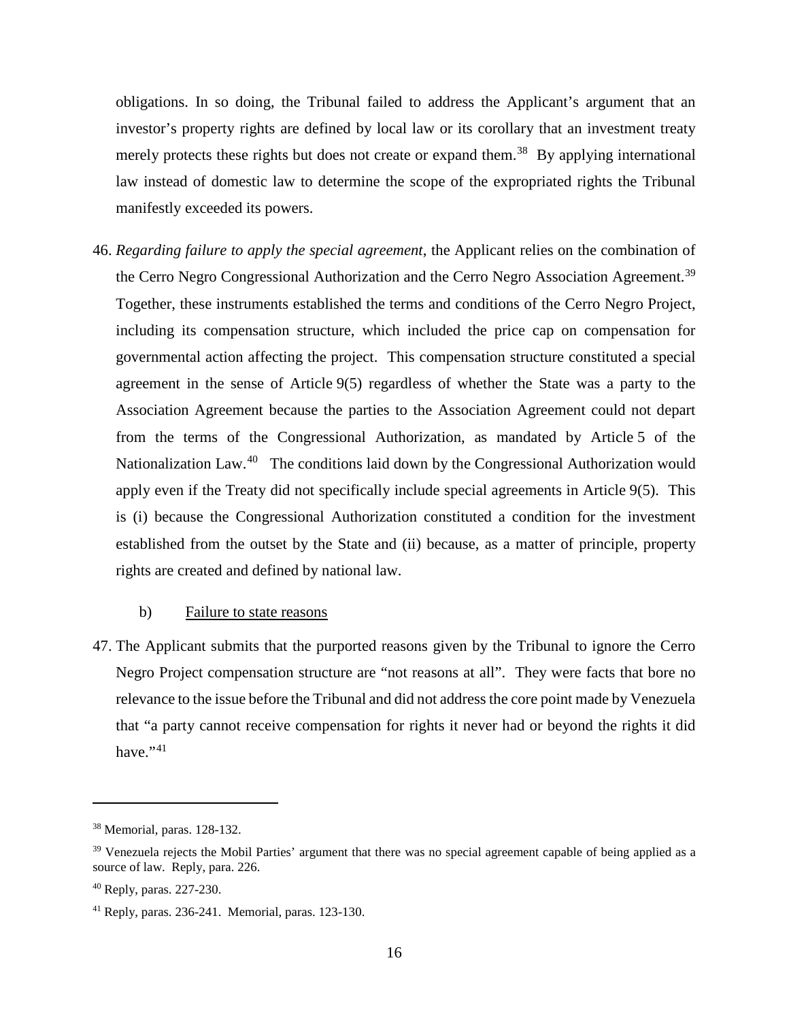obligations. In so doing, the Tribunal failed to address the Applicant's argument that an investor's property rights are defined by local law or its corollary that an investment treaty merely protects these rights but does not create or expand them.<sup>38</sup> By applying international law instead of domestic law to determine the scope of the expropriated rights the Tribunal manifestly exceeded its powers.

46. *Regarding failure to apply the special agreement*, the Applicant relies on the combination of the Cerro Negro Congressional Authorization and the Cerro Negro Association Agreement.<sup>[39](#page-19-1)</sup> Together, these instruments established the terms and conditions of the Cerro Negro Project, including its compensation structure, which included the price cap on compensation for governmental action affecting the project. This compensation structure constituted a special agreement in the sense of Article 9(5) regardless of whether the State was a party to the Association Agreement because the parties to the Association Agreement could not depart from the terms of the Congressional Authorization, as mandated by Article 5 of the Nationalization Law.<sup>[40](#page-19-2)</sup> The conditions laid down by the Congressional Authorization would apply even if the Treaty did not specifically include special agreements in Article 9(5). This is (i) because the Congressional Authorization constituted a condition for the investment established from the outset by the State and (ii) because, as a matter of principle, property rights are created and defined by national law.

## b) Failure to state reasons

47. The Applicant submits that the purported reasons given by the Tribunal to ignore the Cerro Negro Project compensation structure are "not reasons at all". They were facts that bore no relevance to the issue before the Tribunal and did not address the core point made by Venezuela that "a party cannot receive compensation for rights it never had or beyond the rights it did have." $41$ 

<span id="page-19-0"></span><sup>38</sup> Memorial, paras. 128-132.

<span id="page-19-1"></span><sup>&</sup>lt;sup>39</sup> Venezuela rejects the Mobil Parties' argument that there was no special agreement capable of being applied as a source of law. Reply, para. 226.

<span id="page-19-2"></span><sup>40</sup> Reply, paras. 227-230.

<span id="page-19-3"></span><sup>41</sup> Reply, paras. 236-241. Memorial, paras. 123-130.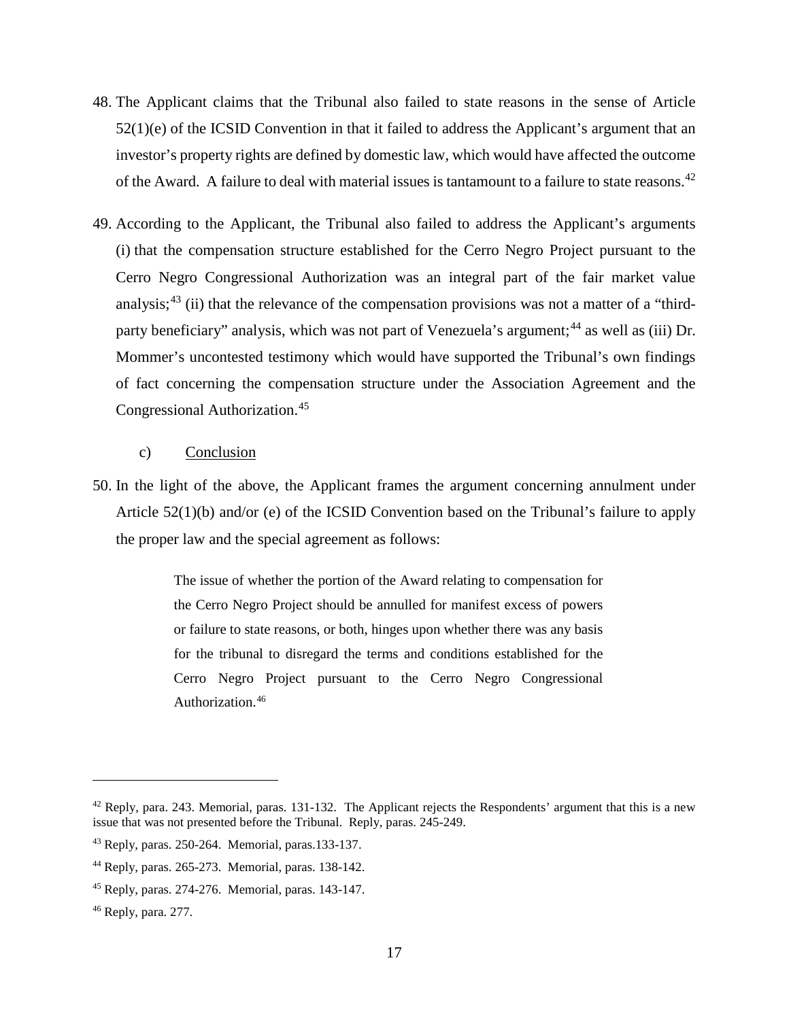- 48. The Applicant claims that the Tribunal also failed to state reasons in the sense of Article  $52(1)(e)$  of the ICSID Convention in that it failed to address the Applicant's argument that an investor's property rights are defined by domestic law, which would have affected the outcome of the Award. A failure to deal with material issues is tantamount to a failure to state reasons.<sup>[42](#page-20-0)</sup>
- 49. According to the Applicant, the Tribunal also failed to address the Applicant's arguments (i) that the compensation structure established for the Cerro Negro Project pursuant to the Cerro Negro Congressional Authorization was an integral part of the fair market value analysis;<sup>[43](#page-20-1)</sup> (ii) that the relevance of the compensation provisions was not a matter of a "third-party beneficiary" analysis, which was not part of Venezuela's argument;<sup>[44](#page-20-2)</sup> as well as (iii) Dr. Mommer's uncontested testimony which would have supported the Tribunal's own findings of fact concerning the compensation structure under the Association Agreement and the Congressional Authorization. [45](#page-20-3)

## c) Conclusion

50. In the light of the above, the Applicant frames the argument concerning annulment under Article 52(1)(b) and/or (e) of the ICSID Convention based on the Tribunal's failure to apply the proper law and the special agreement as follows:

> The issue of whether the portion of the Award relating to compensation for the Cerro Negro Project should be annulled for manifest excess of powers or failure to state reasons, or both, hinges upon whether there was any basis for the tribunal to disregard the terms and conditions established for the Cerro Negro Project pursuant to the Cerro Negro Congressional Authorization.[46](#page-20-4)

<span id="page-20-0"></span> $42$  Reply, para. 243. Memorial, paras. 131-132. The Applicant rejects the Respondents' argument that this is a new issue that was not presented before the Tribunal. Reply, paras. 245-249.

<span id="page-20-1"></span><sup>43</sup> Reply, paras. 250-264. Memorial, paras.133-137.

<span id="page-20-2"></span><sup>44</sup> Reply, paras. 265-273. Memorial, paras. 138-142.

<span id="page-20-3"></span><sup>45</sup> Reply, paras. 274-276. Memorial, paras. 143-147.

<span id="page-20-4"></span><sup>46</sup> Reply, para. 277.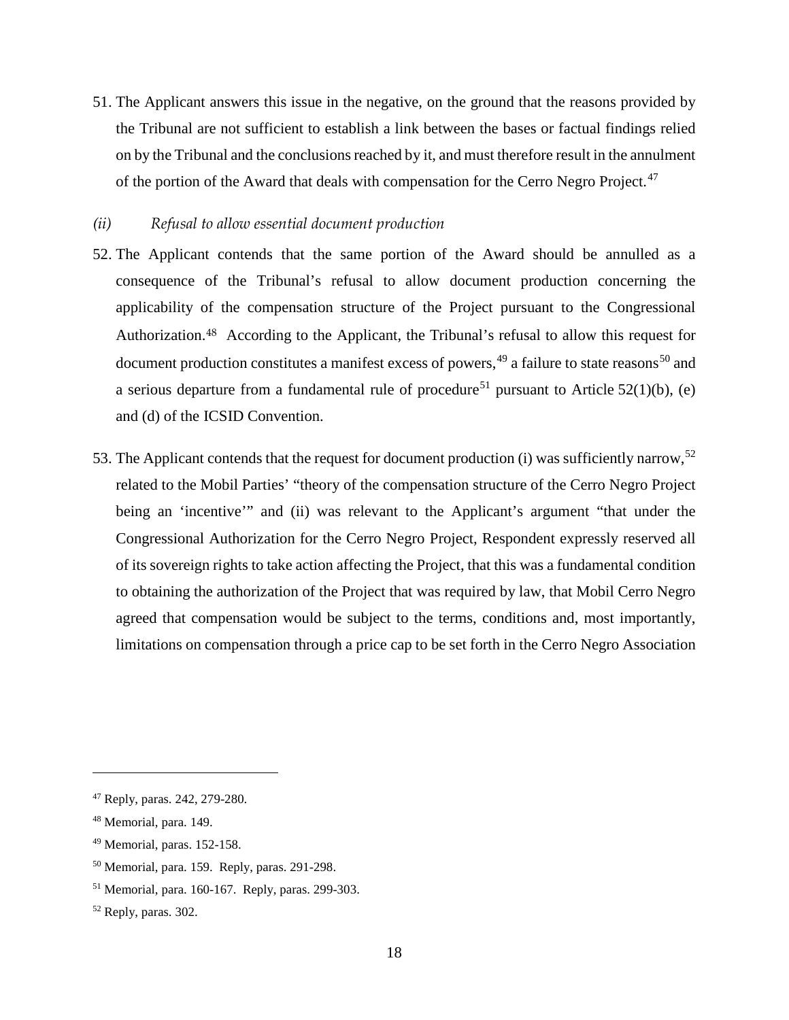51. The Applicant answers this issue in the negative, on the ground that the reasons provided by the Tribunal are not sufficient to establish a link between the bases or factual findings relied on by the Tribunal and the conclusions reached by it, and must therefore result in the annulment of the portion of the Award that deals with compensation for the Cerro Negro Project.<sup>[47](#page-21-1)</sup>

#### <span id="page-21-0"></span>*(ii) Refusal to allow essential document production*

- 52. The Applicant contends that the same portion of the Award should be annulled as a consequence of the Tribunal's refusal to allow document production concerning the applicability of the compensation structure of the Project pursuant to the Congressional Authorization.[48](#page-21-2) According to the Applicant, the Tribunal's refusal to allow this request for document production constitutes a manifest excess of powers,<sup>[49](#page-21-3)</sup> a failure to state reasons<sup>[50](#page-21-4)</sup> and a serious departure from a fundamental rule of procedure<sup>[51](#page-21-5)</sup> pursuant to Article 52(1)(b), (e) and (d) of the ICSID Convention.
- 53. The Applicant contends that the request for document production (i) was sufficiently narrow,<sup>[52](#page-21-6)</sup> related to the Mobil Parties' "theory of the compensation structure of the Cerro Negro Project being an 'incentive'" and (ii) was relevant to the Applicant's argument "that under the Congressional Authorization for the Cerro Negro Project, Respondent expressly reserved all of its sovereign rights to take action affecting the Project, that this was a fundamental condition to obtaining the authorization of the Project that was required by law, that Mobil Cerro Negro agreed that compensation would be subject to the terms, conditions and, most importantly, limitations on compensation through a price cap to be set forth in the Cerro Negro Association

<span id="page-21-1"></span><sup>47</sup> Reply, paras. 242, 279-280.

<span id="page-21-2"></span><sup>48</sup> Memorial, para. 149.

<span id="page-21-3"></span><sup>49</sup> Memorial, paras. 152-158.

<span id="page-21-4"></span><sup>50</sup> Memorial, para. 159. Reply, paras. 291-298.

<span id="page-21-5"></span><sup>51</sup> Memorial, para. 160-167. Reply, paras. 299-303.

<span id="page-21-6"></span><sup>52</sup> Reply, paras. 302.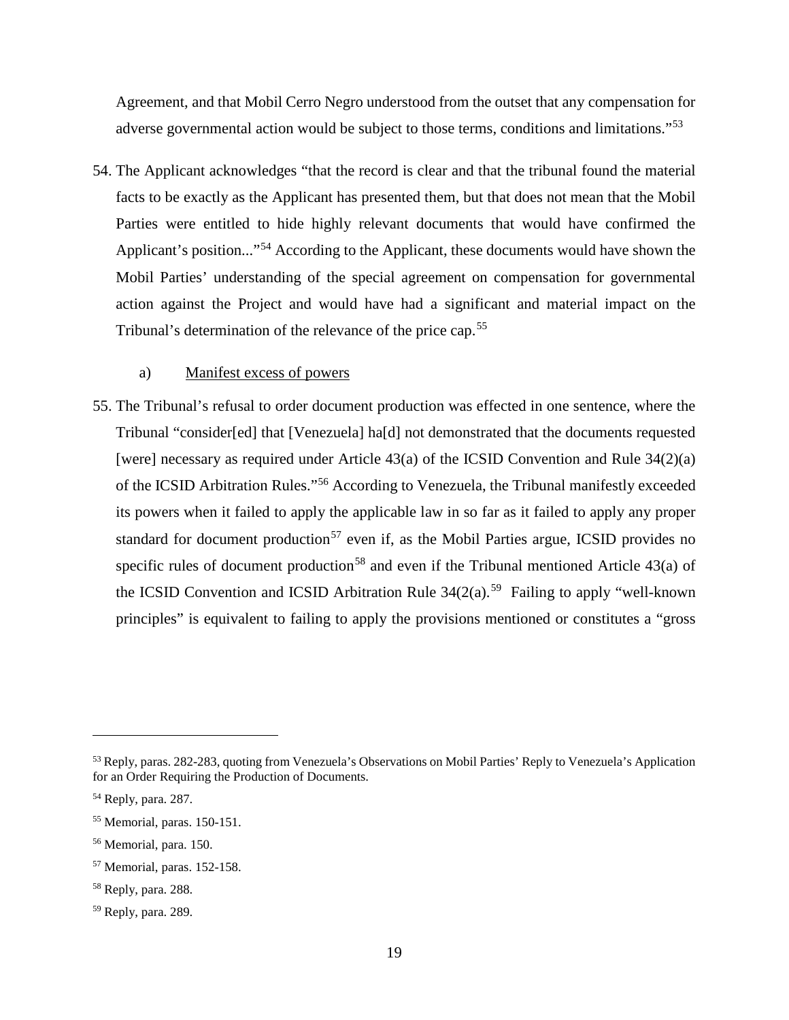Agreement, and that Mobil Cerro Negro understood from the outset that any compensation for adverse governmental action would be subject to those terms, conditions and limitations."<sup>[53](#page-22-0)</sup>

54. The Applicant acknowledges "that the record is clear and that the tribunal found the material facts to be exactly as the Applicant has presented them, but that does not mean that the Mobil Parties were entitled to hide highly relevant documents that would have confirmed the Applicant's position..."<sup>[54](#page-22-1)</sup> According to the Applicant, these documents would have shown the Mobil Parties' understanding of the special agreement on compensation for governmental action against the Project and would have had a significant and material impact on the Tribunal's determination of the relevance of the price cap.<sup>[55](#page-22-2)</sup>

### a) Manifest excess of powers

55. The Tribunal's refusal to order document production was effected in one sentence, where the Tribunal "consider[ed] that [Venezuela] ha[d] not demonstrated that the documents requested [were] necessary as required under Article 43(a) of the ICSID Convention and Rule 34(2)(a) of the ICSID Arbitration Rules."[56](#page-22-3) According to Venezuela, the Tribunal manifestly exceeded its powers when it failed to apply the applicable law in so far as it failed to apply any proper standard for document production<sup>[57](#page-22-4)</sup> even if, as the Mobil Parties argue, ICSID provides no specific rules of document production<sup>[58](#page-22-5)</sup> and even if the Tribunal mentioned Article  $43(a)$  of the ICSID Convention and ICSID Arbitration Rule  $34(2(a).<sup>59</sup>$  $34(2(a).<sup>59</sup>$  $34(2(a).<sup>59</sup>$  Failing to apply "well-known" principles" is equivalent to failing to apply the provisions mentioned or constitutes a "gross

<span id="page-22-0"></span><sup>53</sup> Reply, paras. 282-283, quoting from Venezuela's Observations on Mobil Parties' Reply to Venezuela's Application for an Order Requiring the Production of Documents.

<span id="page-22-1"></span><sup>54</sup> Reply, para. 287.

<span id="page-22-2"></span><sup>55</sup> Memorial, paras. 150-151.

<span id="page-22-3"></span><sup>56</sup> Memorial, para. 150.

<span id="page-22-4"></span><sup>57</sup> Memorial, paras. 152-158.

<span id="page-22-5"></span><sup>58</sup> Reply, para. 288.

<span id="page-22-6"></span><sup>59</sup> Reply, para. 289.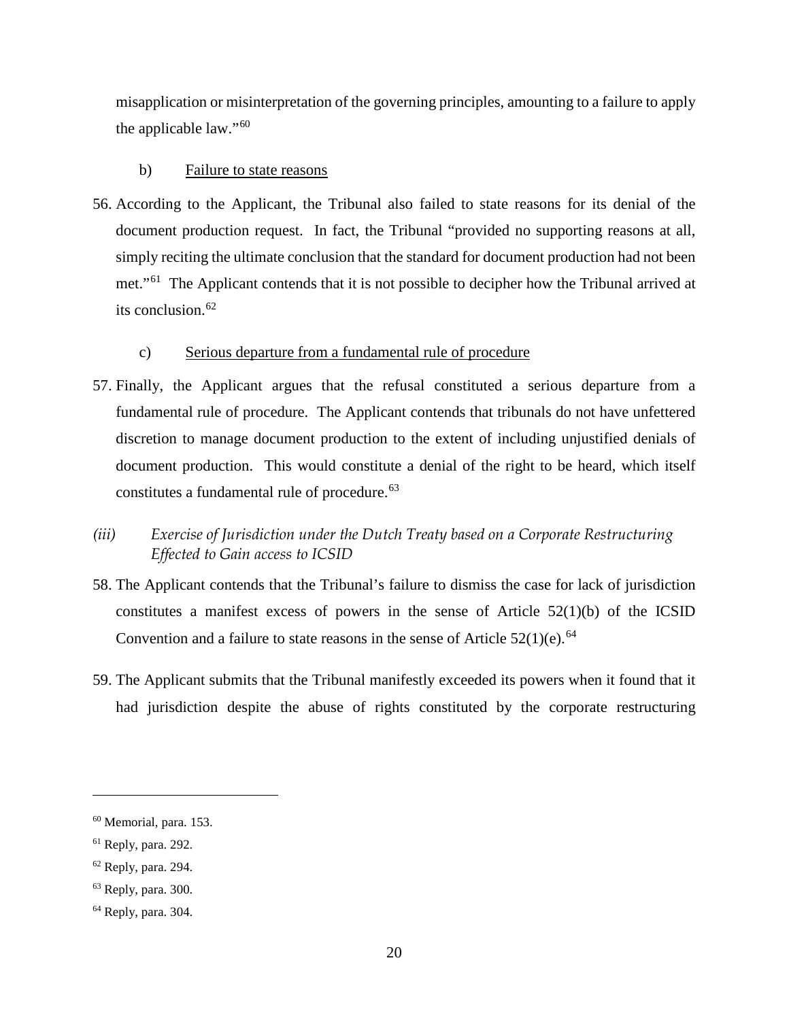misapplication or misinterpretation of the governing principles, amounting to a failure to apply the applicable law."[60](#page-23-1)

## b) Failure to state reasons

56. According to the Applicant, the Tribunal also failed to state reasons for its denial of the document production request. In fact, the Tribunal "provided no supporting reasons at all, simply reciting the ultimate conclusion that the standard for document production had not been met."<sup>[61](#page-23-2)</sup> The Applicant contends that it is not possible to decipher how the Tribunal arrived at its conclusion.<sup>[62](#page-23-3)</sup>

## c) Serious departure from a fundamental rule of procedure

- 57. Finally, the Applicant argues that the refusal constituted a serious departure from a fundamental rule of procedure. The Applicant contends that tribunals do not have unfettered discretion to manage document production to the extent of including unjustified denials of document production. This would constitute a denial of the right to be heard, which itself constitutes a fundamental rule of procedure.<sup>[63](#page-23-4)</sup>
- <span id="page-23-0"></span>*(iii) Exercise of Jurisdiction under the Dutch Treaty based on a Corporate Restructuring Effected to Gain access to ICSID*
- 58. The Applicant contends that the Tribunal's failure to dismiss the case for lack of jurisdiction constitutes a manifest excess of powers in the sense of Article  $52(1)(b)$  of the ICSID Convention and a failure to state reasons in the sense of Article  $52(1)(e)$ .<sup>[64](#page-23-5)</sup>
- 59. The Applicant submits that the Tribunal manifestly exceeded its powers when it found that it had jurisdiction despite the abuse of rights constituted by the corporate restructuring

<span id="page-23-1"></span><sup>60</sup> Memorial, para. 153.

<span id="page-23-2"></span><sup>61</sup> Reply, para. 292.

<span id="page-23-3"></span><sup>62</sup> Reply, para. 294.

<span id="page-23-4"></span> $63$  Reply, para. 300.

<span id="page-23-5"></span><sup>64</sup> Reply, para. 304.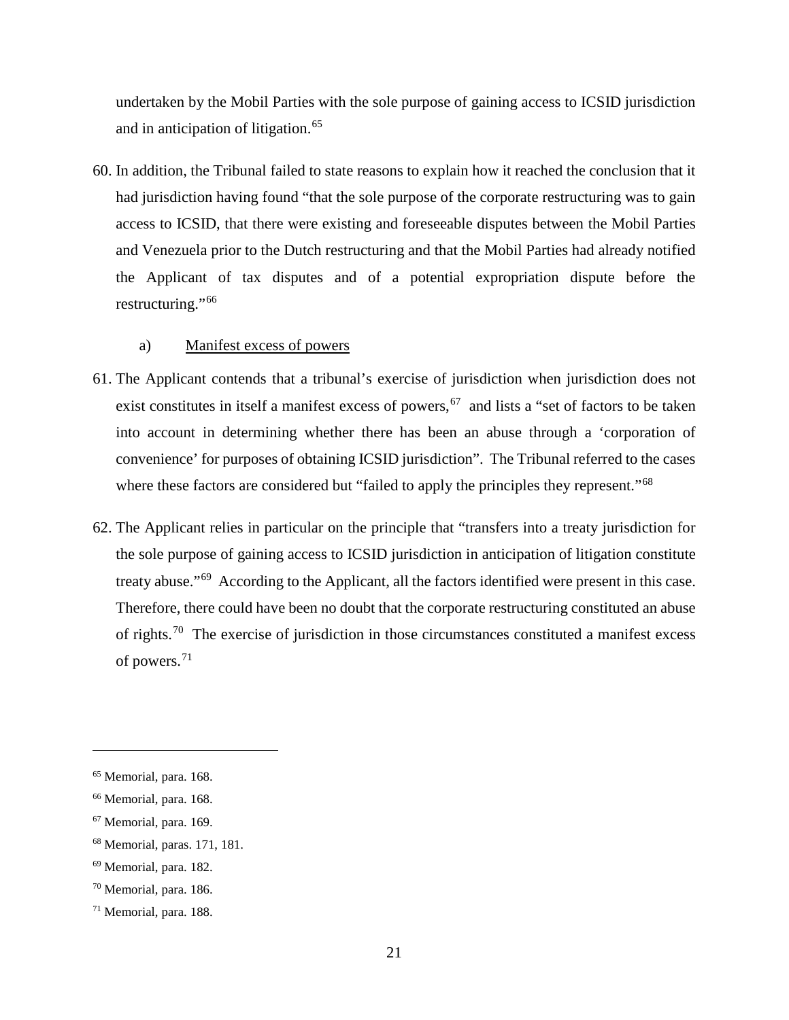undertaken by the Mobil Parties with the sole purpose of gaining access to ICSID jurisdiction and in anticipation of litigation. [65](#page-24-0)

60. In addition, the Tribunal failed to state reasons to explain how it reached the conclusion that it had jurisdiction having found "that the sole purpose of the corporate restructuring was to gain access to ICSID, that there were existing and foreseeable disputes between the Mobil Parties and Venezuela prior to the Dutch restructuring and that the Mobil Parties had already notified the Applicant of tax disputes and of a potential expropriation dispute before the restructuring."[66](#page-24-1)

## a) Manifest excess of powers

- 61. The Applicant contends that a tribunal's exercise of jurisdiction when jurisdiction does not exist constitutes in itself a manifest excess of powers,  $\frac{67}{100}$  and lists a "set of factors to be taken into account in determining whether there has been an abuse through a 'corporation of convenience' for purposes of obtaining ICSID jurisdiction". The Tribunal referred to the cases where these factors are considered but "failed to apply the principles they represent."<sup>[68](#page-24-3)</sup>
- 62. The Applicant relies in particular on the principle that "transfers into a treaty jurisdiction for the sole purpose of gaining access to ICSID jurisdiction in anticipation of litigation constitute treaty abuse."[69](#page-24-4) According to the Applicant, all the factors identified were present in this case. Therefore, there could have been no doubt that the corporate restructuring constituted an abuse of rights.<sup>[70](#page-24-5)</sup> The exercise of jurisdiction in those circumstances constituted a manifest excess of powers.[71](#page-24-6)

<span id="page-24-0"></span><sup>65</sup> Memorial, para. 168.

<span id="page-24-1"></span><sup>66</sup> Memorial, para. 168.

<span id="page-24-2"></span><sup>67</sup> Memorial, para. 169.

<span id="page-24-3"></span><sup>68</sup> Memorial, paras. 171, 181.

<span id="page-24-4"></span><sup>69</sup> Memorial, para. 182.

<span id="page-24-5"></span><sup>70</sup> Memorial, para. 186.

<span id="page-24-6"></span><sup>71</sup> Memorial, para. 188.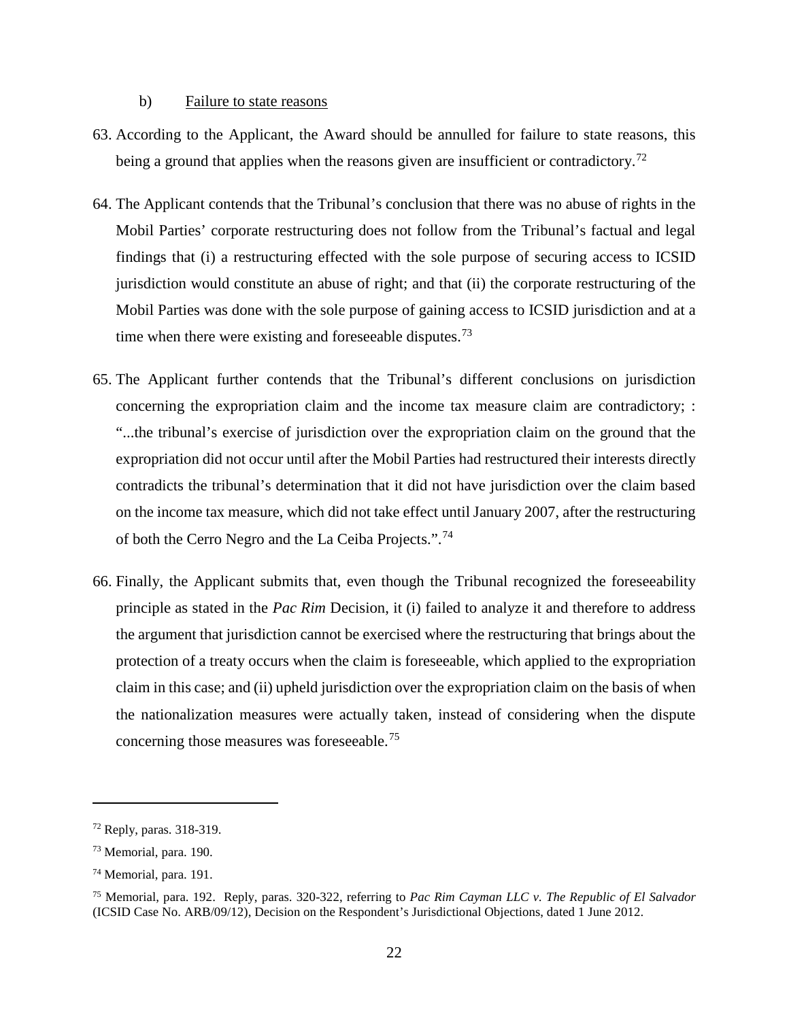#### b) Failure to state reasons

- 63. According to the Applicant, the Award should be annulled for failure to state reasons, this being a ground that applies when the reasons given are insufficient or contradictory.<sup>[72](#page-25-0)</sup>
- 64. The Applicant contends that the Tribunal's conclusion that there was no abuse of rights in the Mobil Parties' corporate restructuring does not follow from the Tribunal's factual and legal findings that (i) a restructuring effected with the sole purpose of securing access to ICSID jurisdiction would constitute an abuse of right; and that (ii) the corporate restructuring of the Mobil Parties was done with the sole purpose of gaining access to ICSID jurisdiction and at a time when there were existing and foreseeable disputes.<sup>[73](#page-25-1)</sup>
- 65. The Applicant further contends that the Tribunal's different conclusions on jurisdiction concerning the expropriation claim and the income tax measure claim are contradictory; : "...the tribunal's exercise of jurisdiction over the expropriation claim on the ground that the expropriation did not occur until after the Mobil Parties had restructured their interests directly contradicts the tribunal's determination that it did not have jurisdiction over the claim based on the income tax measure, which did not take effect until January 2007, after the restructuring of both the Cerro Negro and the La Ceiba Projects.".<sup>74</sup>
- 66. Finally, the Applicant submits that, even though the Tribunal recognized the foreseeability principle as stated in the *Pac Rim* Decision, it (i) failed to analyze it and therefore to address the argument that jurisdiction cannot be exercised where the restructuring that brings about the protection of a treaty occurs when the claim is foreseeable, which applied to the expropriation claim in this case; and (ii) upheld jurisdiction over the expropriation claim on the basis of when the nationalization measures were actually taken, instead of considering when the dispute concerning those measures was foreseeable. [75](#page-25-3)

<span id="page-25-0"></span><sup>72</sup> Reply, paras. 318-319.

<span id="page-25-1"></span><sup>73</sup> Memorial, para. 190.

<span id="page-25-2"></span><sup>74</sup> Memorial, para. 191.

<span id="page-25-3"></span><sup>75</sup> Memorial, para. 192. Reply, paras. 320-322, referring to *Pac Rim Cayman LLC v. The Republic of El Salvador* (ICSID Case No. ARB/09/12), Decision on the Respondent's Jurisdictional Objections, dated 1 June 2012.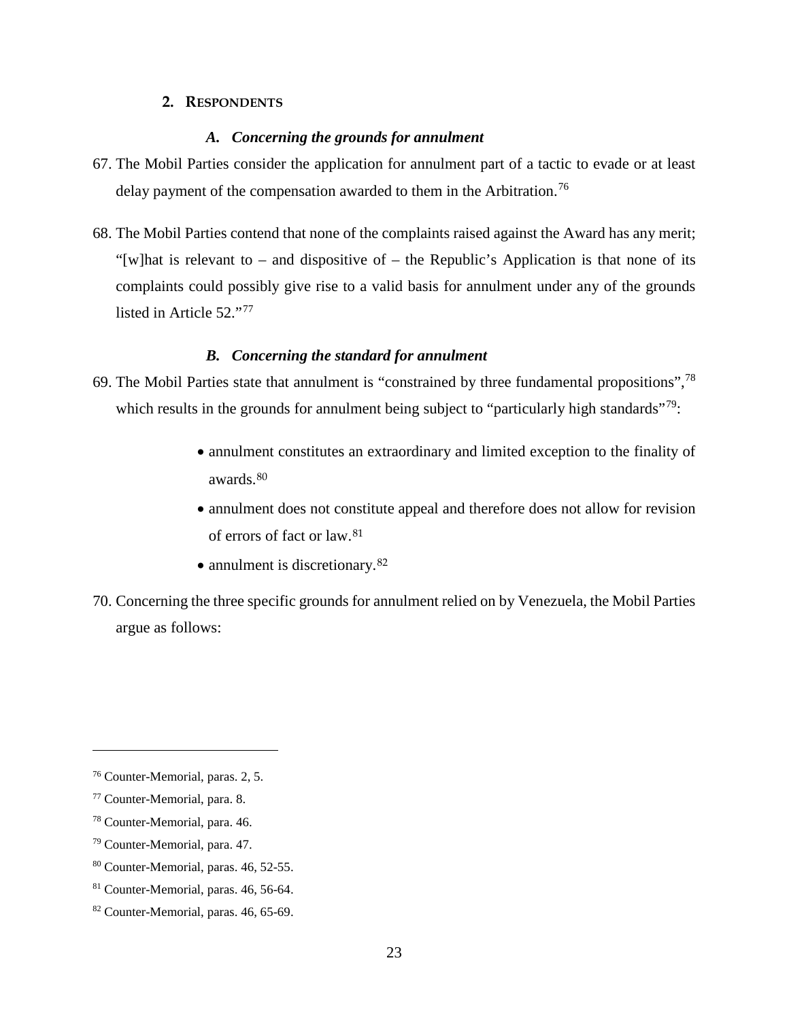#### **2. RESPONDENTS**

#### *A. Concerning the grounds for annulment*

- <span id="page-26-1"></span><span id="page-26-0"></span>67. The Mobil Parties consider the application for annulment part of a tactic to evade or at least delay payment of the compensation awarded to them in the Arbitration.<sup>[76](#page-26-3)</sup>
- 68. The Mobil Parties contend that none of the complaints raised against the Award has any merit; "[w]hat is relevant to – and dispositive of – the Republic's Application is that none of its complaints could possibly give rise to a valid basis for annulment under any of the grounds listed in Article 52."<sup>[77](#page-26-4)</sup>

## *B. Concerning the standard for annulment*

- <span id="page-26-2"></span>69. The Mobil Parties state that annulment is "constrained by three fundamental propositions", $78$ which results in the grounds for annulment being subject to "particularly high standards"<sup>[79](#page-26-6)</sup>:
	- annulment constitutes an extraordinary and limited exception to the finality of awards.[80](#page-26-7)
	- annulment does not constitute appeal and therefore does not allow for revision of errors of fact or law.[81](#page-26-8)
	- annulment is discretionary.<sup>82</sup>
- 70. Concerning the three specific grounds for annulment relied on by Venezuela, the Mobil Parties argue as follows:

<span id="page-26-3"></span><sup>76</sup> Counter-Memorial, paras. 2, 5.

<span id="page-26-4"></span><sup>77</sup> Counter-Memorial, para. 8.

<span id="page-26-5"></span><sup>78</sup> Counter-Memorial, para. 46.

<span id="page-26-6"></span><sup>79</sup> Counter-Memorial, para. 47.

<span id="page-26-7"></span><sup>80</sup> Counter-Memorial, paras. 46, 52-55.

<span id="page-26-8"></span><sup>81</sup> Counter-Memorial, paras. 46, 56-64.

<span id="page-26-9"></span><sup>82</sup> Counter-Memorial, paras. 46, 65-69.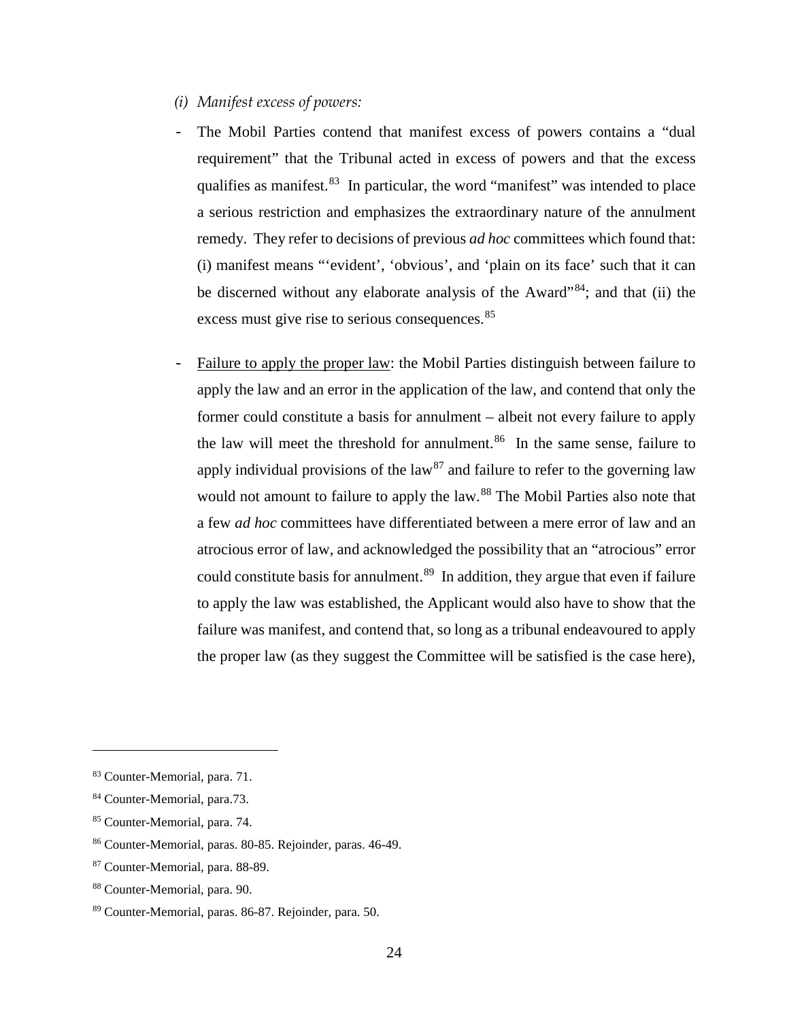- <span id="page-27-0"></span>*(i) Manifest excess of powers:*
- The Mobil Parties contend that manifest excess of powers contains a "dual" requirement" that the Tribunal acted in excess of powers and that the excess qualifies as manifest.<sup>83</sup> In particular, the word "manifest" was intended to place a serious restriction and emphasizes the extraordinary nature of the annulment remedy. They refer to decisions of previous *ad hoc* committees which found that: (i) manifest means "'evident', 'obvious', and 'plain on its face' such that it can be discerned without any elaborate analysis of the Award<sup>3[84](#page-27-2)</sup>; and that (ii) the excess must give rise to serious consequences.<sup>[85](#page-27-3)</sup>
- Failure to apply the proper law: the Mobil Parties distinguish between failure to apply the law and an error in the application of the law, and contend that only the former could constitute a basis for annulment – albeit not every failure to apply the law will meet the threshold for annulment. [86](#page-27-4) In the same sense, failure to apply individual provisions of the law<sup>[87](#page-27-5)</sup> and failure to refer to the governing law would not amount to failure to apply the law.<sup>[88](#page-27-6)</sup> The Mobil Parties also note that a few *ad hoc* committees have differentiated between a mere error of law and an atrocious error of law, and acknowledged the possibility that an "atrocious" error could constitute basis for annulment.<sup>[89](#page-27-7)</sup> In addition, they argue that even if failure to apply the law was established, the Applicant would also have to show that the failure was manifest, and contend that, so long as a tribunal endeavoured to apply the proper law (as they suggest the Committee will be satisfied is the case here),

<span id="page-27-1"></span><sup>83</sup> Counter-Memorial, para. 71.

<span id="page-27-2"></span><sup>84</sup> Counter-Memorial, para.73.

<span id="page-27-3"></span><sup>85</sup> Counter-Memorial, para. 74.

<span id="page-27-4"></span><sup>86</sup> Counter-Memorial, paras. 80-85. Rejoinder, paras. 46-49.

<span id="page-27-5"></span><sup>87</sup> Counter-Memorial, para. 88-89.

<span id="page-27-6"></span><sup>88</sup> Counter-Memorial, para. 90.

<span id="page-27-7"></span><sup>89</sup> Counter-Memorial, paras. 86-87. Rejoinder, para. 50.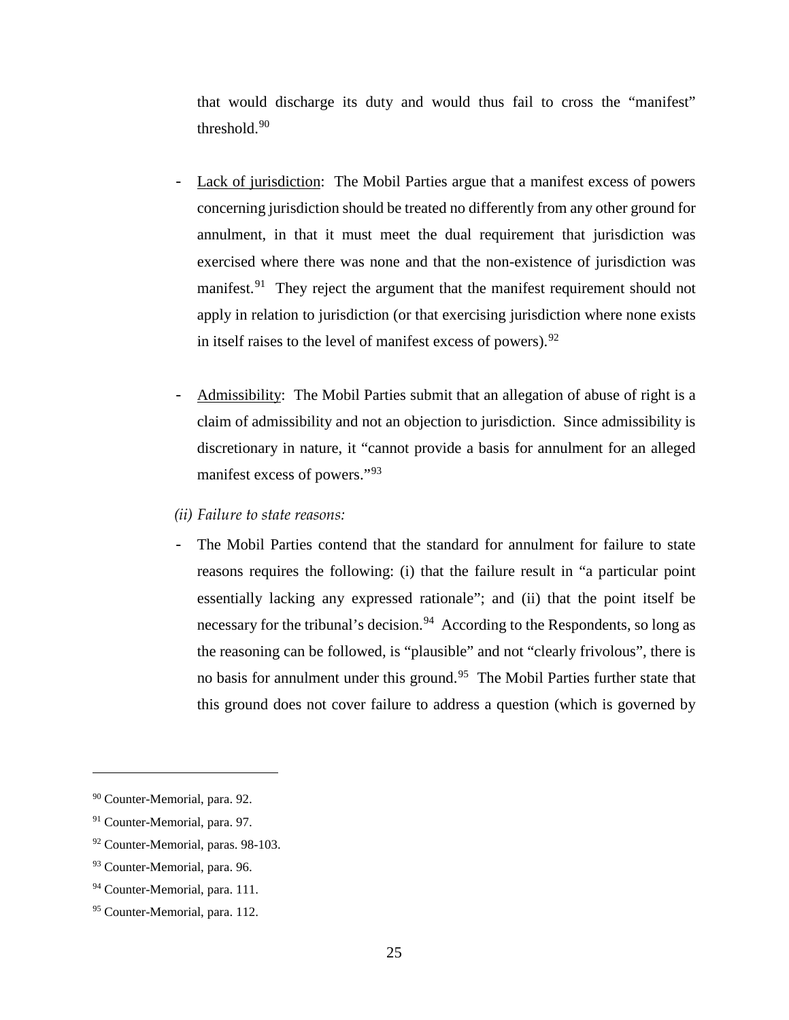that would discharge its duty and would thus fail to cross the "manifest" threshold.[90](#page-28-1)

- Lack of jurisdiction: The Mobil Parties argue that a manifest excess of powers concerning jurisdiction should be treated no differently from any other ground for annulment, in that it must meet the dual requirement that jurisdiction was exercised where there was none and that the non-existence of jurisdiction was manifest.<sup>[91](#page-28-2)</sup> They reject the argument that the manifest requirement should not apply in relation to jurisdiction (or that exercising jurisdiction where none exists in itself raises to the level of manifest excess of powers).  $92$
- Admissibility: The Mobil Parties submit that an allegation of abuse of right is a claim of admissibility and not an objection to jurisdiction. Since admissibility is discretionary in nature, it "cannot provide a basis for annulment for an alleged manifest excess of powers."[93](#page-28-4)
- <span id="page-28-0"></span>*(ii) Failure to state reasons:*
- The Mobil Parties contend that the standard for annulment for failure to state reasons requires the following: (i) that the failure result in "a particular point essentially lacking any expressed rationale"; and (ii) that the point itself be necessary for the tribunal's decision.<sup>[94](#page-28-5)</sup> According to the Respondents, so long as the reasoning can be followed, is "plausible" and not "clearly frivolous", there is no basis for annulment under this ground.<sup>95</sup> The Mobil Parties further state that this ground does not cover failure to address a question (which is governed by

<span id="page-28-1"></span><sup>90</sup> Counter-Memorial, para. 92.

<span id="page-28-2"></span><sup>&</sup>lt;sup>91</sup> Counter-Memorial, para. 97.

<span id="page-28-3"></span><sup>92</sup> Counter-Memorial, paras. 98-103.

<span id="page-28-4"></span><sup>93</sup> Counter-Memorial, para. 96.

<span id="page-28-5"></span><sup>&</sup>lt;sup>94</sup> Counter-Memorial, para. 111.

<span id="page-28-6"></span><sup>95</sup> Counter-Memorial, para. 112.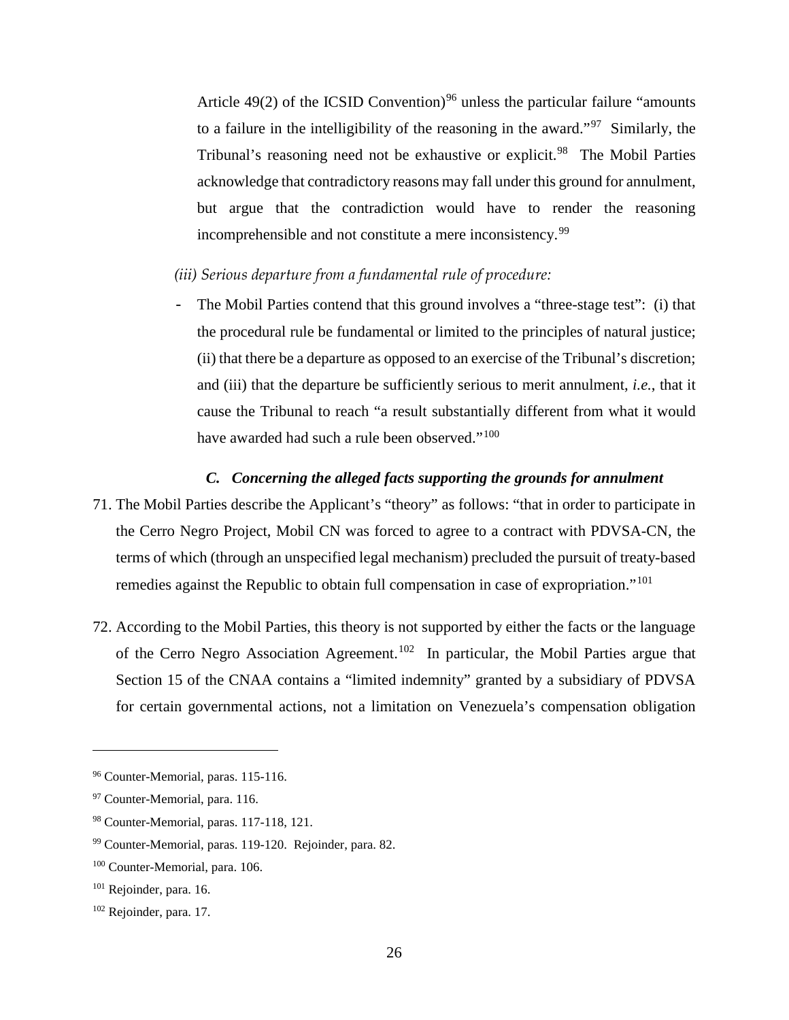Article 49(2) of the ICSID Convention)<sup>[96](#page-29-2)</sup> unless the particular failure "amounts" to a failure in the intelligibility of the reasoning in the award."<sup>97</sup> Similarly, the Tribunal's reasoning need not be exhaustive or explicit.<sup>98</sup> The Mobil Parties acknowledge that contradictory reasons may fall under this ground for annulment, but argue that the contradiction would have to render the reasoning incomprehensible and not constitute a mere inconsistency.<sup>[99](#page-29-5)</sup>

## <span id="page-29-0"></span>*(iii) Serious departure from a fundamental rule of procedure:*

The Mobil Parties contend that this ground involves a "three-stage test": (i) that the procedural rule be fundamental or limited to the principles of natural justice; (ii) that there be a departure as opposed to an exercise of the Tribunal's discretion; and (iii) that the departure be sufficiently serious to merit annulment, *i.e.*, that it cause the Tribunal to reach "a result substantially different from what it would have awarded had such a rule been observed."<sup>100</sup>

### *C. Concerning the alleged facts supporting the grounds for annulment*

- <span id="page-29-1"></span>71. The Mobil Parties describe the Applicant's "theory" as follows: "that in order to participate in the Cerro Negro Project, Mobil CN was forced to agree to a contract with PDVSA-CN, the terms of which (through an unspecified legal mechanism) precluded the pursuit of treaty-based remedies against the Republic to obtain full compensation in case of expropriation."[101](#page-29-7)
- 72. According to the Mobil Parties, this theory is not supported by either the facts or the language of the Cerro Negro Association Agreement.<sup>102</sup> In particular, the Mobil Parties argue that Section 15 of the CNAA contains a "limited indemnity" granted by a subsidiary of PDVSA for certain governmental actions, not a limitation on Venezuela's compensation obligation

<span id="page-29-2"></span><sup>&</sup>lt;sup>96</sup> Counter-Memorial, paras. 115-116.

<span id="page-29-3"></span><sup>&</sup>lt;sup>97</sup> Counter-Memorial, para. 116.

<span id="page-29-4"></span><sup>98</sup> Counter-Memorial, paras. 117-118, 121.

<span id="page-29-5"></span><sup>99</sup> Counter-Memorial, paras. 119-120. Rejoinder, para. 82.

<span id="page-29-6"></span><sup>100</sup> Counter-Memorial, para. 106.

<span id="page-29-7"></span><sup>&</sup>lt;sup>101</sup> Rejoinder, para. 16.

<span id="page-29-8"></span><sup>102</sup> Rejoinder, para. 17.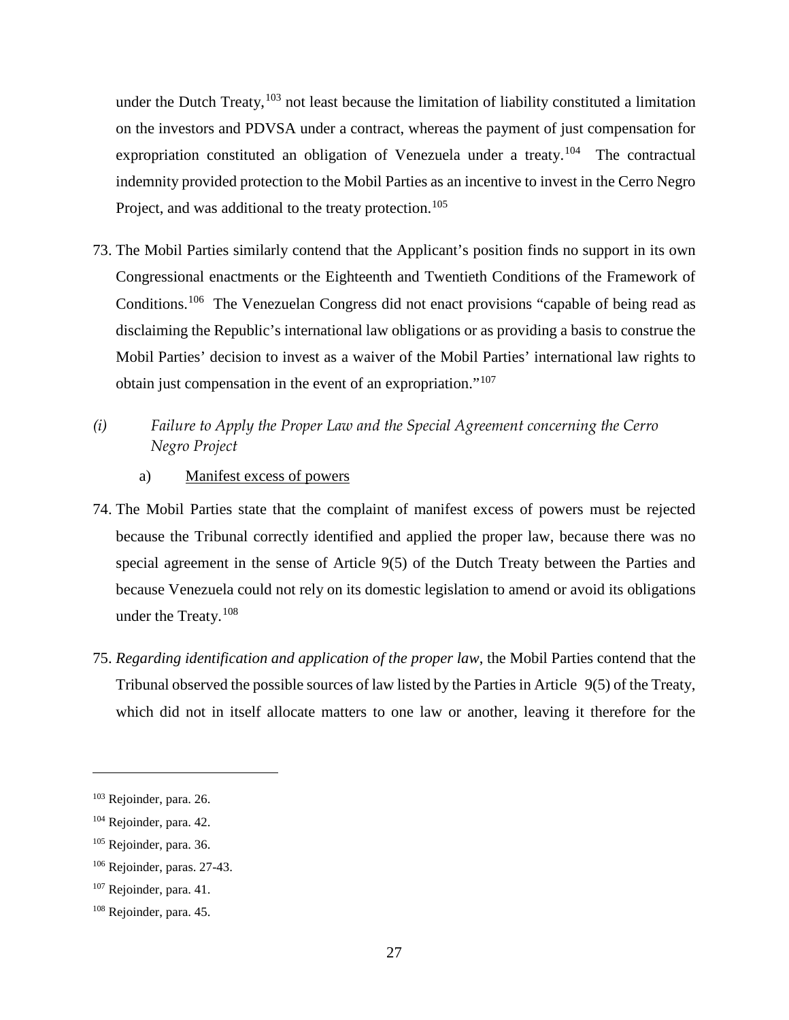under the Dutch Treaty,  $103$  not least because the limitation of liability constituted a limitation on the investors and PDVSA under a contract, whereas the payment of just compensation for expropriation constituted an obligation of Venezuela under a treaty.<sup>104</sup> The contractual indemnity provided protection to the Mobil Parties as an incentive to invest in the Cerro Negro Project, and was additional to the treaty protection.<sup>[105](#page-30-3)</sup>

- 73. The Mobil Parties similarly contend that the Applicant's position finds no support in its own Congressional enactments or the Eighteenth and Twentieth Conditions of the Framework of Conditions.[106](#page-30-4) The Venezuelan Congress did not enact provisions "capable of being read as disclaiming the Republic's international law obligations or as providing a basis to construe the Mobil Parties' decision to invest as a waiver of the Mobil Parties' international law rights to obtain just compensation in the event of an expropriation."[107](#page-30-5)
- <span id="page-30-0"></span>*(i) Failure to Apply the Proper Law and the Special Agreement concerning the Cerro Negro Project* 
	- a) Manifest excess of powers
- 74. The Mobil Parties state that the complaint of manifest excess of powers must be rejected because the Tribunal correctly identified and applied the proper law, because there was no special agreement in the sense of Article 9(5) of the Dutch Treaty between the Parties and because Venezuela could not rely on its domestic legislation to amend or avoid its obligations under the Treaty. [108](#page-30-6)
- 75. *Regarding identification and application of the proper law*, the Mobil Parties contend that the Tribunal observed the possible sources of law listed by the Parties in Article 9(5) of the Treaty, which did not in itself allocate matters to one law or another, leaving it therefore for the

<span id="page-30-1"></span><sup>103</sup> Rejoinder, para. 26.

<span id="page-30-2"></span><sup>&</sup>lt;sup>104</sup> Rejoinder, para. 42.

<span id="page-30-3"></span><sup>105</sup> Rejoinder, para. 36.

<span id="page-30-4"></span><sup>106</sup> Rejoinder, paras. 27-43.

<span id="page-30-5"></span><sup>&</sup>lt;sup>107</sup> Rejoinder, para. 41.

<span id="page-30-6"></span><sup>108</sup> Rejoinder, para. 45.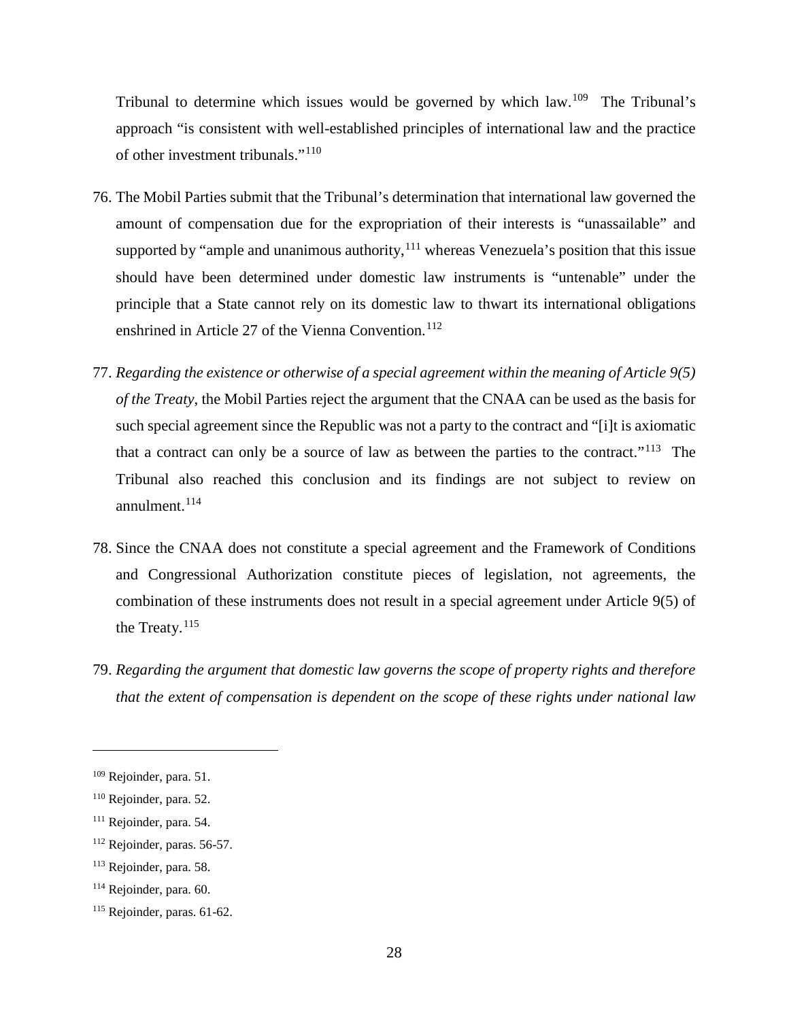Tribunal to determine which issues would be governed by which law.[109](#page-31-0) The Tribunal's approach "is consistent with well-established principles of international law and the practice of other investment tribunals."<sup>[110](#page-31-1)</sup>

- 76. The Mobil Parties submit that the Tribunal's determination that international law governed the amount of compensation due for the expropriation of their interests is "unassailable" and supported by "ample and unanimous authority, <sup>[111](#page-31-2)</sup> whereas Venezuela's position that this issue should have been determined under domestic law instruments is "untenable" under the principle that a State cannot rely on its domestic law to thwart its international obligations enshrined in Article 27 of the Vienna Convention. [112](#page-31-3)
- 77. *Regarding the existence or otherwise of a special agreement within the meaning of Article 9(5) of the Treaty*, the Mobil Parties reject the argument that the CNAA can be used as the basis for such special agreement since the Republic was not a party to the contract and "[i]t is axiomatic that a contract can only be a source of law as between the parties to the contract."[113](#page-31-4) The Tribunal also reached this conclusion and its findings are not subject to review on annulment.[114](#page-31-5)
- 78. Since the CNAA does not constitute a special agreement and the Framework of Conditions and Congressional Authorization constitute pieces of legislation, not agreements, the combination of these instruments does not result in a special agreement under Article 9(5) of the Treaty. $115$
- 79. *Regarding the argument that domestic law governs the scope of property rights and therefore that the extent of compensation is dependent on the scope of these rights under national law*

<span id="page-31-0"></span><sup>109</sup> Rejoinder, para. 51.

<span id="page-31-1"></span><sup>110</sup> Rejoinder, para. 52.

<span id="page-31-2"></span><sup>&</sup>lt;sup>111</sup> Rejoinder, para. 54.

<span id="page-31-3"></span><sup>112</sup> Rejoinder, paras. 56-57.

<span id="page-31-4"></span><sup>113</sup> Rejoinder, para. 58.

<span id="page-31-5"></span><sup>114</sup> Rejoinder, para. 60.

<span id="page-31-6"></span><sup>115</sup> Rejoinder, paras. 61-62.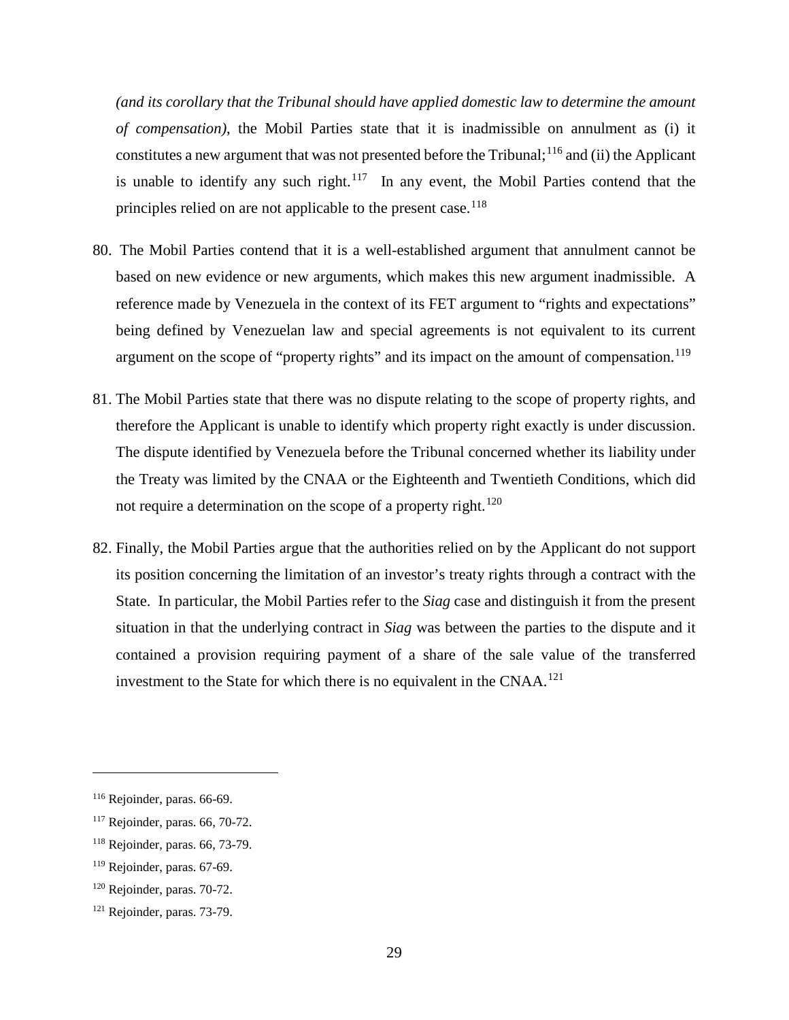*(and its corollary that the Tribunal should have applied domestic law to determine the amount of compensation)*, the Mobil Parties state that it is inadmissible on annulment as (i) it constitutes a new argument that was not presented before the Tribunal;  $^{116}$  $^{116}$  $^{116}$  and (ii) the Applicant is unable to identify any such right.<sup>[117](#page-32-1)</sup> In any event, the Mobil Parties contend that the principles relied on are not applicable to the present case.<sup>[118](#page-32-2)</sup>

- 80. The Mobil Parties contend that it is a well-established argument that annulment cannot be based on new evidence or new arguments, which makes this new argument inadmissible. A reference made by Venezuela in the context of its FET argument to "rights and expectations" being defined by Venezuelan law and special agreements is not equivalent to its current argument on the scope of "property rights" and its impact on the amount of compensation.<sup>[119](#page-32-3)</sup>
- 81. The Mobil Parties state that there was no dispute relating to the scope of property rights, and therefore the Applicant is unable to identify which property right exactly is under discussion. The dispute identified by Venezuela before the Tribunal concerned whether its liability under the Treaty was limited by the CNAA or the Eighteenth and Twentieth Conditions, which did not require a determination on the scope of a property right.<sup>[120](#page-32-4)</sup>
- 82. Finally, the Mobil Parties argue that the authorities relied on by the Applicant do not support its position concerning the limitation of an investor's treaty rights through a contract with the State. In particular, the Mobil Parties refer to the *Siag* case and distinguish it from the present situation in that the underlying contract in *Siag* was between the parties to the dispute and it contained a provision requiring payment of a share of the sale value of the transferred investment to the State for which there is no equivalent in the CNAA.<sup>[121](#page-32-5)</sup>

<span id="page-32-0"></span><sup>116</sup> Rejoinder, paras. 66-69.

<span id="page-32-1"></span><sup>117</sup> Rejoinder, paras. 66, 70-72.

<span id="page-32-2"></span><sup>118</sup> Rejoinder, paras. 66, 73-79.

<span id="page-32-3"></span><sup>119</sup> Rejoinder, paras. 67-69.

<span id="page-32-4"></span><sup>120</sup> Rejoinder, paras. 70-72.

<span id="page-32-5"></span><sup>121</sup> Rejoinder, paras. 73-79.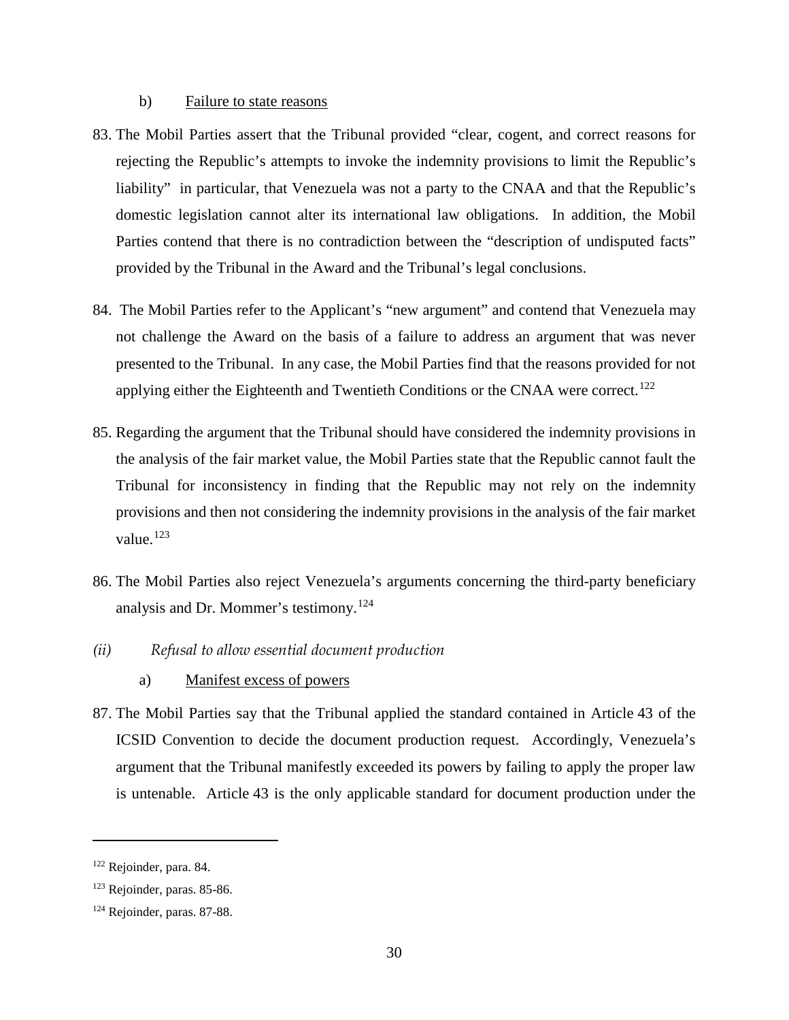#### b) Failure to state reasons

- 83. The Mobil Parties assert that the Tribunal provided "clear, cogent, and correct reasons for rejecting the Republic's attempts to invoke the indemnity provisions to limit the Republic's liability" in particular, that Venezuela was not a party to the CNAA and that the Republic's domestic legislation cannot alter its international law obligations. In addition, the Mobil Parties contend that there is no contradiction between the "description of undisputed facts" provided by the Tribunal in the Award and the Tribunal's legal conclusions.
- 84. The Mobil Parties refer to the Applicant's "new argument" and contend that Venezuela may not challenge the Award on the basis of a failure to address an argument that was never presented to the Tribunal. In any case, the Mobil Parties find that the reasons provided for not applying either the Eighteenth and Twentieth Conditions or the CNAA were correct.<sup>[122](#page-33-1)</sup>
- 85. Regarding the argument that the Tribunal should have considered the indemnity provisions in the analysis of the fair market value, the Mobil Parties state that the Republic cannot fault the Tribunal for inconsistency in finding that the Republic may not rely on the indemnity provisions and then not considering the indemnity provisions in the analysis of the fair market value. $123$
- 86. The Mobil Parties also reject Venezuela's arguments concerning the third-party beneficiary analysis and Dr. Mommer's testimony.<sup>[124](#page-33-3)</sup>
- <span id="page-33-0"></span>*(ii) Refusal to allow essential document production* 
	- a) Manifest excess of powers
- 87. The Mobil Parties say that the Tribunal applied the standard contained in Article 43 of the ICSID Convention to decide the document production request. Accordingly, Venezuela's argument that the Tribunal manifestly exceeded its powers by failing to apply the proper law is untenable. Article 43 is the only applicable standard for document production under the

<span id="page-33-1"></span><sup>122</sup> Rejoinder, para. 84.

<span id="page-33-2"></span><sup>123</sup> Rejoinder, paras. 85-86.

<span id="page-33-3"></span><sup>124</sup> Rejoinder, paras. 87-88.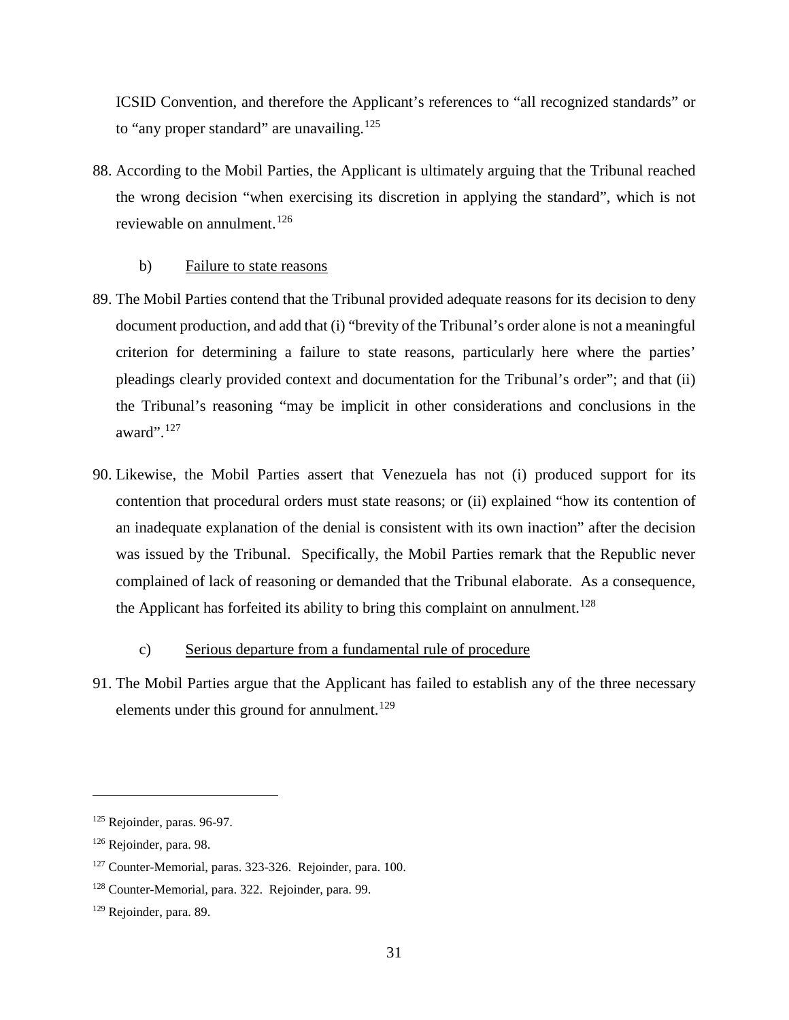ICSID Convention, and therefore the Applicant's references to "all recognized standards" or to "any proper standard" are unavailing.<sup>[125](#page-34-0)</sup>

88. According to the Mobil Parties, the Applicant is ultimately arguing that the Tribunal reached the wrong decision "when exercising its discretion in applying the standard", which is not reviewable on annulment. [126](#page-34-1)

## b) Failure to state reasons

- 89. The Mobil Parties contend that the Tribunal provided adequate reasons for its decision to deny document production, and add that (i) "brevity of the Tribunal's order alone is not a meaningful criterion for determining a failure to state reasons, particularly here where the parties' pleadings clearly provided context and documentation for the Tribunal's order"; and that (ii) the Tribunal's reasoning "may be implicit in other considerations and conclusions in the award".[127](#page-34-2)
- 90. Likewise, the Mobil Parties assert that Venezuela has not (i) produced support for its contention that procedural orders must state reasons; or (ii) explained "how its contention of an inadequate explanation of the denial is consistent with its own inaction" after the decision was issued by the Tribunal. Specifically, the Mobil Parties remark that the Republic never complained of lack of reasoning or demanded that the Tribunal elaborate. As a consequence, the Applicant has forfeited its ability to bring this complaint on annulment.<sup>[128](#page-34-3)</sup>

## c) Serious departure from a fundamental rule of procedure

91. The Mobil Parties argue that the Applicant has failed to establish any of the three necessary elements under this ground for annulment.<sup>[129](#page-34-4)</sup>

<span id="page-34-0"></span><sup>125</sup> Rejoinder, paras. 96-97.

<span id="page-34-1"></span><sup>126</sup> Rejoinder, para. 98.

<span id="page-34-2"></span><sup>127</sup> Counter-Memorial, paras. 323-326. Rejoinder, para. 100.

<span id="page-34-3"></span><sup>128</sup> Counter-Memorial, para. 322. Rejoinder, para. 99.

<span id="page-34-4"></span><sup>129</sup> Rejoinder, para. 89.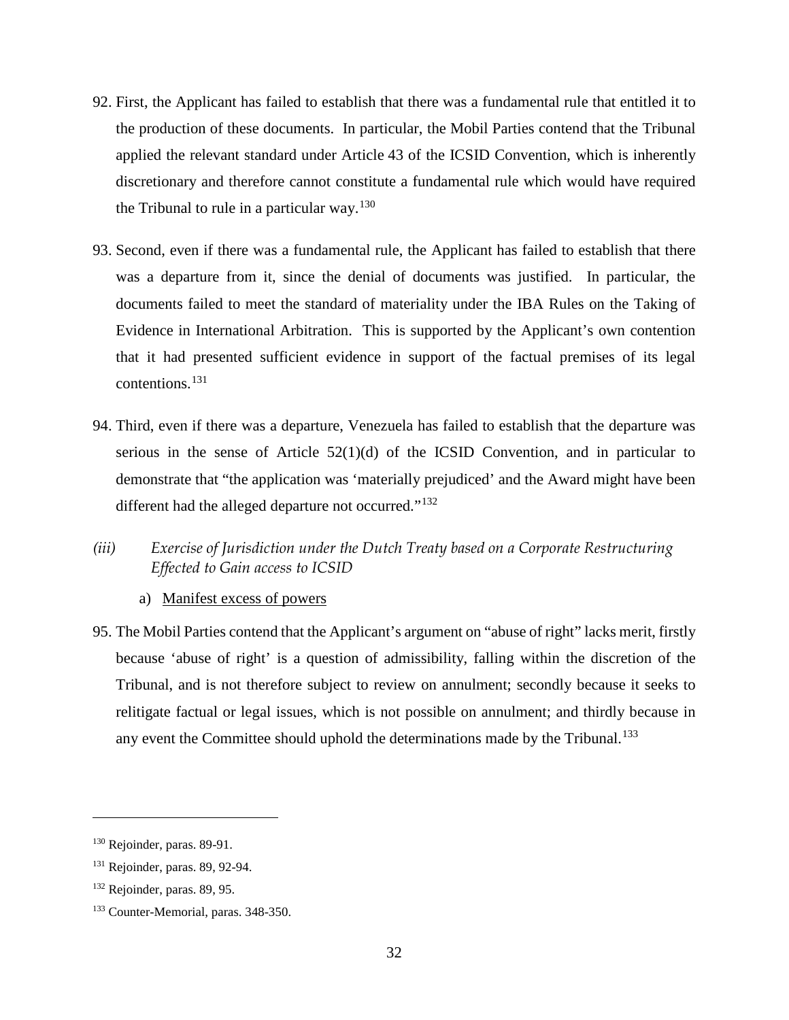- 92. First, the Applicant has failed to establish that there was a fundamental rule that entitled it to the production of these documents. In particular, the Mobil Parties contend that the Tribunal applied the relevant standard under Article 43 of the ICSID Convention, which is inherently discretionary and therefore cannot constitute a fundamental rule which would have required the Tribunal to rule in a particular way.<sup>[130](#page-35-1)</sup>
- 93. Second, even if there was a fundamental rule, the Applicant has failed to establish that there was a departure from it, since the denial of documents was justified. In particular, the documents failed to meet the standard of materiality under the IBA Rules on the Taking of Evidence in International Arbitration. This is supported by the Applicant's own contention that it had presented sufficient evidence in support of the factual premises of its legal contentions.[131](#page-35-2)
- 94. Third, even if there was a departure, Venezuela has failed to establish that the departure was serious in the sense of Article  $52(1)(d)$  of the ICSID Convention, and in particular to demonstrate that "the application was 'materially prejudiced' and the Award might have been different had the alleged departure not occurred."<sup>[132](#page-35-3)</sup>
- <span id="page-35-0"></span>*(iii) Exercise of Jurisdiction under the Dutch Treaty based on a Corporate Restructuring Effected to Gain access to ICSID*
	- a) Manifest excess of powers
- 95. The Mobil Parties contend that the Applicant's argument on "abuse of right" lacks merit, firstly because 'abuse of right' is a question of admissibility, falling within the discretion of the Tribunal, and is not therefore subject to review on annulment; secondly because it seeks to relitigate factual or legal issues, which is not possible on annulment; and thirdly because in any event the Committee should uphold the determinations made by the Tribunal.<sup>[133](#page-35-4)</sup>

<span id="page-35-1"></span><sup>130</sup> Rejoinder, paras. 89-91.

<span id="page-35-2"></span><sup>131</sup> Rejoinder, paras. 89, 92-94.

<span id="page-35-3"></span><sup>132</sup> Rejoinder, paras. 89, 95.

<span id="page-35-4"></span><sup>133</sup> Counter-Memorial, paras. 348-350.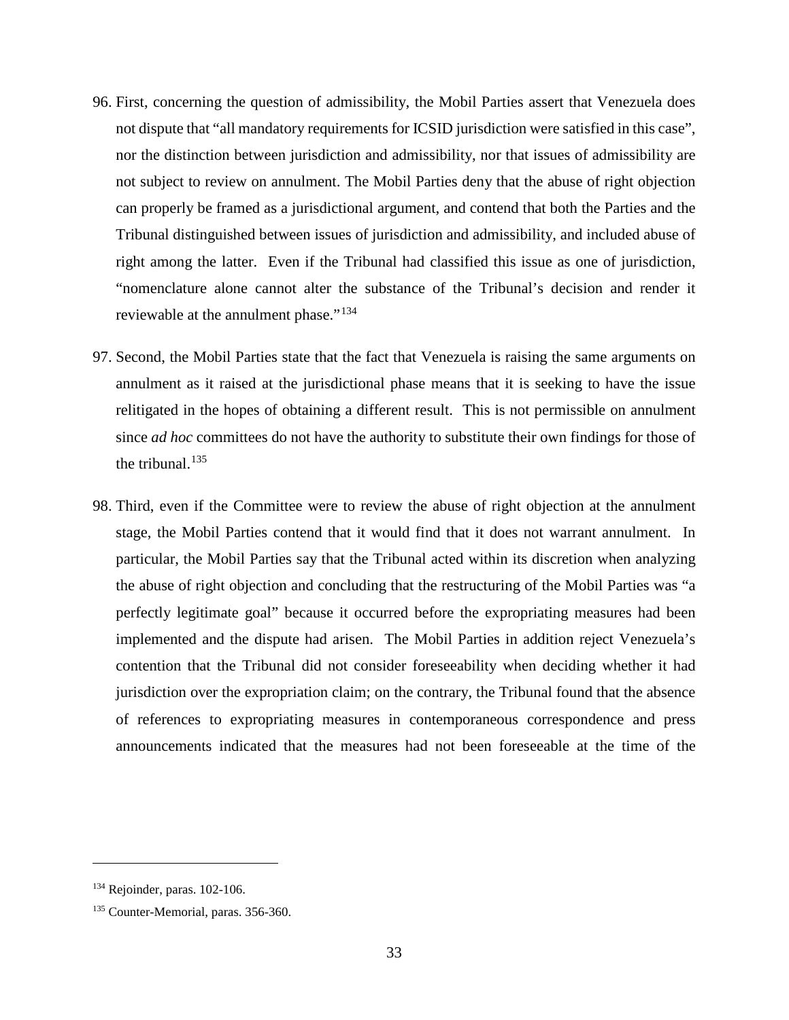- 96. First, concerning the question of admissibility, the Mobil Parties assert that Venezuela does not dispute that "all mandatory requirements for ICSID jurisdiction were satisfied in this case", nor the distinction between jurisdiction and admissibility, nor that issues of admissibility are not subject to review on annulment. The Mobil Parties deny that the abuse of right objection can properly be framed as a jurisdictional argument, and contend that both the Parties and the Tribunal distinguished between issues of jurisdiction and admissibility, and included abuse of right among the latter. Even if the Tribunal had classified this issue as one of jurisdiction, "nomenclature alone cannot alter the substance of the Tribunal's decision and render it reviewable at the annulment phase."<sup>[134](#page-36-0)</sup>
- 97. Second, the Mobil Parties state that the fact that Venezuela is raising the same arguments on annulment as it raised at the jurisdictional phase means that it is seeking to have the issue relitigated in the hopes of obtaining a different result. This is not permissible on annulment since *ad hoc* committees do not have the authority to substitute their own findings for those of the tribunal. $135$
- 98. Third, even if the Committee were to review the abuse of right objection at the annulment stage, the Mobil Parties contend that it would find that it does not warrant annulment. In particular, the Mobil Parties say that the Tribunal acted within its discretion when analyzing the abuse of right objection and concluding that the restructuring of the Mobil Parties was "a perfectly legitimate goal" because it occurred before the expropriating measures had been implemented and the dispute had arisen. The Mobil Parties in addition reject Venezuela's contention that the Tribunal did not consider foreseeability when deciding whether it had jurisdiction over the expropriation claim; on the contrary, the Tribunal found that the absence of references to expropriating measures in contemporaneous correspondence and press announcements indicated that the measures had not been foreseeable at the time of the

<span id="page-36-0"></span><sup>134</sup> Rejoinder, paras. 102-106.

<span id="page-36-1"></span><sup>&</sup>lt;sup>135</sup> Counter-Memorial, paras. 356-360.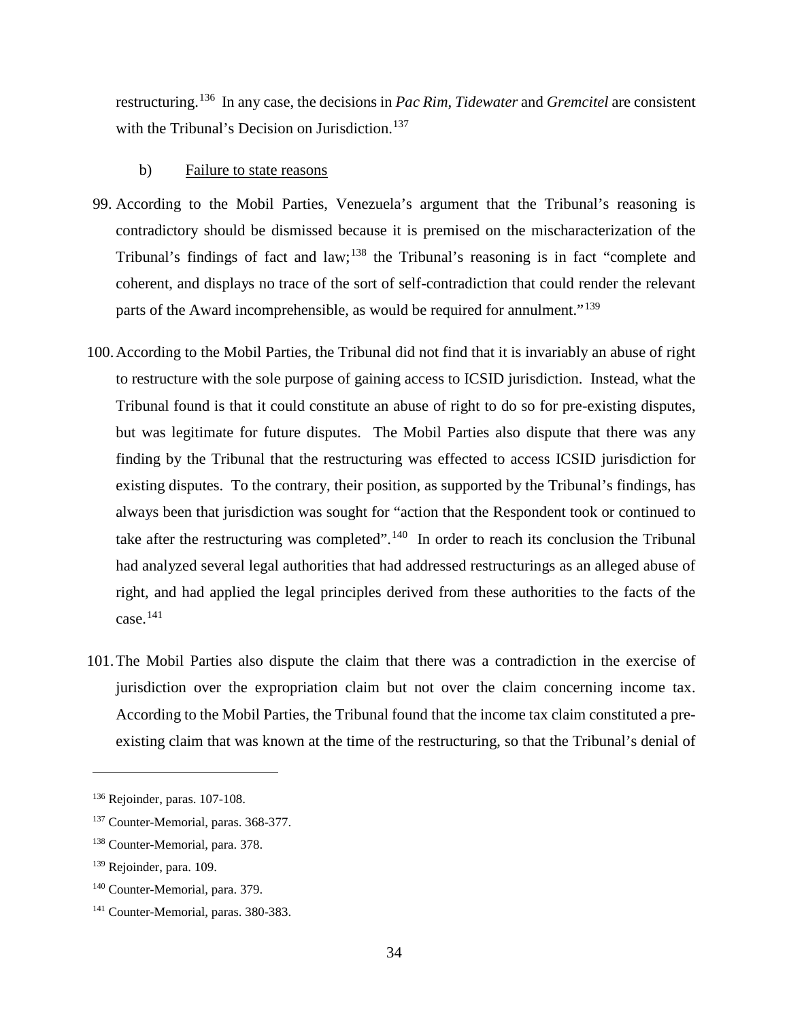restructuring.[136](#page-37-0) In any case, the decisions in *Pac Rim*, *Tidewater* and *Gremcitel* are consistent with the Tribunal's Decision on Jurisdiction.<sup>[137](#page-37-1)</sup>

### b) Failure to state reasons

- 99. According to the Mobil Parties, Venezuela's argument that the Tribunal's reasoning is contradictory should be dismissed because it is premised on the mischaracterization of the Tribunal's findings of fact and law;<sup>[138](#page-37-2)</sup> the Tribunal's reasoning is in fact "complete and coherent, and displays no trace of the sort of self-contradiction that could render the relevant parts of the Award incomprehensible, as would be required for annulment."<sup>[139](#page-37-3)</sup>
- 100.According to the Mobil Parties, the Tribunal did not find that it is invariably an abuse of right to restructure with the sole purpose of gaining access to ICSID jurisdiction. Instead, what the Tribunal found is that it could constitute an abuse of right to do so for pre-existing disputes, but was legitimate for future disputes. The Mobil Parties also dispute that there was any finding by the Tribunal that the restructuring was effected to access ICSID jurisdiction for existing disputes. To the contrary, their position, as supported by the Tribunal's findings, has always been that jurisdiction was sought for "action that the Respondent took or continued to take after the restructuring was completed".<sup>[140](#page-37-4)</sup> In order to reach its conclusion the Tribunal had analyzed several legal authorities that had addressed restructurings as an alleged abuse of right, and had applied the legal principles derived from these authorities to the facts of the case.[141](#page-37-5)
- 101.The Mobil Parties also dispute the claim that there was a contradiction in the exercise of jurisdiction over the expropriation claim but not over the claim concerning income tax. According to the Mobil Parties, the Tribunal found that the income tax claim constituted a preexisting claim that was known at the time of the restructuring, so that the Tribunal's denial of

<span id="page-37-0"></span><sup>136</sup> Rejoinder, paras. 107-108.

<span id="page-37-1"></span><sup>&</sup>lt;sup>137</sup> Counter-Memorial, paras. 368-377.

<span id="page-37-2"></span><sup>138</sup> Counter-Memorial, para. 378.

<span id="page-37-3"></span><sup>&</sup>lt;sup>139</sup> Rejoinder, para. 109.

<span id="page-37-4"></span><sup>140</sup> Counter-Memorial, para. 379.

<span id="page-37-5"></span><sup>141</sup> Counter-Memorial, paras. 380-383.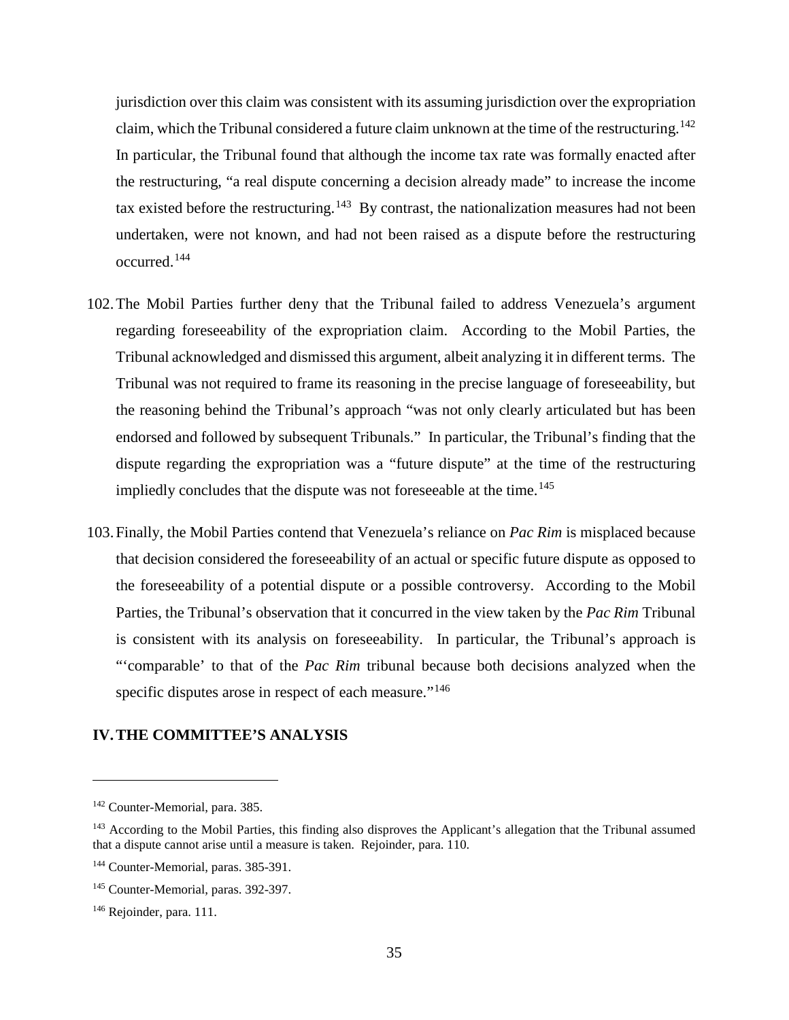jurisdiction over this claim was consistent with its assuming jurisdiction over the expropriation claim, which the Tribunal considered a future claim unknown at the time of the restructuring.<sup>[142](#page-38-0)</sup> In particular, the Tribunal found that although the income tax rate was formally enacted after the restructuring, "a real dispute concerning a decision already made" to increase the income tax existed before the restructuring.<sup>143</sup> By contrast, the nationalization measures had not been undertaken, were not known, and had not been raised as a dispute before the restructuring occurred. [144](#page-38-2)

- 102.The Mobil Parties further deny that the Tribunal failed to address Venezuela's argument regarding foreseeability of the expropriation claim. According to the Mobil Parties, the Tribunal acknowledged and dismissed this argument, albeit analyzing it in different terms. The Tribunal was not required to frame its reasoning in the precise language of foreseeability, but the reasoning behind the Tribunal's approach "was not only clearly articulated but has been endorsed and followed by subsequent Tribunals." In particular, the Tribunal's finding that the dispute regarding the expropriation was a "future dispute" at the time of the restructuring impliedly concludes that the dispute was not foreseeable at the time.<sup>[145](#page-38-3)</sup>
- 103.Finally, the Mobil Parties contend that Venezuela's reliance on *Pac Rim* is misplaced because that decision considered the foreseeability of an actual or specific future dispute as opposed to the foreseeability of a potential dispute or a possible controversy. According to the Mobil Parties, the Tribunal's observation that it concurred in the view taken by the *Pac Rim* Tribunal is consistent with its analysis on foreseeability. In particular, the Tribunal's approach is "'comparable' to that of the *Pac Rim* tribunal because both decisions analyzed when the specific disputes arose in respect of each measure."<sup>[146](#page-38-4)</sup>

## **IV.THE COMMITTEE'S ANALYSIS**

<span id="page-38-0"></span><sup>142</sup> Counter-Memorial, para. 385.

<span id="page-38-1"></span><sup>&</sup>lt;sup>143</sup> According to the Mobil Parties, this finding also disproves the Applicant's allegation that the Tribunal assumed that a dispute cannot arise until a measure is taken. Rejoinder, para. 110.

<span id="page-38-2"></span><sup>&</sup>lt;sup>144</sup> Counter-Memorial, paras. 385-391.

<span id="page-38-3"></span><sup>&</sup>lt;sup>145</sup> Counter-Memorial, paras. 392-397.

<span id="page-38-4"></span><sup>146</sup> Rejoinder, para. 111.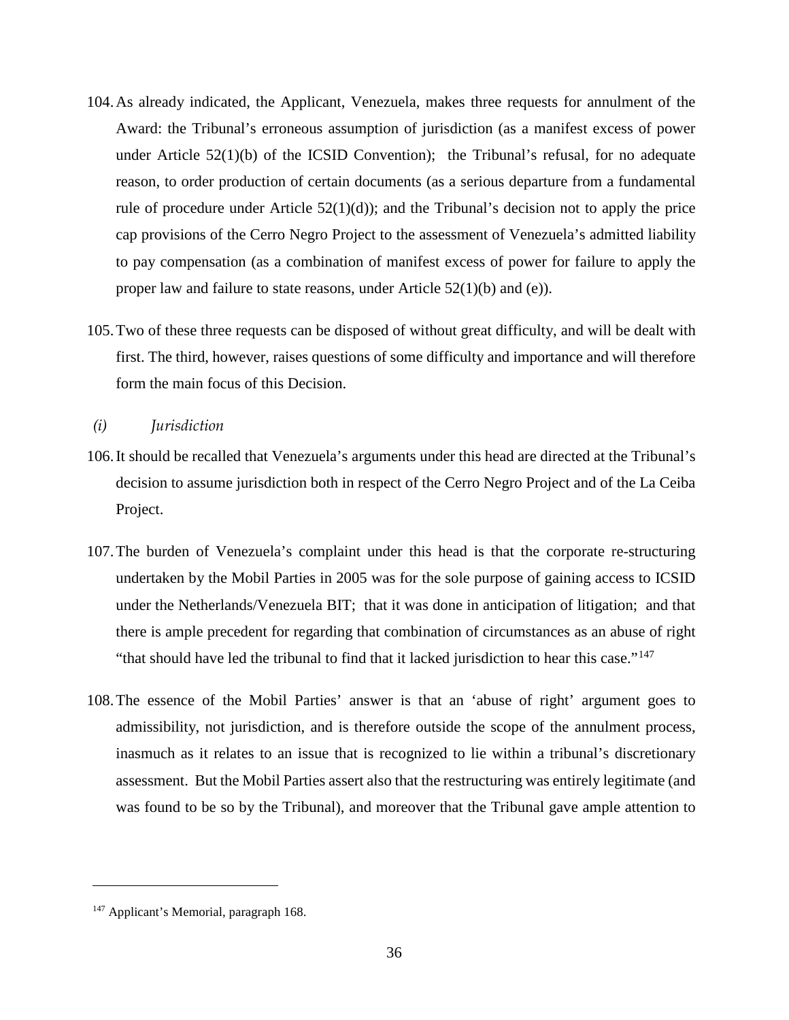- 104.As already indicated, the Applicant, Venezuela, makes three requests for annulment of the Award: the Tribunal's erroneous assumption of jurisdiction (as a manifest excess of power under Article 52(1)(b) of the ICSID Convention); the Tribunal's refusal, for no adequate reason, to order production of certain documents (as a serious departure from a fundamental rule of procedure under Article  $52(1)(d)$ ; and the Tribunal's decision not to apply the price cap provisions of the Cerro Negro Project to the assessment of Venezuela's admitted liability to pay compensation (as a combination of manifest excess of power for failure to apply the proper law and failure to state reasons, under Article  $52(1)(b)$  and (e)).
- 105.Two of these three requests can be disposed of without great difficulty, and will be dealt with first. The third, however, raises questions of some difficulty and importance and will therefore form the main focus of this Decision.
- *(i) Jurisdiction*
- 106.It should be recalled that Venezuela's arguments under this head are directed at the Tribunal's decision to assume jurisdiction both in respect of the Cerro Negro Project and of the La Ceiba Project.
- 107.The burden of Venezuela's complaint under this head is that the corporate re-structuring undertaken by the Mobil Parties in 2005 was for the sole purpose of gaining access to ICSID under the Netherlands/Venezuela BIT; that it was done in anticipation of litigation; and that there is ample precedent for regarding that combination of circumstances as an abuse of right "that should have led the tribunal to find that it lacked jurisdiction to hear this case."<sup>[147](#page-39-0)</sup>
- 108.The essence of the Mobil Parties' answer is that an 'abuse of right' argument goes to admissibility, not jurisdiction, and is therefore outside the scope of the annulment process, inasmuch as it relates to an issue that is recognized to lie within a tribunal's discretionary assessment. But the Mobil Parties assert also that the restructuring was entirely legitimate (and was found to be so by the Tribunal), and moreover that the Tribunal gave ample attention to

<span id="page-39-0"></span><sup>&</sup>lt;sup>147</sup> Applicant's Memorial, paragraph 168.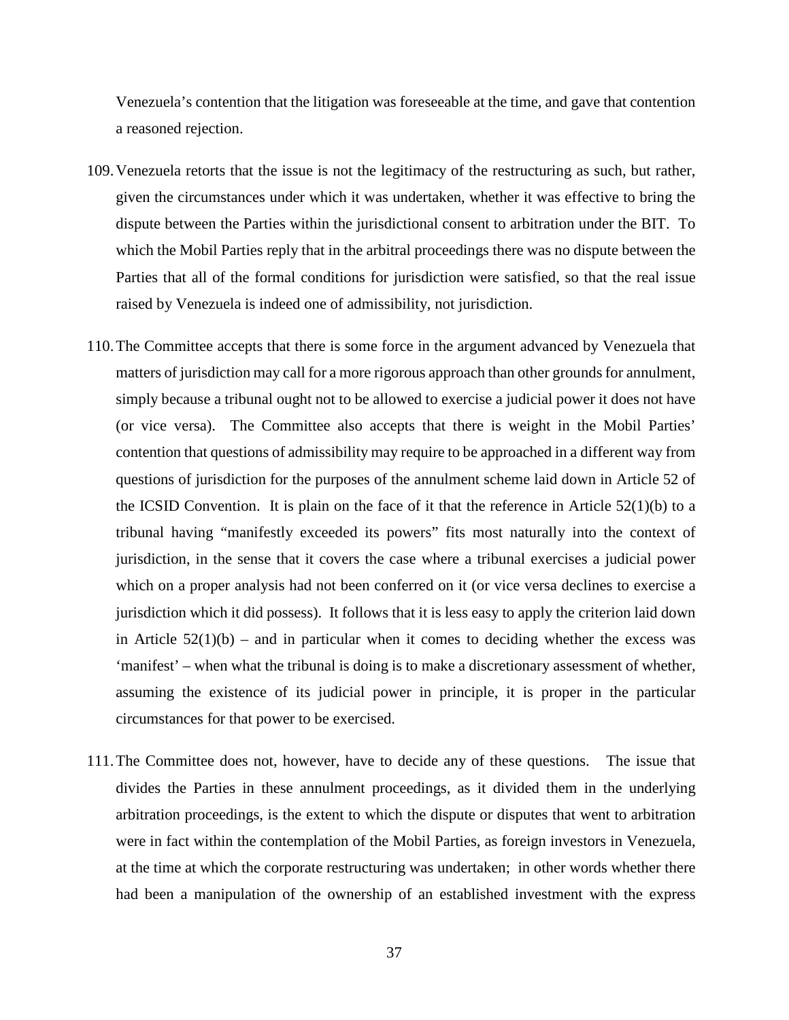Venezuela's contention that the litigation was foreseeable at the time, and gave that contention a reasoned rejection.

- 109.Venezuela retorts that the issue is not the legitimacy of the restructuring as such, but rather, given the circumstances under which it was undertaken, whether it was effective to bring the dispute between the Parties within the jurisdictional consent to arbitration under the BIT. To which the Mobil Parties reply that in the arbitral proceedings there was no dispute between the Parties that all of the formal conditions for jurisdiction were satisfied, so that the real issue raised by Venezuela is indeed one of admissibility, not jurisdiction.
- 110.The Committee accepts that there is some force in the argument advanced by Venezuela that matters of jurisdiction may call for a more rigorous approach than other grounds for annulment, simply because a tribunal ought not to be allowed to exercise a judicial power it does not have (or vice versa). The Committee also accepts that there is weight in the Mobil Parties' contention that questions of admissibility may require to be approached in a different way from questions of jurisdiction for the purposes of the annulment scheme laid down in Article 52 of the ICSID Convention. It is plain on the face of it that the reference in Article  $52(1)(b)$  to a tribunal having "manifestly exceeded its powers" fits most naturally into the context of jurisdiction, in the sense that it covers the case where a tribunal exercises a judicial power which on a proper analysis had not been conferred on it (or vice versa declines to exercise a jurisdiction which it did possess). It follows that it is less easy to apply the criterion laid down in Article  $52(1)(b)$  – and in particular when it comes to deciding whether the excess was 'manifest' – when what the tribunal is doing is to make a discretionary assessment of whether, assuming the existence of its judicial power in principle, it is proper in the particular circumstances for that power to be exercised.
- 111.The Committee does not, however, have to decide any of these questions. The issue that divides the Parties in these annulment proceedings, as it divided them in the underlying arbitration proceedings, is the extent to which the dispute or disputes that went to arbitration were in fact within the contemplation of the Mobil Parties, as foreign investors in Venezuela, at the time at which the corporate restructuring was undertaken; in other words whether there had been a manipulation of the ownership of an established investment with the express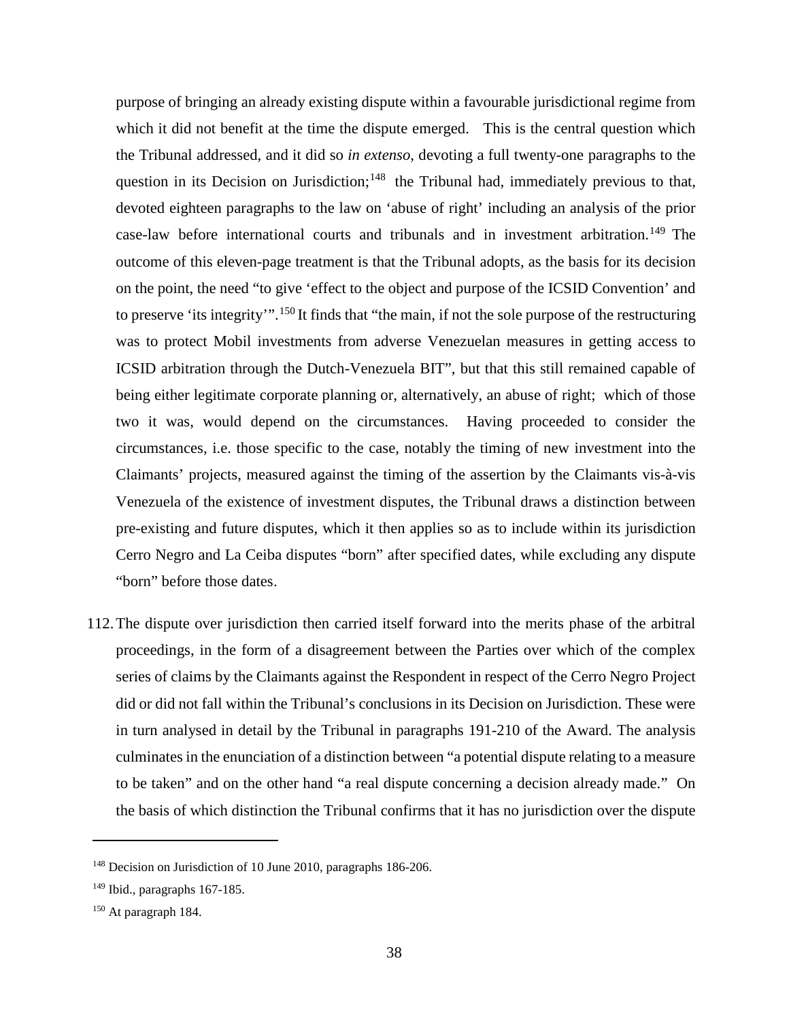purpose of bringing an already existing dispute within a favourable jurisdictional regime from which it did not benefit at the time the dispute emerged. This is the central question which the Tribunal addressed, and it did so *in extenso*, devoting a full twenty-one paragraphs to the question in its Decision on Jurisdiction;<sup>[148](#page-41-0)</sup> the Tribunal had, immediately previous to that, devoted eighteen paragraphs to the law on 'abuse of right' including an analysis of the prior case-law before international courts and tribunals and in investment arbitration.<sup>[149](#page-41-1)</sup> The outcome of this eleven-page treatment is that the Tribunal adopts, as the basis for its decision on the point, the need "to give 'effect to the object and purpose of the ICSID Convention' and to preserve 'its integrity'".[150](#page-41-2) It finds that "the main, if not the sole purpose of the restructuring was to protect Mobil investments from adverse Venezuelan measures in getting access to ICSID arbitration through the Dutch-Venezuela BIT", but that this still remained capable of being either legitimate corporate planning or, alternatively, an abuse of right; which of those two it was, would depend on the circumstances. Having proceeded to consider the circumstances, i.e. those specific to the case, notably the timing of new investment into the Claimants' projects, measured against the timing of the assertion by the Claimants vis-à-vis Venezuela of the existence of investment disputes, the Tribunal draws a distinction between pre-existing and future disputes, which it then applies so as to include within its jurisdiction Cerro Negro and La Ceiba disputes "born" after specified dates, while excluding any dispute "born" before those dates.

112.The dispute over jurisdiction then carried itself forward into the merits phase of the arbitral proceedings, in the form of a disagreement between the Parties over which of the complex series of claims by the Claimants against the Respondent in respect of the Cerro Negro Project did or did not fall within the Tribunal's conclusions in its Decision on Jurisdiction. These were in turn analysed in detail by the Tribunal in paragraphs 191-210 of the Award. The analysis culminates in the enunciation of a distinction between "a potential dispute relating to a measure to be taken" and on the other hand "a real dispute concerning a decision already made." On the basis of which distinction the Tribunal confirms that it has no jurisdiction over the dispute

<span id="page-41-0"></span><sup>&</sup>lt;sup>148</sup> Decision on Jurisdiction of 10 June 2010, paragraphs 186-206.

<span id="page-41-1"></span> $149$  Ibid., paragraphs 167-185.

<span id="page-41-2"></span><sup>150</sup> At paragraph 184.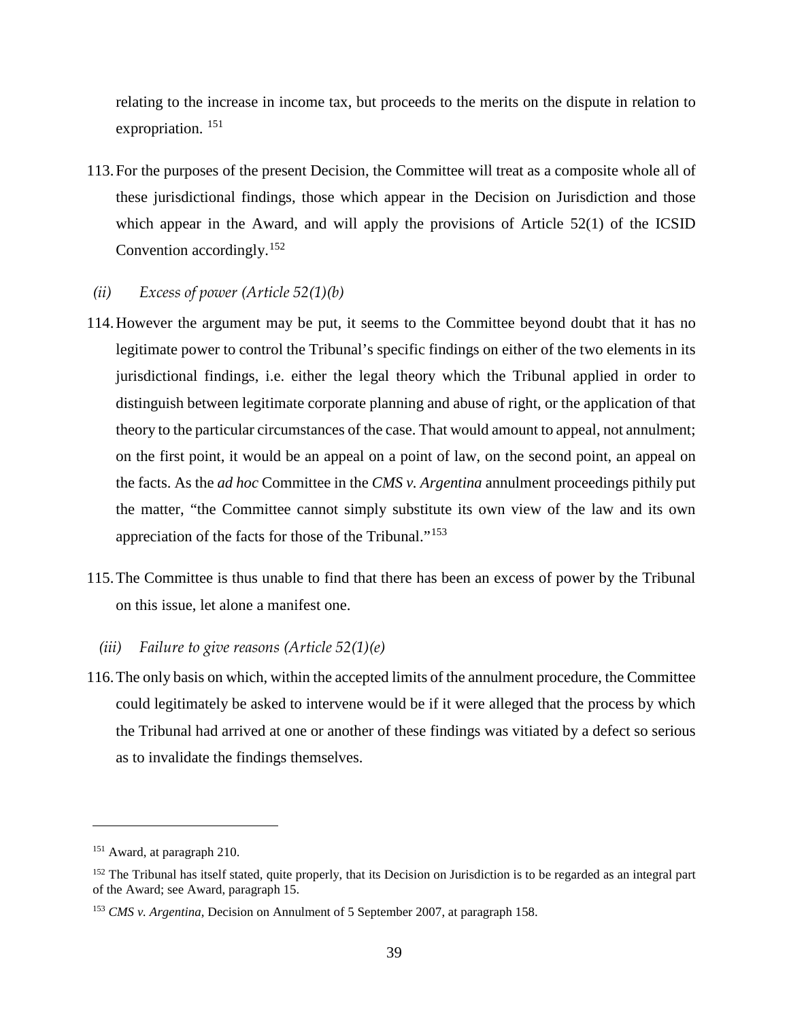relating to the increase in income tax, but proceeds to the merits on the dispute in relation to expropriation.<sup>[151](#page-42-0)</sup>

113.For the purposes of the present Decision, the Committee will treat as a composite whole all of these jurisdictional findings, those which appear in the Decision on Jurisdiction and those which appear in the Award, and will apply the provisions of Article 52(1) of the ICSID Convention accordingly.<sup>[152](#page-42-1)</sup>

### *(ii) Excess of power (Article 52(1)(b)*

- 114.However the argument may be put, it seems to the Committee beyond doubt that it has no legitimate power to control the Tribunal's specific findings on either of the two elements in its jurisdictional findings, i.e. either the legal theory which the Tribunal applied in order to distinguish between legitimate corporate planning and abuse of right, or the application of that theory to the particular circumstances of the case. That would amount to appeal, not annulment; on the first point, it would be an appeal on a point of law, on the second point, an appeal on the facts. As the *ad hoc* Committee in the *CMS v. Argentina* annulment proceedings pithily put the matter, "the Committee cannot simply substitute its own view of the law and its own appreciation of the facts for those of the Tribunal."[153](#page-42-2)
- 115.The Committee is thus unable to find that there has been an excess of power by the Tribunal on this issue, let alone a manifest one.
	- *(iii) Failure to give reasons (Article 52(1)(e)*
- 116.The only basis on which, within the accepted limits of the annulment procedure, the Committee could legitimately be asked to intervene would be if it were alleged that the process by which the Tribunal had arrived at one or another of these findings was vitiated by a defect so serious as to invalidate the findings themselves.

<span id="page-42-0"></span><sup>151</sup> Award, at paragraph 210.

<span id="page-42-1"></span><sup>&</sup>lt;sup>152</sup> The Tribunal has itself stated, quite properly, that its Decision on Jurisdiction is to be regarded as an integral part of the Award; see Award, paragraph 15.

<span id="page-42-2"></span><sup>153</sup> *CMS v. Argentina*, Decision on Annulment of 5 September 2007, at paragraph 158.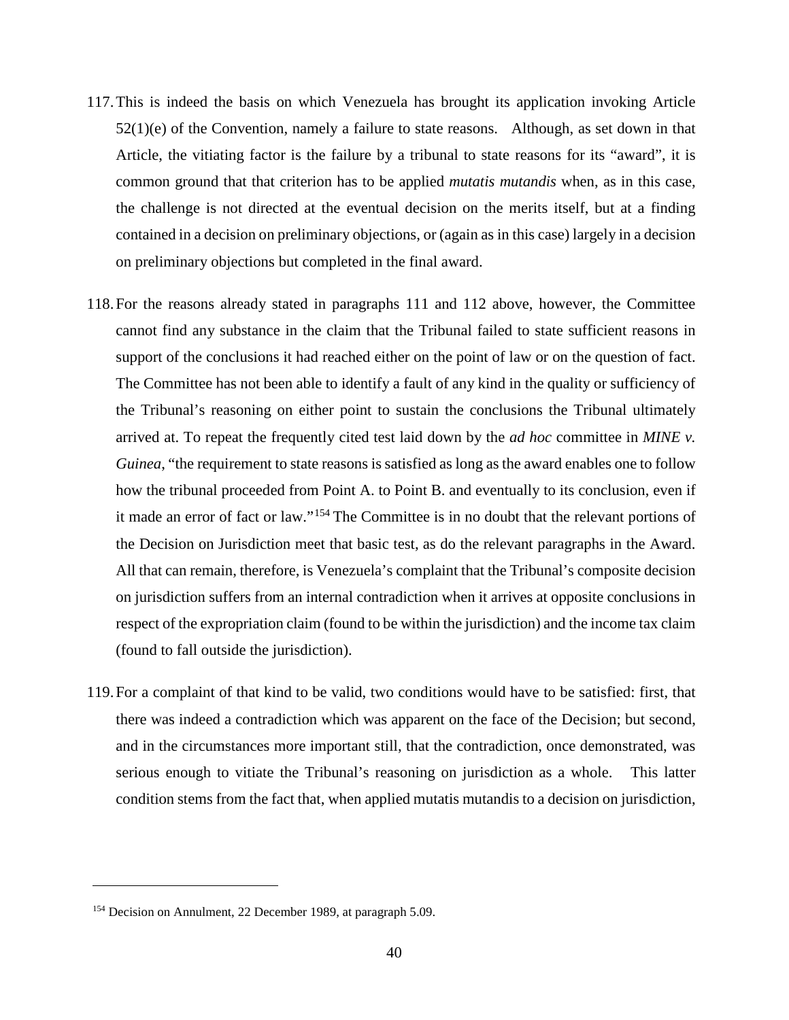- 117.This is indeed the basis on which Venezuela has brought its application invoking Article  $52(1)(e)$  of the Convention, namely a failure to state reasons. Although, as set down in that Article, the vitiating factor is the failure by a tribunal to state reasons for its "award", it is common ground that that criterion has to be applied *mutatis mutandis* when, as in this case, the challenge is not directed at the eventual decision on the merits itself, but at a finding contained in a decision on preliminary objections, or (again as in this case) largely in a decision on preliminary objections but completed in the final award.
- 118.For the reasons already stated in paragraphs 111 and 112 above, however, the Committee cannot find any substance in the claim that the Tribunal failed to state sufficient reasons in support of the conclusions it had reached either on the point of law or on the question of fact. The Committee has not been able to identify a fault of any kind in the quality or sufficiency of the Tribunal's reasoning on either point to sustain the conclusions the Tribunal ultimately arrived at. To repeat the frequently cited test laid down by the *ad hoc* committee in *MINE v. Guinea*, "the requirement to state reasons is satisfied as long as the award enables one to follow how the tribunal proceeded from Point A. to Point B. and eventually to its conclusion, even if it made an error of fact or law."[154](#page-43-0) The Committee is in no doubt that the relevant portions of the Decision on Jurisdiction meet that basic test, as do the relevant paragraphs in the Award. All that can remain, therefore, is Venezuela's complaint that the Tribunal's composite decision on jurisdiction suffers from an internal contradiction when it arrives at opposite conclusions in respect of the expropriation claim (found to be within the jurisdiction) and the income tax claim (found to fall outside the jurisdiction).
- 119.For a complaint of that kind to be valid, two conditions would have to be satisfied: first, that there was indeed a contradiction which was apparent on the face of the Decision; but second, and in the circumstances more important still, that the contradiction, once demonstrated, was serious enough to vitiate the Tribunal's reasoning on jurisdiction as a whole. This latter condition stems from the fact that, when applied mutatis mutandis to a decision on jurisdiction,

<span id="page-43-0"></span><sup>154</sup> Decision on Annulment, 22 December 1989, at paragraph 5.09.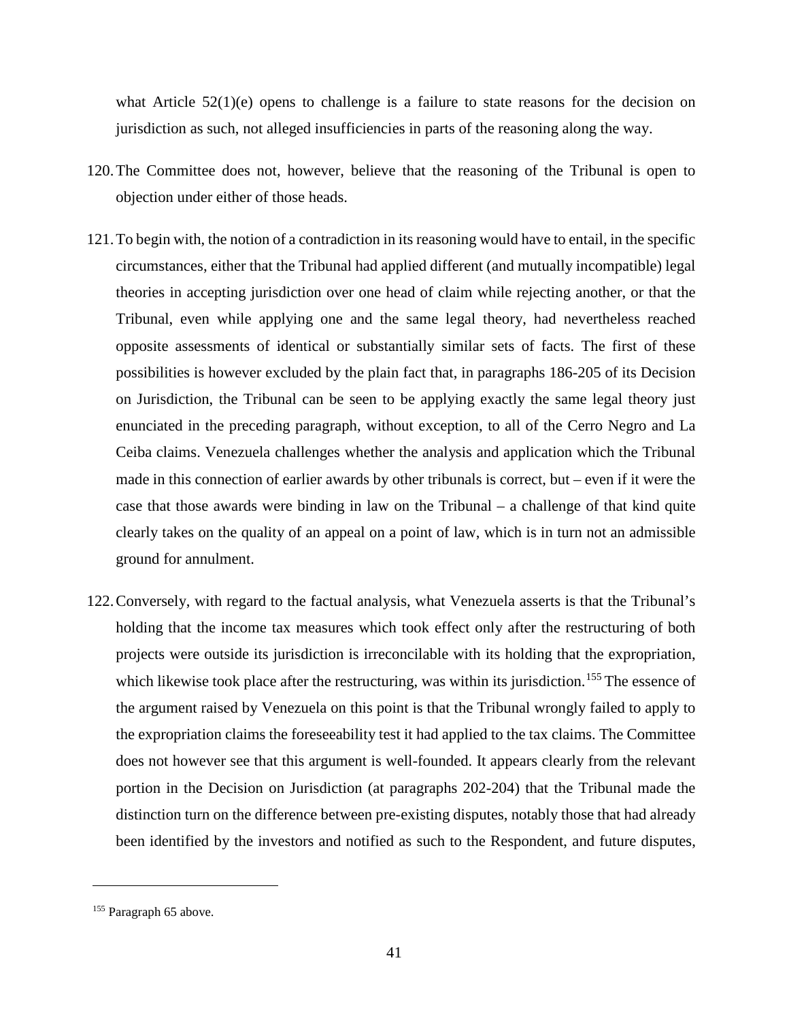what Article  $52(1)(e)$  opens to challenge is a failure to state reasons for the decision on jurisdiction as such, not alleged insufficiencies in parts of the reasoning along the way.

- 120.The Committee does not, however, believe that the reasoning of the Tribunal is open to objection under either of those heads.
- 121.To begin with, the notion of a contradiction in its reasoning would have to entail, in the specific circumstances, either that the Tribunal had applied different (and mutually incompatible) legal theories in accepting jurisdiction over one head of claim while rejecting another, or that the Tribunal, even while applying one and the same legal theory, had nevertheless reached opposite assessments of identical or substantially similar sets of facts. The first of these possibilities is however excluded by the plain fact that, in paragraphs 186-205 of its Decision on Jurisdiction, the Tribunal can be seen to be applying exactly the same legal theory just enunciated in the preceding paragraph, without exception, to all of the Cerro Negro and La Ceiba claims. Venezuela challenges whether the analysis and application which the Tribunal made in this connection of earlier awards by other tribunals is correct, but – even if it were the case that those awards were binding in law on the Tribunal – a challenge of that kind quite clearly takes on the quality of an appeal on a point of law, which is in turn not an admissible ground for annulment.
- 122.Conversely, with regard to the factual analysis, what Venezuela asserts is that the Tribunal's holding that the income tax measures which took effect only after the restructuring of both projects were outside its jurisdiction is irreconcilable with its holding that the expropriation, which likewise took place after the restructuring, was within its jurisdiction.<sup>[155](#page-44-0)</sup> The essence of the argument raised by Venezuela on this point is that the Tribunal wrongly failed to apply to the expropriation claims the foreseeability test it had applied to the tax claims. The Committee does not however see that this argument is well-founded. It appears clearly from the relevant portion in the Decision on Jurisdiction (at paragraphs 202-204) that the Tribunal made the distinction turn on the difference between pre-existing disputes, notably those that had already been identified by the investors and notified as such to the Respondent, and future disputes,

<span id="page-44-0"></span><sup>&</sup>lt;sup>155</sup> Paragraph 65 above.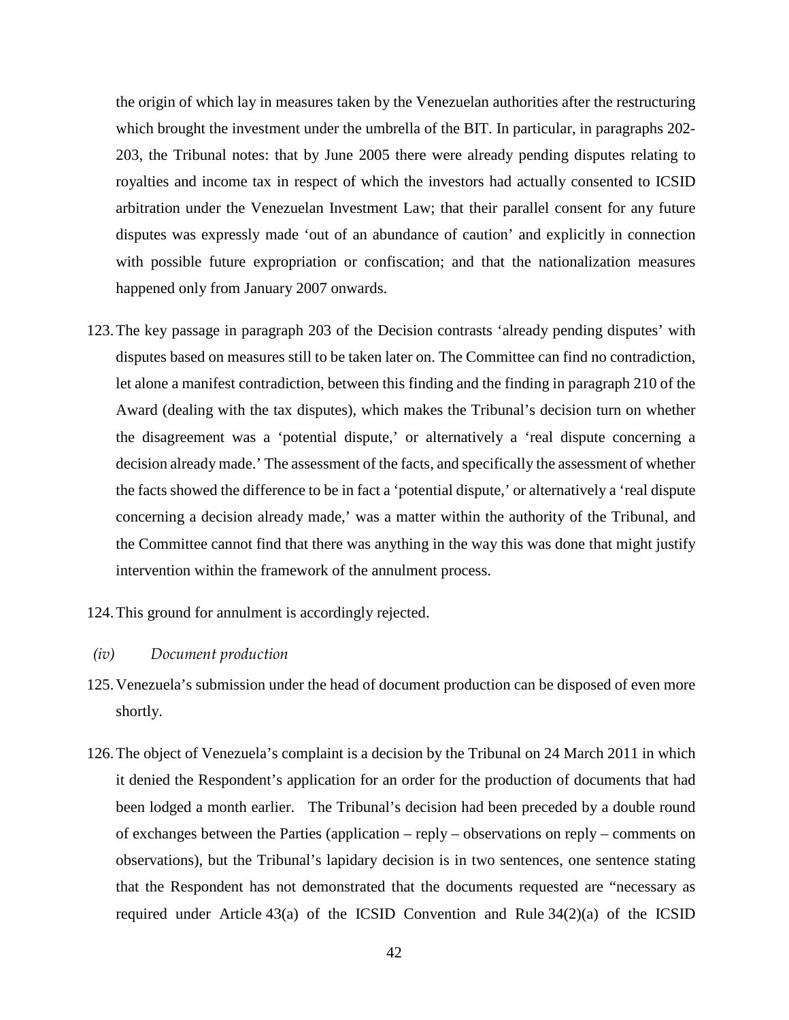the origin of which lay in measures taken by the Venezuelan authorities after the restructuring which brought the investment under the umbrella of the BIT. In particular, in paragraphs 202- 203, the Tribunal notes: that by June 2005 there were already pending disputes relating to royalties and income tax in respect of which the investors had actually consented to ICSID arbitration under the Venezuelan Investment Law; that their parallel consent for any future disputes was expressly made 'out of an abundance of caution' and explicitly in connection with possible future expropriation or confiscation; and that the nationalization measures happened only from January 2007 onwards.

- 123.The key passage in paragraph 203 of the Decision contrasts 'already pending disputes' with disputes based on measures still to be taken later on. The Committee can find no contradiction, let alone a manifest contradiction, between this finding and the finding in paragraph 210 of the Award (dealing with the tax disputes), which makes the Tribunal's decision turn on whether the disagreement was a 'potential dispute,' or alternatively a 'real dispute concerning a decision already made.' The assessment of the facts, and specifically the assessment of whether the facts showed the difference to be in fact a 'potential dispute,' or alternatively a 'real dispute concerning a decision already made,' was a matter within the authority of the Tribunal, and the Committee cannot find that there was anything in the way this was done that might justify intervention within the framework of the annulment process.
- 124.This ground for annulment is accordingly rejected.

#### *(iv) Document production*

- 125.Venezuela's submission under the head of document production can be disposed of even more shortly.
- 126.The object of Venezuela's complaint is a decision by the Tribunal on 24 March 2011 in which it denied the Respondent's application for an order for the production of documents that had been lodged a month earlier. The Tribunal's decision had been preceded by a double round of exchanges between the Parties (application – reply – observations on reply – comments on observations), but the Tribunal's lapidary decision is in two sentences, one sentence stating that the Respondent has not demonstrated that the documents requested are "necessary as required under Article  $43(a)$  of the ICSID Convention and Rule  $34(2)(a)$  of the ICSID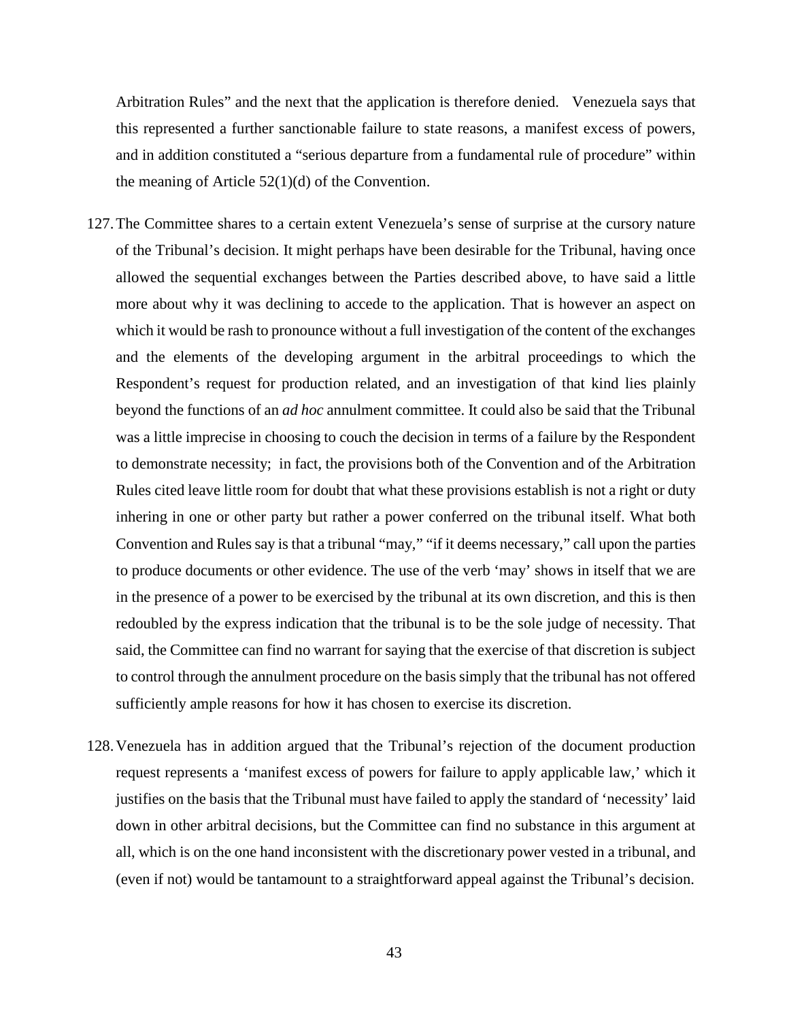Arbitration Rules" and the next that the application is therefore denied. Venezuela says that this represented a further sanctionable failure to state reasons, a manifest excess of powers, and in addition constituted a "serious departure from a fundamental rule of procedure" within the meaning of Article 52(1)(d) of the Convention.

- 127.The Committee shares to a certain extent Venezuela's sense of surprise at the cursory nature of the Tribunal's decision. It might perhaps have been desirable for the Tribunal, having once allowed the sequential exchanges between the Parties described above, to have said a little more about why it was declining to accede to the application. That is however an aspect on which it would be rash to pronounce without a full investigation of the content of the exchanges and the elements of the developing argument in the arbitral proceedings to which the Respondent's request for production related, and an investigation of that kind lies plainly beyond the functions of an *ad hoc* annulment committee. It could also be said that the Tribunal was a little imprecise in choosing to couch the decision in terms of a failure by the Respondent to demonstrate necessity; in fact, the provisions both of the Convention and of the Arbitration Rules cited leave little room for doubt that what these provisions establish is not a right or duty inhering in one or other party but rather a power conferred on the tribunal itself. What both Convention and Rules say is that a tribunal "may," "if it deems necessary," call upon the parties to produce documents or other evidence. The use of the verb 'may' shows in itself that we are in the presence of a power to be exercised by the tribunal at its own discretion, and this is then redoubled by the express indication that the tribunal is to be the sole judge of necessity. That said, the Committee can find no warrant for saying that the exercise of that discretion is subject to control through the annulment procedure on the basis simply that the tribunal has not offered sufficiently ample reasons for how it has chosen to exercise its discretion.
- 128.Venezuela has in addition argued that the Tribunal's rejection of the document production request represents a 'manifest excess of powers for failure to apply applicable law,' which it justifies on the basis that the Tribunal must have failed to apply the standard of 'necessity' laid down in other arbitral decisions, but the Committee can find no substance in this argument at all, which is on the one hand inconsistent with the discretionary power vested in a tribunal, and (even if not) would be tantamount to a straightforward appeal against the Tribunal's decision.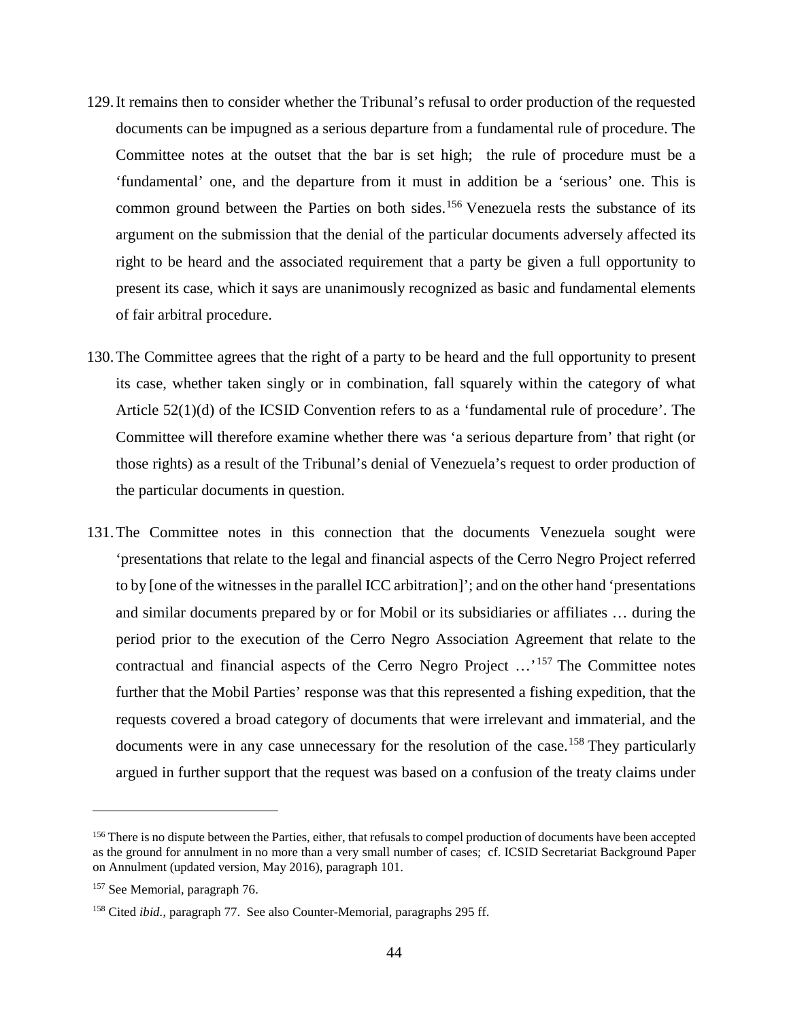- 129.It remains then to consider whether the Tribunal's refusal to order production of the requested documents can be impugned as a serious departure from a fundamental rule of procedure. The Committee notes at the outset that the bar is set high; the rule of procedure must be a 'fundamental' one, and the departure from it must in addition be a 'serious' one. This is common ground between the Parties on both sides. [156](#page-47-0) Venezuela rests the substance of its argument on the submission that the denial of the particular documents adversely affected its right to be heard and the associated requirement that a party be given a full opportunity to present its case, which it says are unanimously recognized as basic and fundamental elements of fair arbitral procedure.
- 130.The Committee agrees that the right of a party to be heard and the full opportunity to present its case, whether taken singly or in combination, fall squarely within the category of what Article 52(1)(d) of the ICSID Convention refers to as a 'fundamental rule of procedure'. The Committee will therefore examine whether there was 'a serious departure from' that right (or those rights) as a result of the Tribunal's denial of Venezuela's request to order production of the particular documents in question.
- 131.The Committee notes in this connection that the documents Venezuela sought were 'presentations that relate to the legal and financial aspects of the Cerro Negro Project referred to by [one of the witnesses in the parallel ICC arbitration]'; and on the other hand 'presentations and similar documents prepared by or for Mobil or its subsidiaries or affiliates … during the period prior to the execution of the Cerro Negro Association Agreement that relate to the contractual and financial aspects of the Cerro Negro Project ...<sup>[157](#page-47-1)</sup> The Committee notes further that the Mobil Parties' response was that this represented a fishing expedition, that the requests covered a broad category of documents that were irrelevant and immaterial, and the documents were in any case unnecessary for the resolution of the case.<sup>[158](#page-47-2)</sup> They particularly argued in further support that the request was based on a confusion of the treaty claims under

<span id="page-47-0"></span><sup>&</sup>lt;sup>156</sup> There is no dispute between the Parties, either, that refusals to compel production of documents have been accepted as the ground for annulment in no more than a very small number of cases; cf. ICSID Secretariat Background Paper on Annulment (updated version, May 2016), paragraph 101.

<span id="page-47-1"></span><sup>&</sup>lt;sup>157</sup> See Memorial, paragraph 76.

<span id="page-47-2"></span><sup>158</sup> Cited *ibid.*, paragraph 77. See also Counter-Memorial, paragraphs 295 ff.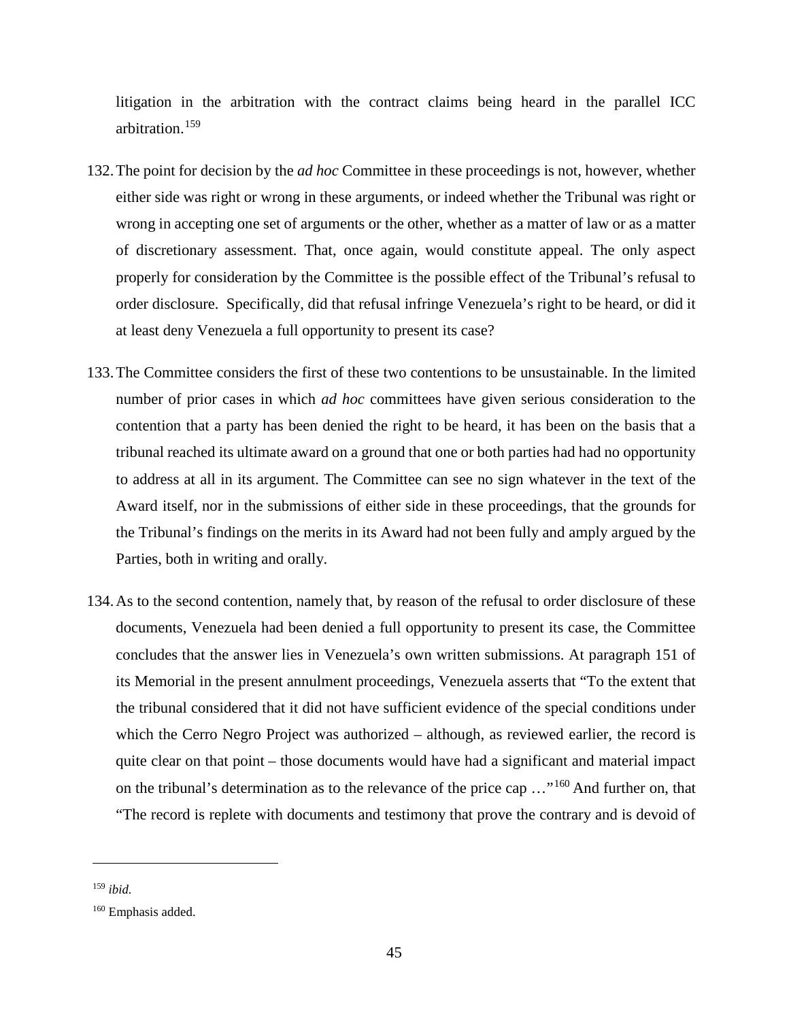litigation in the arbitration with the contract claims being heard in the parallel ICC arbitration.[159](#page-48-0)

- 132.The point for decision by the *ad hoc* Committee in these proceedings is not, however, whether either side was right or wrong in these arguments, or indeed whether the Tribunal was right or wrong in accepting one set of arguments or the other, whether as a matter of law or as a matter of discretionary assessment. That, once again, would constitute appeal. The only aspect properly for consideration by the Committee is the possible effect of the Tribunal's refusal to order disclosure. Specifically, did that refusal infringe Venezuela's right to be heard, or did it at least deny Venezuela a full opportunity to present its case?
- 133.The Committee considers the first of these two contentions to be unsustainable. In the limited number of prior cases in which *ad hoc* committees have given serious consideration to the contention that a party has been denied the right to be heard, it has been on the basis that a tribunal reached its ultimate award on a ground that one or both parties had had no opportunity to address at all in its argument. The Committee can see no sign whatever in the text of the Award itself, nor in the submissions of either side in these proceedings, that the grounds for the Tribunal's findings on the merits in its Award had not been fully and amply argued by the Parties, both in writing and orally.
- 134.As to the second contention, namely that, by reason of the refusal to order disclosure of these documents, Venezuela had been denied a full opportunity to present its case, the Committee concludes that the answer lies in Venezuela's own written submissions. At paragraph 151 of its Memorial in the present annulment proceedings, Venezuela asserts that "To the extent that the tribunal considered that it did not have sufficient evidence of the special conditions under which the Cerro Negro Project was authorized – although, as reviewed earlier, the record is quite clear on that point – those documents would have had a significant and material impact on the tribunal's determination as to the relevance of the price cap …"[160](#page-48-1) And further on, that "The record is replete with documents and testimony that prove the contrary and is devoid of

<span id="page-48-0"></span><sup>159</sup> *ibid.*

<span id="page-48-1"></span><sup>160</sup> Emphasis added.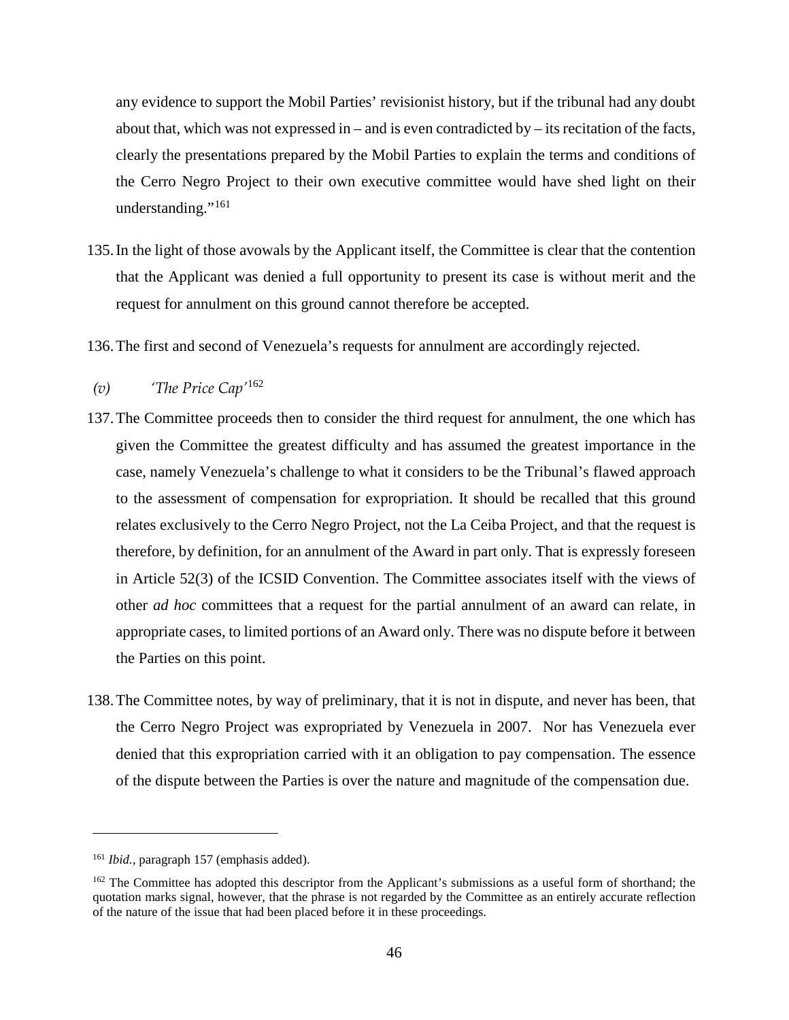any evidence to support the Mobil Parties' revisionist history, but if the tribunal had any doubt about that, which was not expressed in – and is even contradicted by – its recitation of the facts, clearly the presentations prepared by the Mobil Parties to explain the terms and conditions of the Cerro Negro Project to their own executive committee would have shed light on their understanding."<sup>[161](#page-49-0)</sup>

- 135.In the light of those avowals by the Applicant itself, the Committee is clear that the contention that the Applicant was denied a full opportunity to present its case is without merit and the request for annulment on this ground cannot therefore be accepted.
- 136.The first and second of Venezuela's requests for annulment are accordingly rejected.

# *(v) 'The Price Cap'*[162](#page-49-1)

- 137.The Committee proceeds then to consider the third request for annulment, the one which has given the Committee the greatest difficulty and has assumed the greatest importance in the case, namely Venezuela's challenge to what it considers to be the Tribunal's flawed approach to the assessment of compensation for expropriation. It should be recalled that this ground relates exclusively to the Cerro Negro Project, not the La Ceiba Project, and that the request is therefore, by definition, for an annulment of the Award in part only. That is expressly foreseen in Article 52(3) of the ICSID Convention. The Committee associates itself with the views of other *ad hoc* committees that a request for the partial annulment of an award can relate, in appropriate cases, to limited portions of an Award only. There was no dispute before it between the Parties on this point.
- 138.The Committee notes, by way of preliminary, that it is not in dispute, and never has been, that the Cerro Negro Project was expropriated by Venezuela in 2007. Nor has Venezuela ever denied that this expropriation carried with it an obligation to pay compensation. The essence of the dispute between the Parties is over the nature and magnitude of the compensation due.

<span id="page-49-0"></span><sup>161</sup> *Ibid.*, paragraph 157 (emphasis added).

<span id="page-49-1"></span><sup>&</sup>lt;sup>162</sup> The Committee has adopted this descriptor from the Applicant's submissions as a useful form of shorthand; the quotation marks signal, however, that the phrase is not regarded by the Committee as an entirely accurate reflection of the nature of the issue that had been placed before it in these proceedings.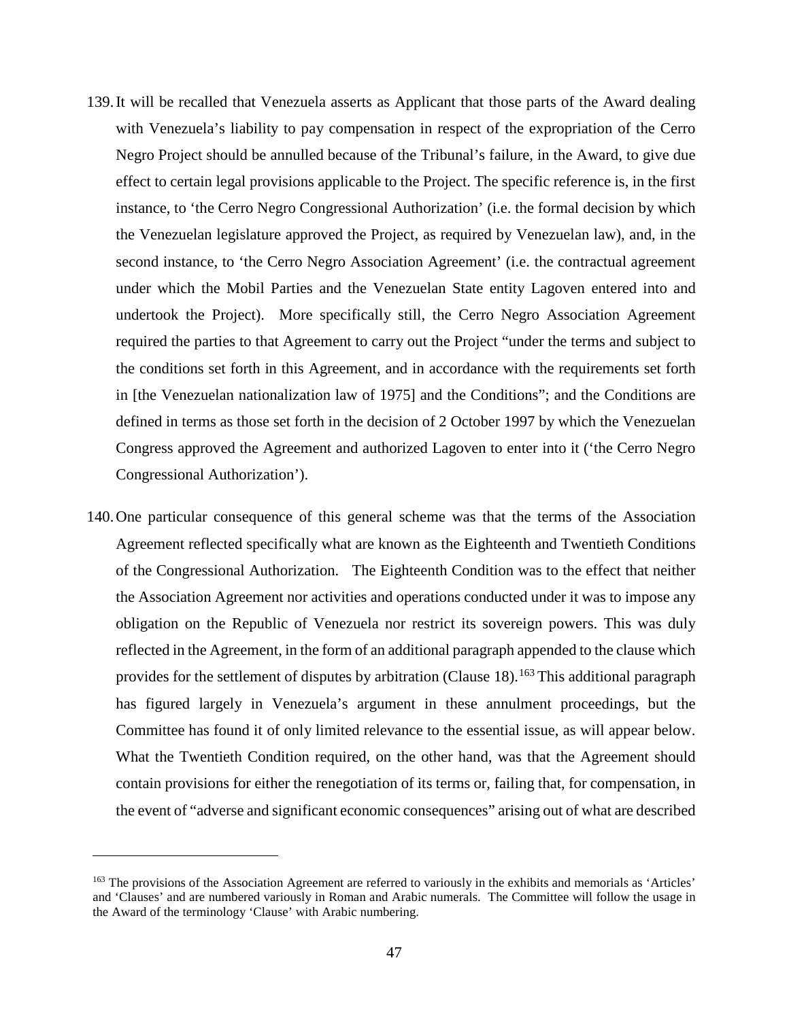- 139.It will be recalled that Venezuela asserts as Applicant that those parts of the Award dealing with Venezuela's liability to pay compensation in respect of the expropriation of the Cerro Negro Project should be annulled because of the Tribunal's failure, in the Award, to give due effect to certain legal provisions applicable to the Project. The specific reference is, in the first instance, to 'the Cerro Negro Congressional Authorization' (i.e. the formal decision by which the Venezuelan legislature approved the Project, as required by Venezuelan law), and, in the second instance, to 'the Cerro Negro Association Agreement' (i.e. the contractual agreement under which the Mobil Parties and the Venezuelan State entity Lagoven entered into and undertook the Project). More specifically still, the Cerro Negro Association Agreement required the parties to that Agreement to carry out the Project "under the terms and subject to the conditions set forth in this Agreement, and in accordance with the requirements set forth in [the Venezuelan nationalization law of 1975] and the Conditions"; and the Conditions are defined in terms as those set forth in the decision of 2 October 1997 by which the Venezuelan Congress approved the Agreement and authorized Lagoven to enter into it ('the Cerro Negro Congressional Authorization').
- 140.One particular consequence of this general scheme was that the terms of the Association Agreement reflected specifically what are known as the Eighteenth and Twentieth Conditions of the Congressional Authorization. The Eighteenth Condition was to the effect that neither the Association Agreement nor activities and operations conducted under it was to impose any obligation on the Republic of Venezuela nor restrict its sovereign powers. This was duly reflected in the Agreement, in the form of an additional paragraph appended to the clause which provides for the settlement of disputes by arbitration (Clause 18).<sup>[163](#page-50-0)</sup> This additional paragraph has figured largely in Venezuela's argument in these annulment proceedings, but the Committee has found it of only limited relevance to the essential issue, as will appear below. What the Twentieth Condition required, on the other hand, was that the Agreement should contain provisions for either the renegotiation of its terms or, failing that, for compensation, in the event of "adverse and significant economic consequences" arising out of what are described

<span id="page-50-0"></span><sup>&</sup>lt;sup>163</sup> The provisions of the Association Agreement are referred to variously in the exhibits and memorials as 'Articles' and 'Clauses' and are numbered variously in Roman and Arabic numerals. The Committee will follow the usage in the Award of the terminology 'Clause' with Arabic numbering.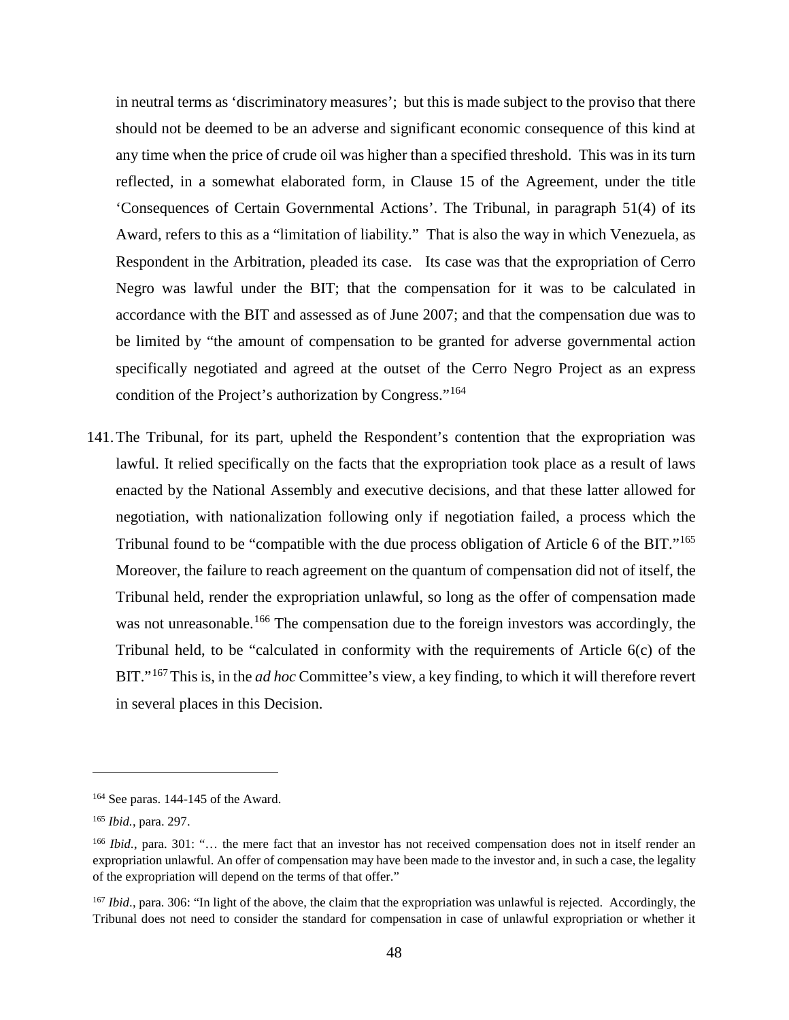in neutral terms as 'discriminatory measures'; but this is made subject to the proviso that there should not be deemed to be an adverse and significant economic consequence of this kind at any time when the price of crude oil was higher than a specified threshold. This was in its turn reflected, in a somewhat elaborated form, in Clause 15 of the Agreement, under the title 'Consequences of Certain Governmental Actions'. The Tribunal, in paragraph 51(4) of its Award, refers to this as a "limitation of liability." That is also the way in which Venezuela, as Respondent in the Arbitration, pleaded its case. Its case was that the expropriation of Cerro Negro was lawful under the BIT; that the compensation for it was to be calculated in accordance with the BIT and assessed as of June 2007; and that the compensation due was to be limited by "the amount of compensation to be granted for adverse governmental action specifically negotiated and agreed at the outset of the Cerro Negro Project as an express condition of the Project's authorization by Congress."[164](#page-51-0)

141.The Tribunal, for its part, upheld the Respondent's contention that the expropriation was lawful. It relied specifically on the facts that the expropriation took place as a result of laws enacted by the National Assembly and executive decisions, and that these latter allowed for negotiation, with nationalization following only if negotiation failed, a process which the Tribunal found to be "compatible with the due process obligation of Article 6 of the BIT."[165](#page-51-1) Moreover, the failure to reach agreement on the quantum of compensation did not of itself, the Tribunal held, render the expropriation unlawful, so long as the offer of compensation made was not unreasonable.<sup>[166](#page-51-2)</sup> The compensation due to the foreign investors was accordingly, the Tribunal held, to be "calculated in conformity with the requirements of Article 6(c) of the BIT."[167](#page-51-3)This is, in the *ad hoc* Committee's view, a key finding, to which it will therefore revert in several places in this Decision.

<span id="page-51-0"></span><sup>164</sup> See paras. 144-145 of the Award.

<span id="page-51-1"></span><sup>165</sup> *Ibid.*, para. 297.

<span id="page-51-2"></span><sup>166</sup> *Ibid.*, para. 301: "… the mere fact that an investor has not received compensation does not in itself render an expropriation unlawful. An offer of compensation may have been made to the investor and, in such a case, the legality of the expropriation will depend on the terms of that offer."

<span id="page-51-3"></span><sup>&</sup>lt;sup>167</sup> *Ibid.*, para. 306: "In light of the above, the claim that the expropriation was unlawful is rejected. Accordingly, the Tribunal does not need to consider the standard for compensation in case of unlawful expropriation or whether it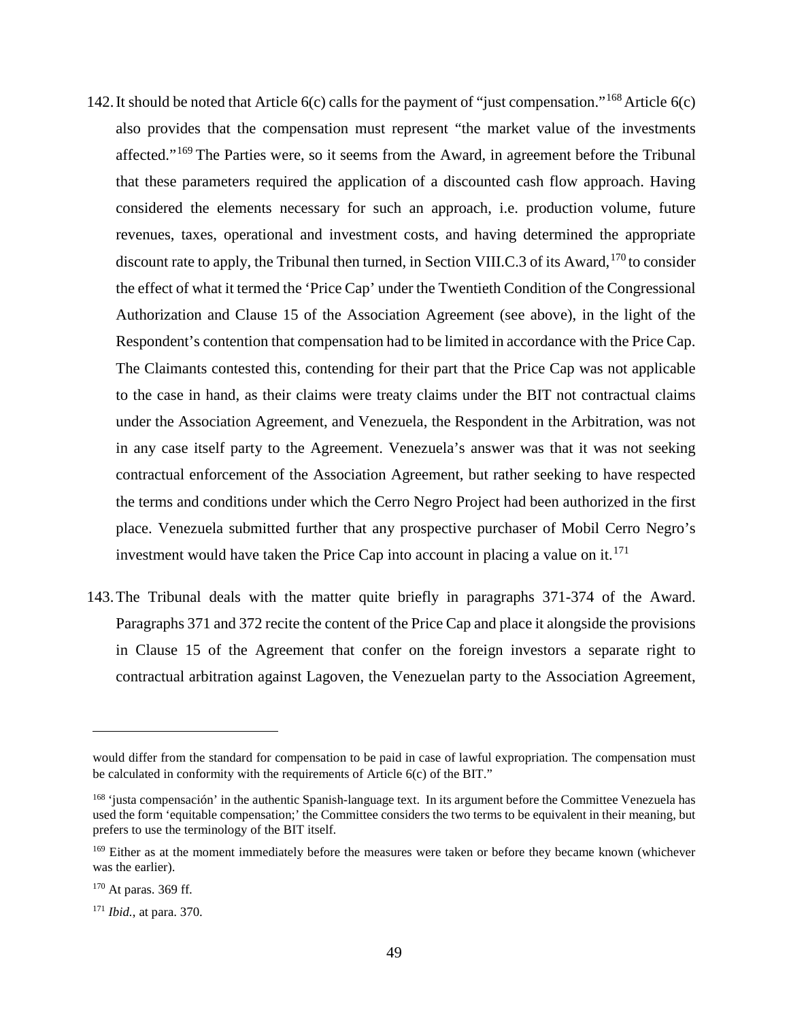- 142. It should be noted that Article  $6(c)$  calls for the payment of "just compensation."<sup>[168](#page-52-0)</sup> Article  $6(c)$ also provides that the compensation must represent "the market value of the investments affected."[169](#page-52-1) The Parties were, so it seems from the Award, in agreement before the Tribunal that these parameters required the application of a discounted cash flow approach. Having considered the elements necessary for such an approach, i.e. production volume, future revenues, taxes, operational and investment costs, and having determined the appropriate discount rate to apply, the Tribunal then turned, in Section VIII.C.3 of its Award,<sup>[170](#page-52-2)</sup> to consider the effect of what it termed the 'Price Cap' under the Twentieth Condition of the Congressional Authorization and Clause 15 of the Association Agreement (see above), in the light of the Respondent's contention that compensation had to be limited in accordance with the Price Cap. The Claimants contested this, contending for their part that the Price Cap was not applicable to the case in hand, as their claims were treaty claims under the BIT not contractual claims under the Association Agreement, and Venezuela, the Respondent in the Arbitration, was not in any case itself party to the Agreement. Venezuela's answer was that it was not seeking contractual enforcement of the Association Agreement, but rather seeking to have respected the terms and conditions under which the Cerro Negro Project had been authorized in the first place. Venezuela submitted further that any prospective purchaser of Mobil Cerro Negro's investment would have taken the Price Cap into account in placing a value on it.<sup>[171](#page-52-3)</sup>
- 143.The Tribunal deals with the matter quite briefly in paragraphs 371-374 of the Award. Paragraphs 371 and 372 recite the content of the Price Cap and place it alongside the provisions in Clause 15 of the Agreement that confer on the foreign investors a separate right to contractual arbitration against Lagoven, the Venezuelan party to the Association Agreement,

would differ from the standard for compensation to be paid in case of lawful expropriation. The compensation must be calculated in conformity with the requirements of Article 6(c) of the BIT."

<span id="page-52-0"></span><sup>&</sup>lt;sup>168</sup> 'justa compensación' in the authentic Spanish-language text. In its argument before the Committee Venezuela has used the form 'equitable compensation;' the Committee considers the two terms to be equivalent in their meaning, but prefers to use the terminology of the BIT itself.

<span id="page-52-1"></span><sup>&</sup>lt;sup>169</sup> Either as at the moment immediately before the measures were taken or before they became known (whichever was the earlier).

<span id="page-52-2"></span> $170$  At paras. 369 ff.

<span id="page-52-3"></span><sup>171</sup> *Ibid.*, at para. 370.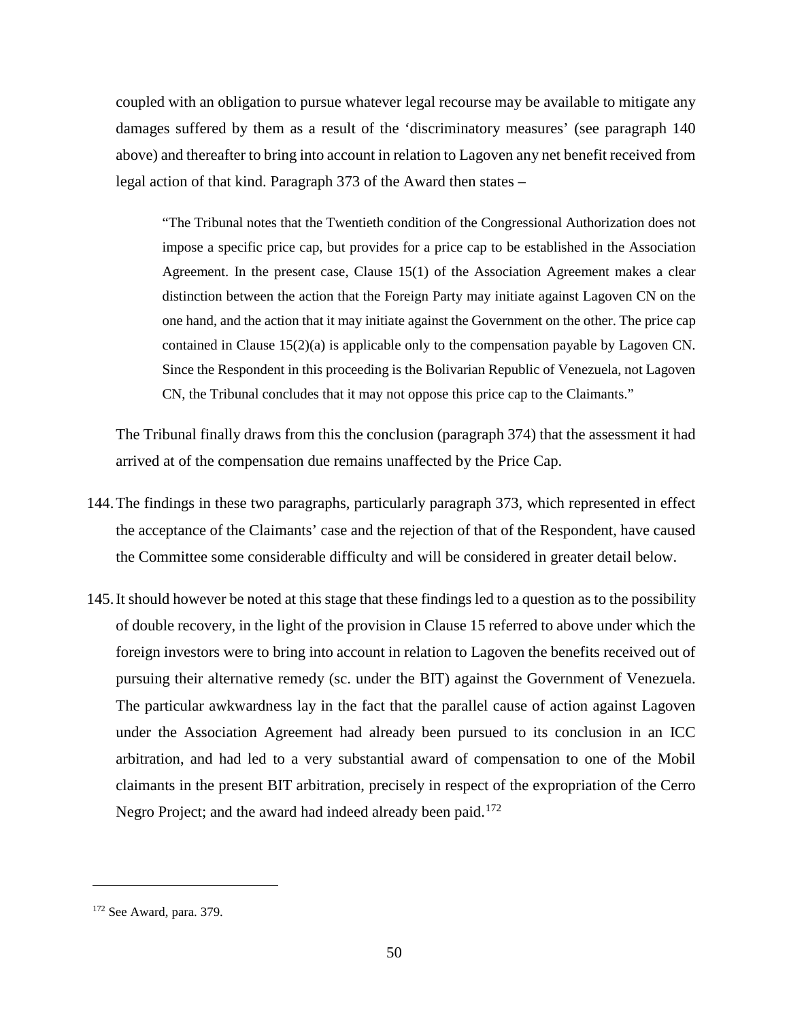coupled with an obligation to pursue whatever legal recourse may be available to mitigate any damages suffered by them as a result of the 'discriminatory measures' (see paragraph 140 above) and thereafter to bring into account in relation to Lagoven any net benefit received from legal action of that kind. Paragraph 373 of the Award then states –

"The Tribunal notes that the Twentieth condition of the Congressional Authorization does not impose a specific price cap, but provides for a price cap to be established in the Association Agreement. In the present case, Clause 15(1) of the Association Agreement makes a clear distinction between the action that the Foreign Party may initiate against Lagoven CN on the one hand, and the action that it may initiate against the Government on the other. The price cap contained in Clause 15(2)(a) is applicable only to the compensation payable by Lagoven CN. Since the Respondent in this proceeding is the Bolivarian Republic of Venezuela, not Lagoven CN, the Tribunal concludes that it may not oppose this price cap to the Claimants."

The Tribunal finally draws from this the conclusion (paragraph 374) that the assessment it had arrived at of the compensation due remains unaffected by the Price Cap.

- 144.The findings in these two paragraphs, particularly paragraph 373, which represented in effect the acceptance of the Claimants' case and the rejection of that of the Respondent, have caused the Committee some considerable difficulty and will be considered in greater detail below.
- 145.It should however be noted at this stage that these findings led to a question as to the possibility of double recovery, in the light of the provision in Clause 15 referred to above under which the foreign investors were to bring into account in relation to Lagoven the benefits received out of pursuing their alternative remedy (sc. under the BIT) against the Government of Venezuela. The particular awkwardness lay in the fact that the parallel cause of action against Lagoven under the Association Agreement had already been pursued to its conclusion in an ICC arbitration, and had led to a very substantial award of compensation to one of the Mobil claimants in the present BIT arbitration, precisely in respect of the expropriation of the Cerro Negro Project; and the award had indeed already been paid.<sup>[172](#page-53-0)</sup>

<span id="page-53-0"></span><sup>172</sup> See Award, para. 379.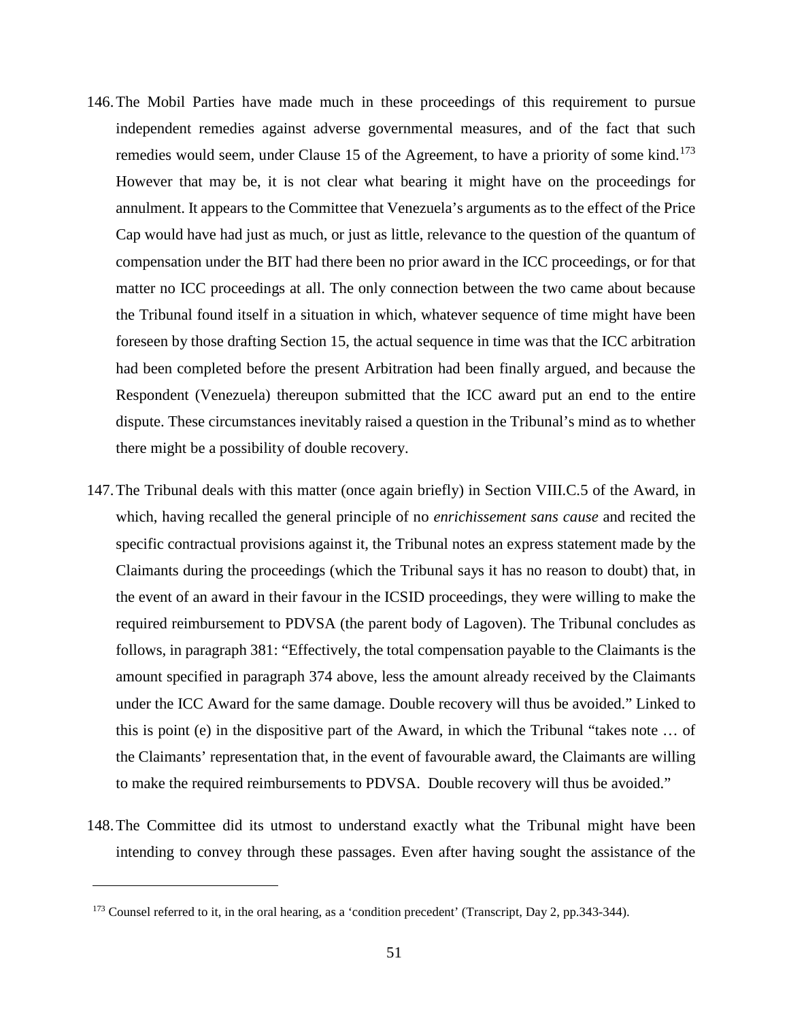- 146.The Mobil Parties have made much in these proceedings of this requirement to pursue independent remedies against adverse governmental measures, and of the fact that such remedies would seem, under Clause 15 of the Agreement, to have a priority of some kind.<sup>[173](#page-54-0)</sup> However that may be, it is not clear what bearing it might have on the proceedings for annulment. It appears to the Committee that Venezuela's arguments as to the effect of the Price Cap would have had just as much, or just as little, relevance to the question of the quantum of compensation under the BIT had there been no prior award in the ICC proceedings, or for that matter no ICC proceedings at all. The only connection between the two came about because the Tribunal found itself in a situation in which, whatever sequence of time might have been foreseen by those drafting Section 15, the actual sequence in time was that the ICC arbitration had been completed before the present Arbitration had been finally argued, and because the Respondent (Venezuela) thereupon submitted that the ICC award put an end to the entire dispute. These circumstances inevitably raised a question in the Tribunal's mind as to whether there might be a possibility of double recovery.
- 147.The Tribunal deals with this matter (once again briefly) in Section VIII.C.5 of the Award, in which, having recalled the general principle of no *enrichissement sans cause* and recited the specific contractual provisions against it, the Tribunal notes an express statement made by the Claimants during the proceedings (which the Tribunal says it has no reason to doubt) that, in the event of an award in their favour in the ICSID proceedings, they were willing to make the required reimbursement to PDVSA (the parent body of Lagoven). The Tribunal concludes as follows, in paragraph 381: "Effectively, the total compensation payable to the Claimants is the amount specified in paragraph 374 above, less the amount already received by the Claimants under the ICC Award for the same damage. Double recovery will thus be avoided." Linked to this is point (e) in the dispositive part of the Award, in which the Tribunal "takes note … of the Claimants' representation that, in the event of favourable award, the Claimants are willing to make the required reimbursements to PDVSA. Double recovery will thus be avoided."
- 148.The Committee did its utmost to understand exactly what the Tribunal might have been intending to convey through these passages. Even after having sought the assistance of the

<span id="page-54-0"></span><sup>173</sup> Counsel referred to it, in the oral hearing, as a 'condition precedent' (Transcript, Day 2, pp.343-344).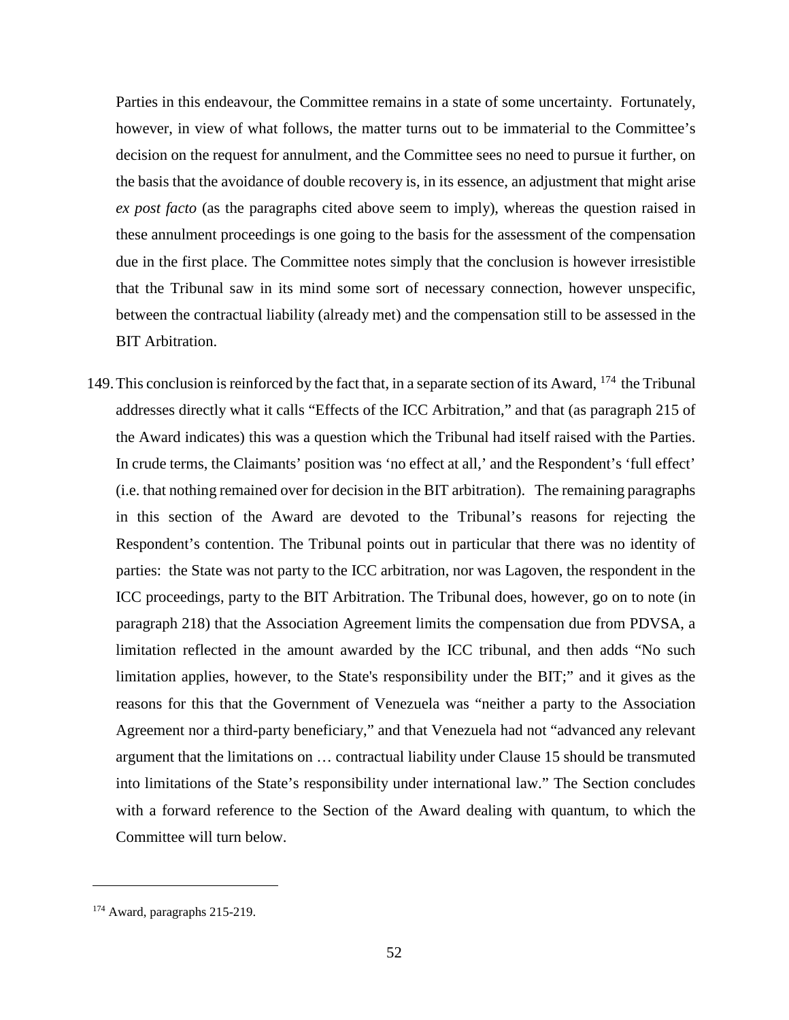Parties in this endeavour, the Committee remains in a state of some uncertainty. Fortunately, however, in view of what follows, the matter turns out to be immaterial to the Committee's decision on the request for annulment, and the Committee sees no need to pursue it further, on the basis that the avoidance of double recovery is, in its essence, an adjustment that might arise *ex post facto* (as the paragraphs cited above seem to imply), whereas the question raised in these annulment proceedings is one going to the basis for the assessment of the compensation due in the first place. The Committee notes simply that the conclusion is however irresistible that the Tribunal saw in its mind some sort of necessary connection, however unspecific, between the contractual liability (already met) and the compensation still to be assessed in the BIT Arbitration.

149.This conclusion is reinforced by the fact that, in a separate section of its Award, [174](#page-55-0) the Tribunal addresses directly what it calls "Effects of the ICC Arbitration," and that (as paragraph 215 of the Award indicates) this was a question which the Tribunal had itself raised with the Parties. In crude terms, the Claimants' position was 'no effect at all,' and the Respondent's 'full effect' (i.e. that nothing remained over for decision in the BIT arbitration). The remaining paragraphs in this section of the Award are devoted to the Tribunal's reasons for rejecting the Respondent's contention. The Tribunal points out in particular that there was no identity of parties: the State was not party to the ICC arbitration, nor was Lagoven, the respondent in the ICC proceedings, party to the BIT Arbitration. The Tribunal does, however, go on to note (in paragraph 218) that the Association Agreement limits the compensation due from PDVSA, a limitation reflected in the amount awarded by the ICC tribunal, and then adds "No such limitation applies, however, to the State's responsibility under the BIT;" and it gives as the reasons for this that the Government of Venezuela was "neither a party to the Association Agreement nor a third-party beneficiary," and that Venezuela had not "advanced any relevant argument that the limitations on … contractual liability under Clause 15 should be transmuted into limitations of the State's responsibility under international law." The Section concludes with a forward reference to the Section of the Award dealing with quantum, to which the Committee will turn below.

<span id="page-55-0"></span><sup>174</sup> Award, paragraphs 215-219.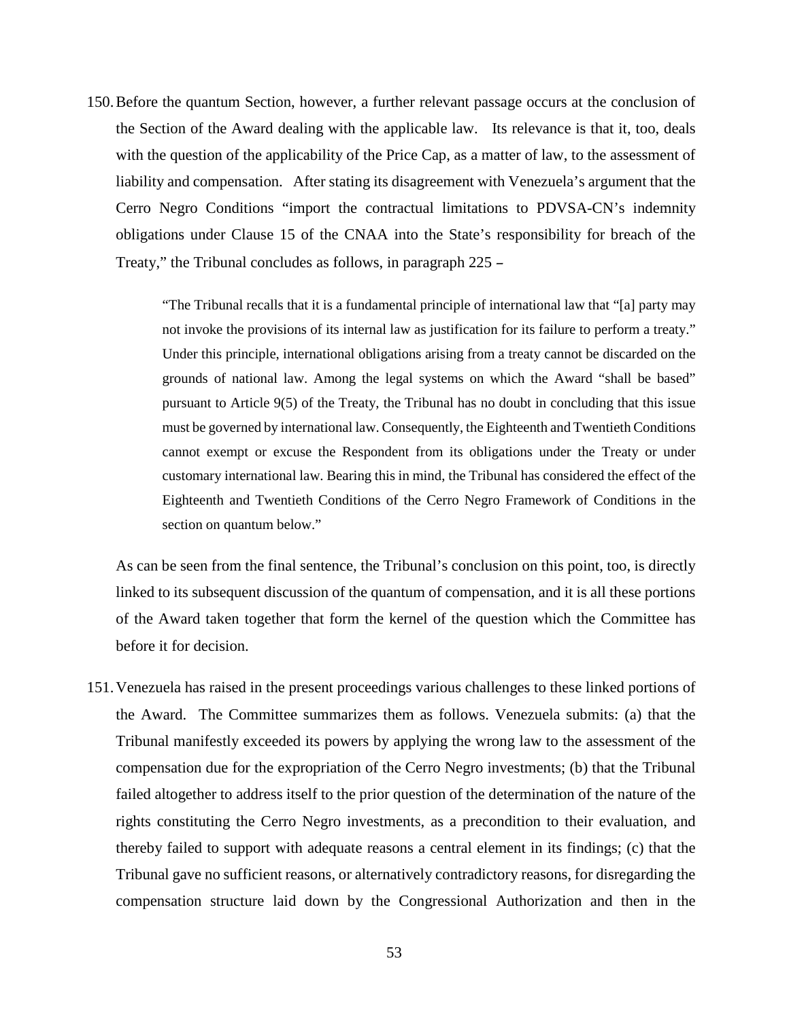150.Before the quantum Section, however, a further relevant passage occurs at the conclusion of the Section of the Award dealing with the applicable law. Its relevance is that it, too, deals with the question of the applicability of the Price Cap, as a matter of law, to the assessment of liability and compensation. After stating its disagreement with Venezuela's argument that the Cerro Negro Conditions "import the contractual limitations to PDVSA-CN's indemnity obligations under Clause 15 of the CNAA into the State's responsibility for breach of the Treaty," the Tribunal concludes as follows, in paragraph 225 –

> "The Tribunal recalls that it is a fundamental principle of international law that "[a] party may not invoke the provisions of its internal law as justification for its failure to perform a treaty." Under this principle, international obligations arising from a treaty cannot be discarded on the grounds of national law. Among the legal systems on which the Award "shall be based" pursuant to Article 9(5) of the Treaty, the Tribunal has no doubt in concluding that this issue must be governed by international law. Consequently, the Eighteenth and Twentieth Conditions cannot exempt or excuse the Respondent from its obligations under the Treaty or under customary international law. Bearing this in mind, the Tribunal has considered the effect of the Eighteenth and Twentieth Conditions of the Cerro Negro Framework of Conditions in the section on quantum below."

As can be seen from the final sentence, the Tribunal's conclusion on this point, too, is directly linked to its subsequent discussion of the quantum of compensation, and it is all these portions of the Award taken together that form the kernel of the question which the Committee has before it for decision.

151.Venezuela has raised in the present proceedings various challenges to these linked portions of the Award. The Committee summarizes them as follows. Venezuela submits: (a) that the Tribunal manifestly exceeded its powers by applying the wrong law to the assessment of the compensation due for the expropriation of the Cerro Negro investments; (b) that the Tribunal failed altogether to address itself to the prior question of the determination of the nature of the rights constituting the Cerro Negro investments, as a precondition to their evaluation, and thereby failed to support with adequate reasons a central element in its findings; (c) that the Tribunal gave no sufficient reasons, or alternatively contradictory reasons, for disregarding the compensation structure laid down by the Congressional Authorization and then in the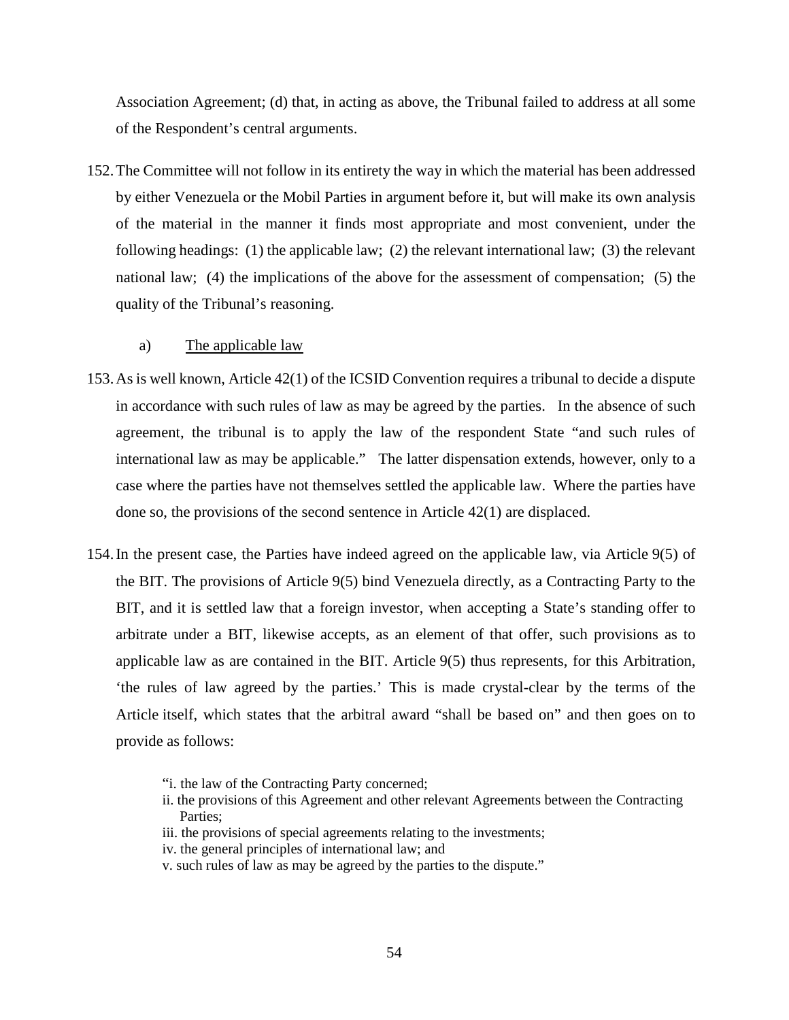Association Agreement; (d) that, in acting as above, the Tribunal failed to address at all some of the Respondent's central arguments.

152.The Committee will not follow in its entirety the way in which the material has been addressed by either Venezuela or the Mobil Parties in argument before it, but will make its own analysis of the material in the manner it finds most appropriate and most convenient, under the following headings: (1) the applicable law; (2) the relevant international law; (3) the relevant national law; (4) the implications of the above for the assessment of compensation; (5) the quality of the Tribunal's reasoning.

### a) The applicable law

- 153.As is well known, Article 42(1) of the ICSID Convention requires a tribunal to decide a dispute in accordance with such rules of law as may be agreed by the parties. In the absence of such agreement, the tribunal is to apply the law of the respondent State "and such rules of international law as may be applicable." The latter dispensation extends, however, only to a case where the parties have not themselves settled the applicable law. Where the parties have done so, the provisions of the second sentence in Article 42(1) are displaced.
- 154.In the present case, the Parties have indeed agreed on the applicable law, via Article 9(5) of the BIT. The provisions of Article 9(5) bind Venezuela directly, as a Contracting Party to the BIT, and it is settled law that a foreign investor, when accepting a State's standing offer to arbitrate under a BIT, likewise accepts, as an element of that offer, such provisions as to applicable law as are contained in the BIT. Article 9(5) thus represents, for this Arbitration, 'the rules of law agreed by the parties.' This is made crystal-clear by the terms of the Article itself, which states that the arbitral award "shall be based on" and then goes on to provide as follows:
	- "i. the law of the Contracting Party concerned;
	- ii. the provisions of this Agreement and other relevant Agreements between the Contracting Parties;
	- iii. the provisions of special agreements relating to the investments;
	- iv. the general principles of international law; and
	- v. such rules of law as may be agreed by the parties to the dispute."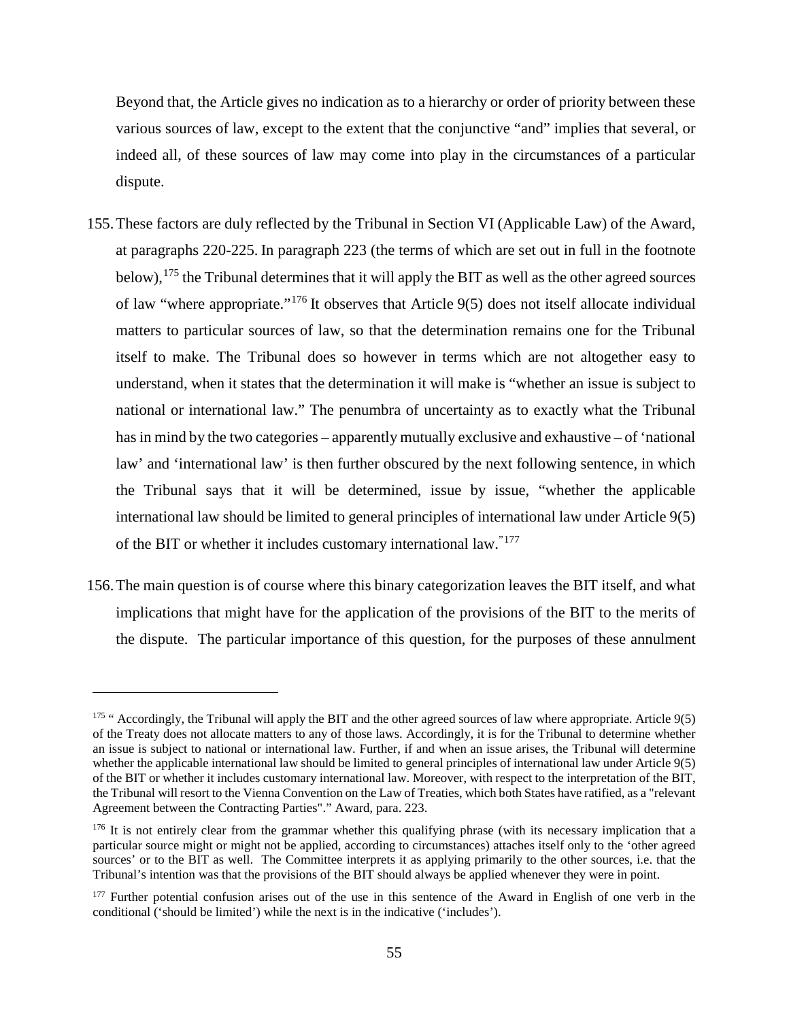Beyond that, the Article gives no indication as to a hierarchy or order of priority between these various sources of law, except to the extent that the conjunctive "and" implies that several, or indeed all, of these sources of law may come into play in the circumstances of a particular dispute.

- 155.These factors are duly reflected by the Tribunal in Section VI (Applicable Law) of the Award, at paragraphs 220-225. In paragraph 223 (the terms of which are set out in full in the footnote below), <sup>[175](#page-58-0)</sup> the Tribunal determines that it will apply the BIT as well as the other agreed sources of law "where appropriate."[176](#page-58-1) It observes that Article 9(5) does not itself allocate individual matters to particular sources of law, so that the determination remains one for the Tribunal itself to make. The Tribunal does so however in terms which are not altogether easy to understand, when it states that the determination it will make is "whether an issue is subject to national or international law." The penumbra of uncertainty as to exactly what the Tribunal has in mind by the two categories – apparently mutually exclusive and exhaustive – of 'national law' and 'international law' is then further obscured by the next following sentence, in which the Tribunal says that it will be determined, issue by issue, "whether the applicable international law should be limited to general principles of international law under Article 9(5) of the BIT or whether it includes customary international law."[177](#page-58-2)
- 156.The main question is of course where this binary categorization leaves the BIT itself, and what implications that might have for the application of the provisions of the BIT to the merits of the dispute. The particular importance of this question, for the purposes of these annulment

<span id="page-58-0"></span><sup>175</sup> " Accordingly, the Tribunal will apply the BIT and the other agreed sources of law where appropriate. Article 9(5) of the Treaty does not allocate matters to any of those laws. Accordingly, it is for the Tribunal to determine whether an issue is subject to national or international law. Further, if and when an issue arises, the Tribunal will determine whether the applicable international law should be limited to general principles of international law under Article 9(5) of the BIT or whether it includes customary international law. Moreover, with respect to the interpretation of the BIT, the Tribunal will resort to the Vienna Convention on the Law of Treaties, which both States have ratified, as a "relevant Agreement between the Contracting Parties"." Award, para. 223.

<span id="page-58-1"></span><sup>&</sup>lt;sup>176</sup> It is not entirely clear from the grammar whether this qualifying phrase (with its necessary implication that a particular source might or might not be applied, according to circumstances) attaches itself only to the 'other agreed sources' or to the BIT as well. The Committee interprets it as applying primarily to the other sources, i.e. that the Tribunal's intention was that the provisions of the BIT should always be applied whenever they were in point.

<span id="page-58-2"></span><sup>&</sup>lt;sup>177</sup> Further potential confusion arises out of the use in this sentence of the Award in English of one verb in the conditional ('should be limited') while the next is in the indicative ('includes').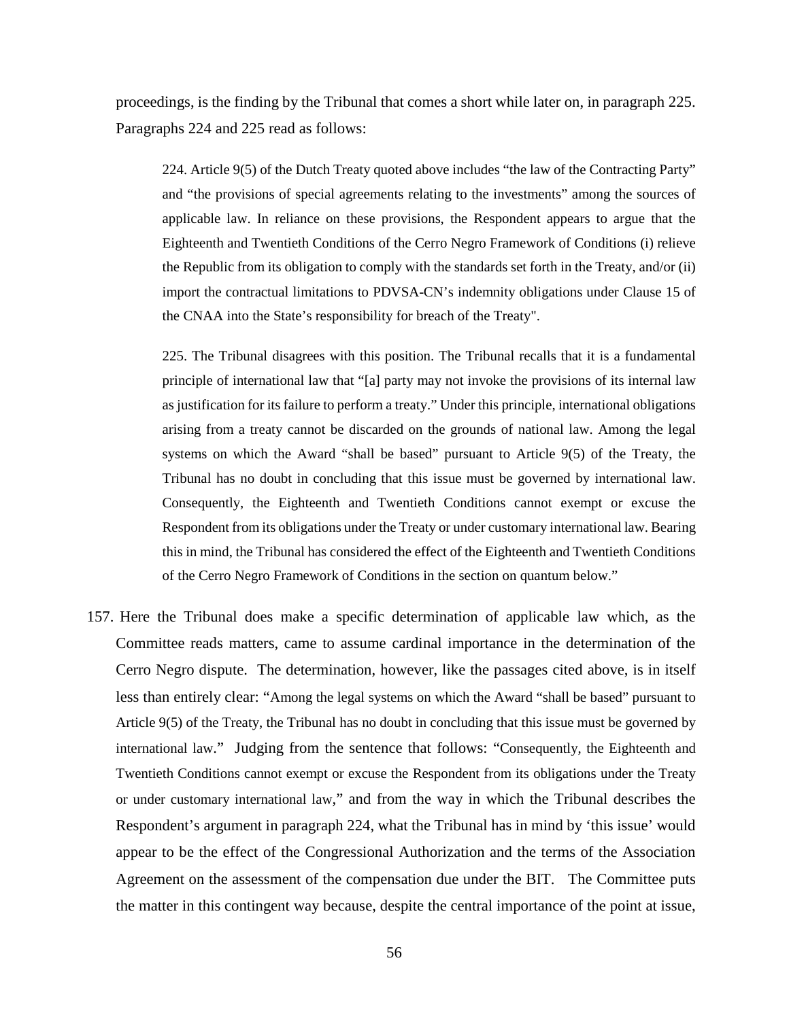proceedings, is the finding by the Tribunal that comes a short while later on, in paragraph 225. Paragraphs 224 and 225 read as follows:

224. Article 9(5) of the Dutch Treaty quoted above includes "the law of the Contracting Party" and "the provisions of special agreements relating to the investments" among the sources of applicable law. In reliance on these provisions, the Respondent appears to argue that the Eighteenth and Twentieth Conditions of the Cerro Negro Framework of Conditions (i) relieve the Republic from its obligation to comply with the standards set forth in the Treaty, and/or (ii) import the contractual limitations to PDVSA-CN's indemnity obligations under Clause 15 of the CNAA into the State's responsibility for breach of the Treaty".

225. The Tribunal disagrees with this position. The Tribunal recalls that it is a fundamental principle of international law that "[a] party may not invoke the provisions of its internal law as justification for its failure to perform a treaty." Under this principle, international obligations arising from a treaty cannot be discarded on the grounds of national law. Among the legal systems on which the Award "shall be based" pursuant to Article 9(5) of the Treaty, the Tribunal has no doubt in concluding that this issue must be governed by international law. Consequently, the Eighteenth and Twentieth Conditions cannot exempt or excuse the Respondent from its obligations under the Treaty or under customary international law. Bearing this in mind, the Tribunal has considered the effect of the Eighteenth and Twentieth Conditions of the Cerro Negro Framework of Conditions in the section on quantum below."

157. Here the Tribunal does make a specific determination of applicable law which, as the Committee reads matters, came to assume cardinal importance in the determination of the Cerro Negro dispute. The determination, however, like the passages cited above, is in itself less than entirely clear: "Among the legal systems on which the Award "shall be based" pursuant to Article 9(5) of the Treaty, the Tribunal has no doubt in concluding that this issue must be governed by international law." Judging from the sentence that follows: "Consequently, the Eighteenth and Twentieth Conditions cannot exempt or excuse the Respondent from its obligations under the Treaty or under customary international law," and from the way in which the Tribunal describes the Respondent's argument in paragraph 224, what the Tribunal has in mind by 'this issue' would appear to be the effect of the Congressional Authorization and the terms of the Association Agreement on the assessment of the compensation due under the BIT. The Committee puts the matter in this contingent way because, despite the central importance of the point at issue,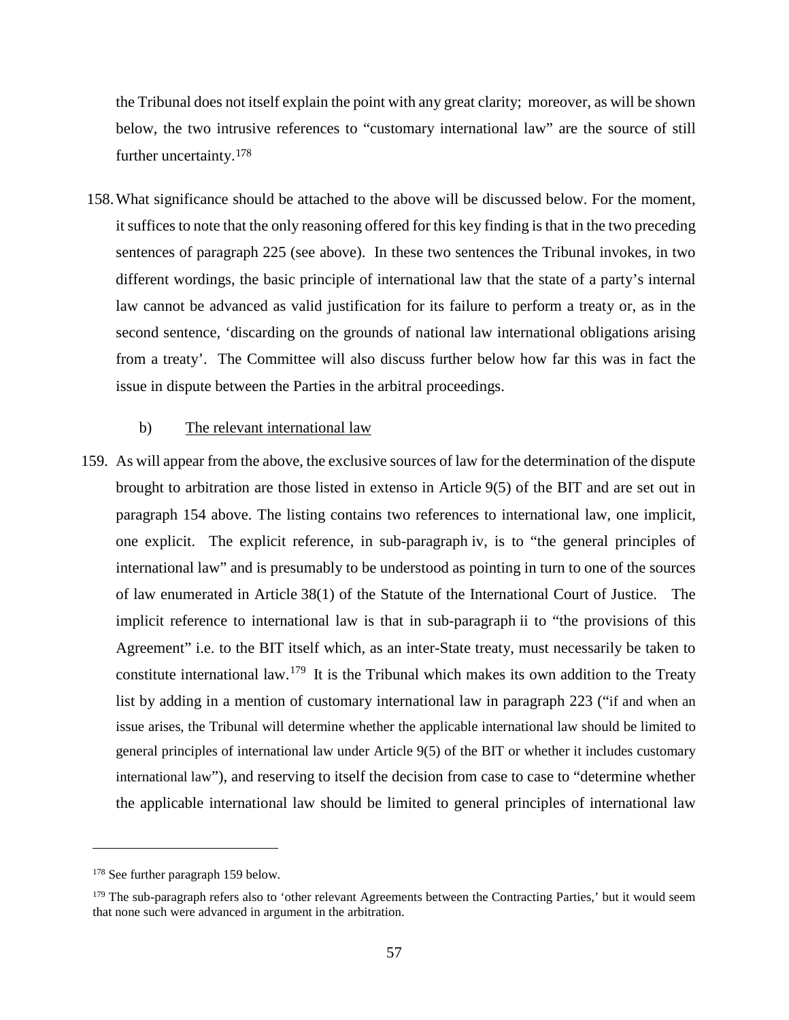the Tribunal does not itself explain the point with any great clarity; moreover, as will be shown below, the two intrusive references to "customary international law" are the source of still further uncertainty.[178](#page-60-0)

158.What significance should be attached to the above will be discussed below. For the moment, it suffices to note that the only reasoning offered for this key finding is that in the two preceding sentences of paragraph 225 (see above). In these two sentences the Tribunal invokes, in two different wordings, the basic principle of international law that the state of a party's internal law cannot be advanced as valid justification for its failure to perform a treaty or, as in the second sentence, 'discarding on the grounds of national law international obligations arising from a treaty'. The Committee will also discuss further below how far this was in fact the issue in dispute between the Parties in the arbitral proceedings.

### b) The relevant international law

159. As will appear from the above, the exclusive sources of law for the determination of the dispute brought to arbitration are those listed in extenso in Article 9(5) of the BIT and are set out in paragraph 154 above. The listing contains two references to international law, one implicit, one explicit. The explicit reference, in sub-paragraph iv, is to "the general principles of international law" and is presumably to be understood as pointing in turn to one of the sources of law enumerated in Article 38(1) of the Statute of the International Court of Justice. The implicit reference to international law is that in sub-paragraph ii to "the provisions of this Agreement" i.e. to the BIT itself which, as an inter-State treaty, must necessarily be taken to constitute international law.<sup>[179](#page-60-1)</sup> It is the Tribunal which makes its own addition to the Treaty list by adding in a mention of customary international law in paragraph 223 ("if and when an issue arises, the Tribunal will determine whether the applicable international law should be limited to general principles of international law under Article 9(5) of the BIT or whether it includes customary international law"), and reserving to itself the decision from case to case to "determine whether the applicable international law should be limited to general principles of international law

<span id="page-60-0"></span><sup>&</sup>lt;sup>178</sup> See further paragraph 159 below.

<span id="page-60-1"></span> $179$  The sub-paragraph refers also to 'other relevant Agreements between the Contracting Parties,' but it would seem that none such were advanced in argument in the arbitration.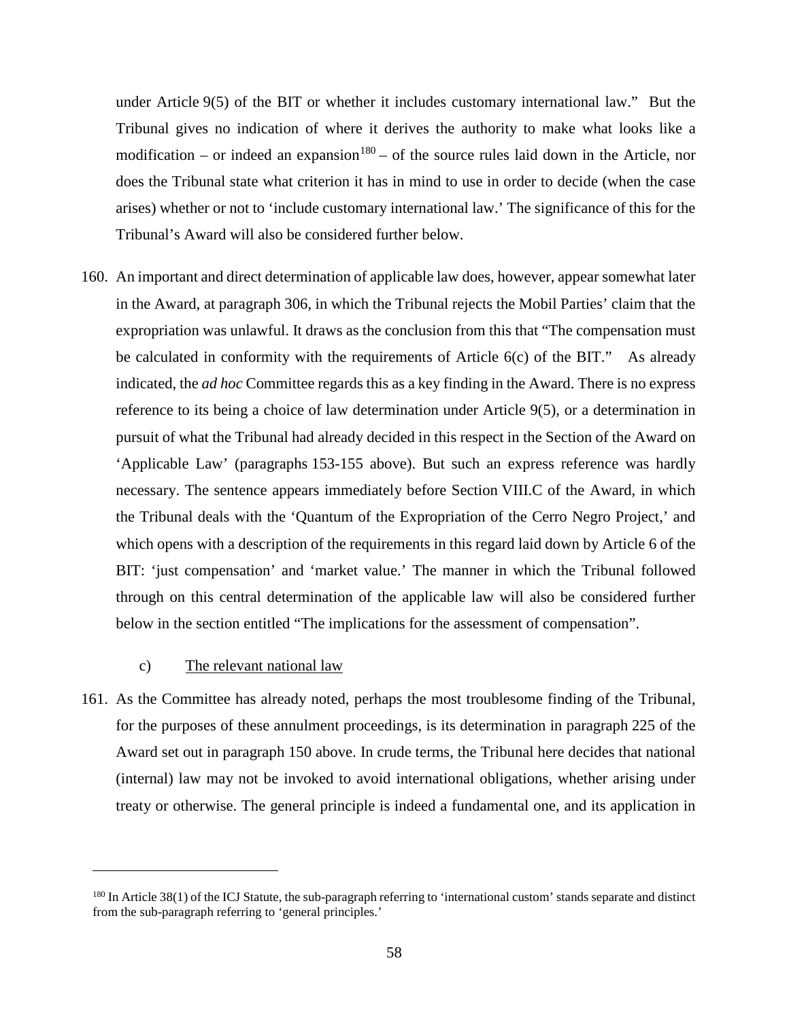under Article 9(5) of the BIT or whether it includes customary international law." But the Tribunal gives no indication of where it derives the authority to make what looks like a modification – or indeed an expansion<sup>[180](#page-61-0)</sup> – of the source rules laid down in the Article, nor does the Tribunal state what criterion it has in mind to use in order to decide (when the case arises) whether or not to 'include customary international law.' The significance of this for the Tribunal's Award will also be considered further below.

160. An important and direct determination of applicable law does, however, appear somewhat later in the Award, at paragraph 306, in which the Tribunal rejects the Mobil Parties' claim that the expropriation was unlawful. It draws as the conclusion from this that "The compensation must be calculated in conformity with the requirements of Article 6(c) of the BIT." As already indicated, the *ad hoc* Committee regards this as a key finding in the Award. There is no express reference to its being a choice of law determination under Article 9(5), or a determination in pursuit of what the Tribunal had already decided in this respect in the Section of the Award on 'Applicable Law' (paragraphs 153-155 above). But such an express reference was hardly necessary. The sentence appears immediately before Section VIII.C of the Award, in which the Tribunal deals with the 'Quantum of the Expropriation of the Cerro Negro Project,' and which opens with a description of the requirements in this regard laid down by Article 6 of the BIT: 'just compensation' and 'market value.' The manner in which the Tribunal followed through on this central determination of the applicable law will also be considered further below in the section entitled "The implications for the assessment of compensation".

## c) The relevant national law

 $\overline{a}$ 

161. As the Committee has already noted, perhaps the most troublesome finding of the Tribunal, for the purposes of these annulment proceedings, is its determination in paragraph 225 of the Award set out in paragraph 150 above. In crude terms, the Tribunal here decides that national (internal) law may not be invoked to avoid international obligations, whether arising under treaty or otherwise. The general principle is indeed a fundamental one, and its application in

<span id="page-61-0"></span> $180$  In Article 38(1) of the ICJ Statute, the sub-paragraph referring to 'international custom' stands separate and distinct from the sub-paragraph referring to 'general principles.'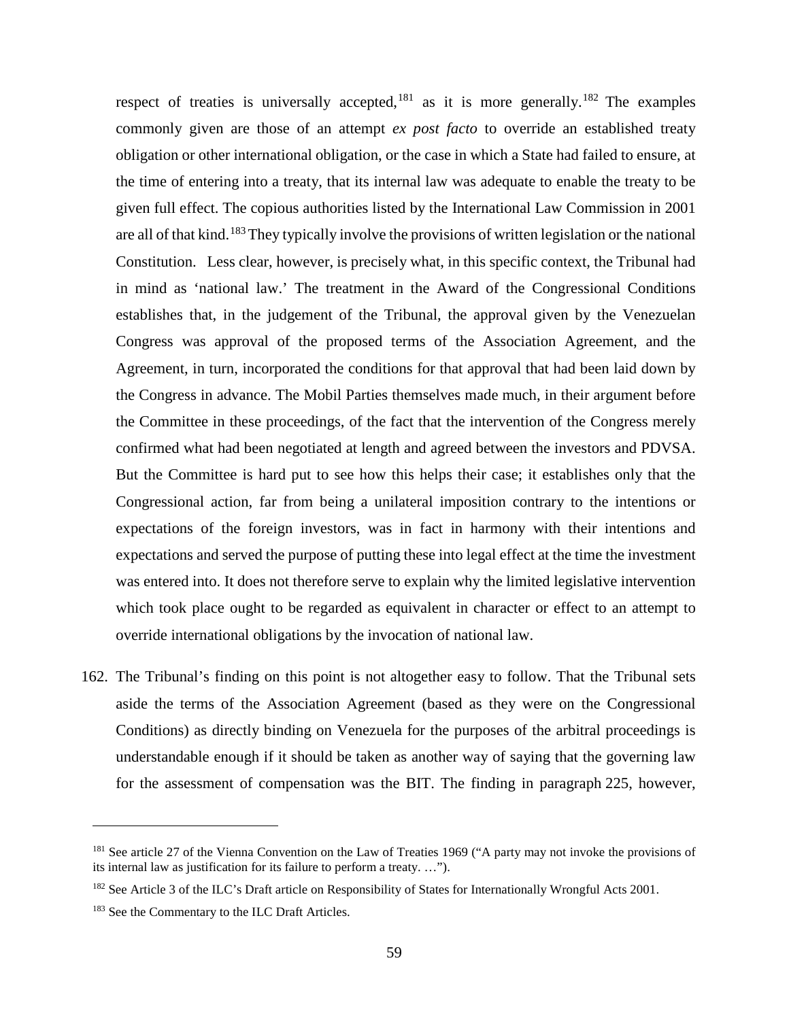respect of treaties is universally accepted,  $181$  as it is more generally.  $182$  The examples commonly given are those of an attempt *ex post facto* to override an established treaty obligation or other international obligation, or the case in which a State had failed to ensure, at the time of entering into a treaty, that its internal law was adequate to enable the treaty to be given full effect. The copious authorities listed by the International Law Commission in 2001 are all of that kind.<sup>[183](#page-62-2)</sup>They typically involve the provisions of written legislation or the national Constitution. Less clear, however, is precisely what, in this specific context, the Tribunal had in mind as 'national law.' The treatment in the Award of the Congressional Conditions establishes that, in the judgement of the Tribunal, the approval given by the Venezuelan Congress was approval of the proposed terms of the Association Agreement, and the Agreement, in turn, incorporated the conditions for that approval that had been laid down by the Congress in advance. The Mobil Parties themselves made much, in their argument before the Committee in these proceedings, of the fact that the intervention of the Congress merely confirmed what had been negotiated at length and agreed between the investors and PDVSA. But the Committee is hard put to see how this helps their case; it establishes only that the Congressional action, far from being a unilateral imposition contrary to the intentions or expectations of the foreign investors, was in fact in harmony with their intentions and expectations and served the purpose of putting these into legal effect at the time the investment was entered into. It does not therefore serve to explain why the limited legislative intervention which took place ought to be regarded as equivalent in character or effect to an attempt to override international obligations by the invocation of national law.

162. The Tribunal's finding on this point is not altogether easy to follow. That the Tribunal sets aside the terms of the Association Agreement (based as they were on the Congressional Conditions) as directly binding on Venezuela for the purposes of the arbitral proceedings is understandable enough if it should be taken as another way of saying that the governing law for the assessment of compensation was the BIT. The finding in paragraph 225, however,

<span id="page-62-0"></span><sup>&</sup>lt;sup>181</sup> See article 27 of the Vienna Convention on the Law of Treaties 1969 ("A party may not invoke the provisions of its internal law as justification for its failure to perform a treaty. …").

<span id="page-62-1"></span><sup>&</sup>lt;sup>182</sup> See Article 3 of the ILC's Draft article on Responsibility of States for Internationally Wrongful Acts 2001.

<span id="page-62-2"></span><sup>&</sup>lt;sup>183</sup> See the Commentary to the ILC Draft Articles.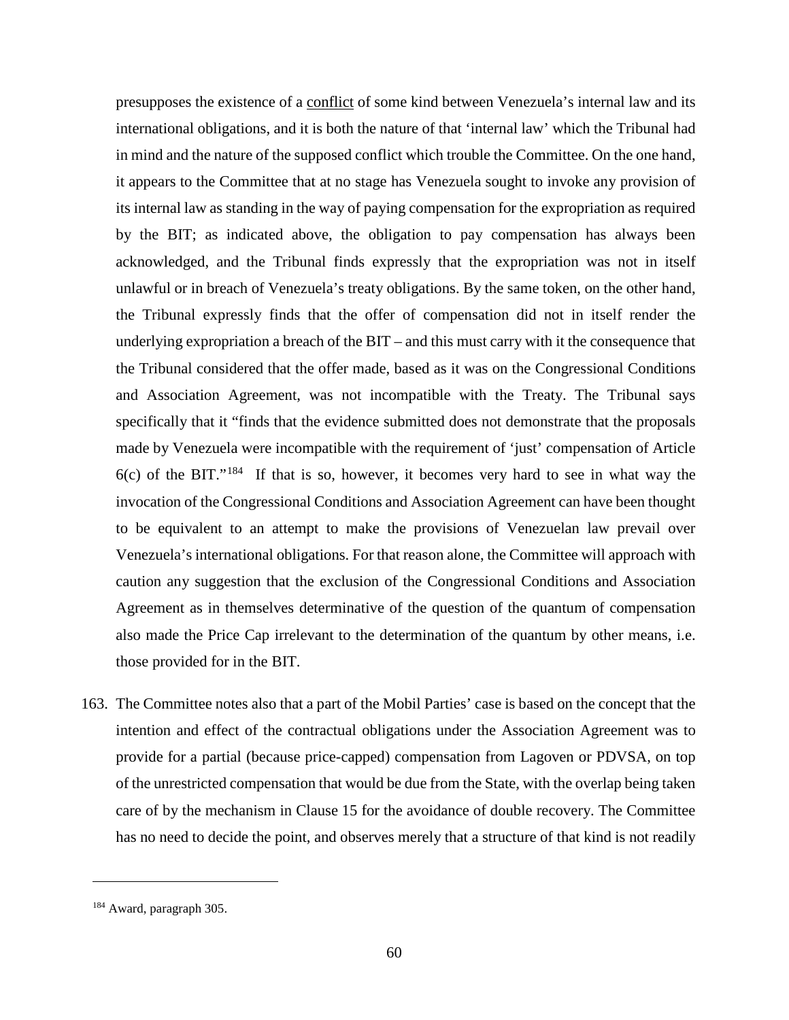presupposes the existence of a conflict of some kind between Venezuela's internal law and its international obligations, and it is both the nature of that 'internal law' which the Tribunal had in mind and the nature of the supposed conflict which trouble the Committee. On the one hand, it appears to the Committee that at no stage has Venezuela sought to invoke any provision of its internal law as standing in the way of paying compensation for the expropriation as required by the BIT; as indicated above, the obligation to pay compensation has always been acknowledged, and the Tribunal finds expressly that the expropriation was not in itself unlawful or in breach of Venezuela's treaty obligations. By the same token, on the other hand, the Tribunal expressly finds that the offer of compensation did not in itself render the underlying expropriation a breach of the BIT – and this must carry with it the consequence that the Tribunal considered that the offer made, based as it was on the Congressional Conditions and Association Agreement, was not incompatible with the Treaty. The Tribunal says specifically that it "finds that the evidence submitted does not demonstrate that the proposals made by Venezuela were incompatible with the requirement of 'just' compensation of Article  $6(c)$  of the BIT."<sup>184</sup> If that is so, however, it becomes very hard to see in what way the invocation of the Congressional Conditions and Association Agreement can have been thought to be equivalent to an attempt to make the provisions of Venezuelan law prevail over Venezuela's international obligations. For that reason alone, the Committee will approach with caution any suggestion that the exclusion of the Congressional Conditions and Association Agreement as in themselves determinative of the question of the quantum of compensation also made the Price Cap irrelevant to the determination of the quantum by other means, i.e. those provided for in the BIT.

163. The Committee notes also that a part of the Mobil Parties' case is based on the concept that the intention and effect of the contractual obligations under the Association Agreement was to provide for a partial (because price-capped) compensation from Lagoven or PDVSA, on top of the unrestricted compensation that would be due from the State, with the overlap being taken care of by the mechanism in Clause 15 for the avoidance of double recovery. The Committee has no need to decide the point, and observes merely that a structure of that kind is not readily

<span id="page-63-0"></span><sup>184</sup> Award, paragraph 305.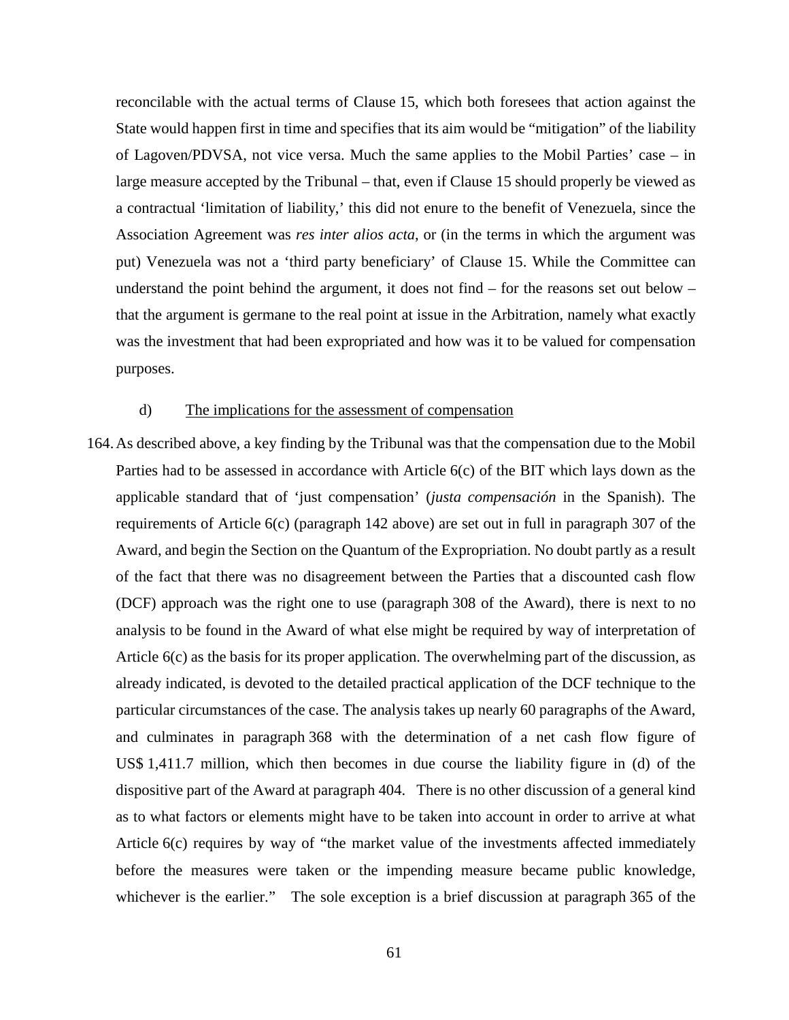reconcilable with the actual terms of Clause 15, which both foresees that action against the State would happen first in time and specifies that its aim would be "mitigation" of the liability of Lagoven/PDVSA, not vice versa. Much the same applies to the Mobil Parties' case – in large measure accepted by the Tribunal – that, even if Clause 15 should properly be viewed as a contractual 'limitation of liability,' this did not enure to the benefit of Venezuela, since the Association Agreement was *res inter alios acta*, or (in the terms in which the argument was put) Venezuela was not a 'third party beneficiary' of Clause 15. While the Committee can understand the point behind the argument, it does not find  $-$  for the reasons set out below  $$ that the argument is germane to the real point at issue in the Arbitration, namely what exactly was the investment that had been expropriated and how was it to be valued for compensation purposes.

### d) The implications for the assessment of compensation

164.As described above, a key finding by the Tribunal was that the compensation due to the Mobil Parties had to be assessed in accordance with Article 6(c) of the BIT which lays down as the applicable standard that of 'just compensation' (*justa compensación* in the Spanish). The requirements of Article 6(c) (paragraph 142 above) are set out in full in paragraph 307 of the Award, and begin the Section on the Quantum of the Expropriation. No doubt partly as a result of the fact that there was no disagreement between the Parties that a discounted cash flow (DCF) approach was the right one to use (paragraph 308 of the Award), there is next to no analysis to be found in the Award of what else might be required by way of interpretation of Article 6(c) as the basis for its proper application. The overwhelming part of the discussion, as already indicated, is devoted to the detailed practical application of the DCF technique to the particular circumstances of the case. The analysis takes up nearly 60 paragraphs of the Award, and culminates in paragraph 368 with the determination of a net cash flow figure of US\$ 1,411.7 million, which then becomes in due course the liability figure in (d) of the dispositive part of the Award at paragraph 404. There is no other discussion of a general kind as to what factors or elements might have to be taken into account in order to arrive at what Article 6(c) requires by way of "the market value of the investments affected immediately before the measures were taken or the impending measure became public knowledge, whichever is the earlier." The sole exception is a brief discussion at paragraph 365 of the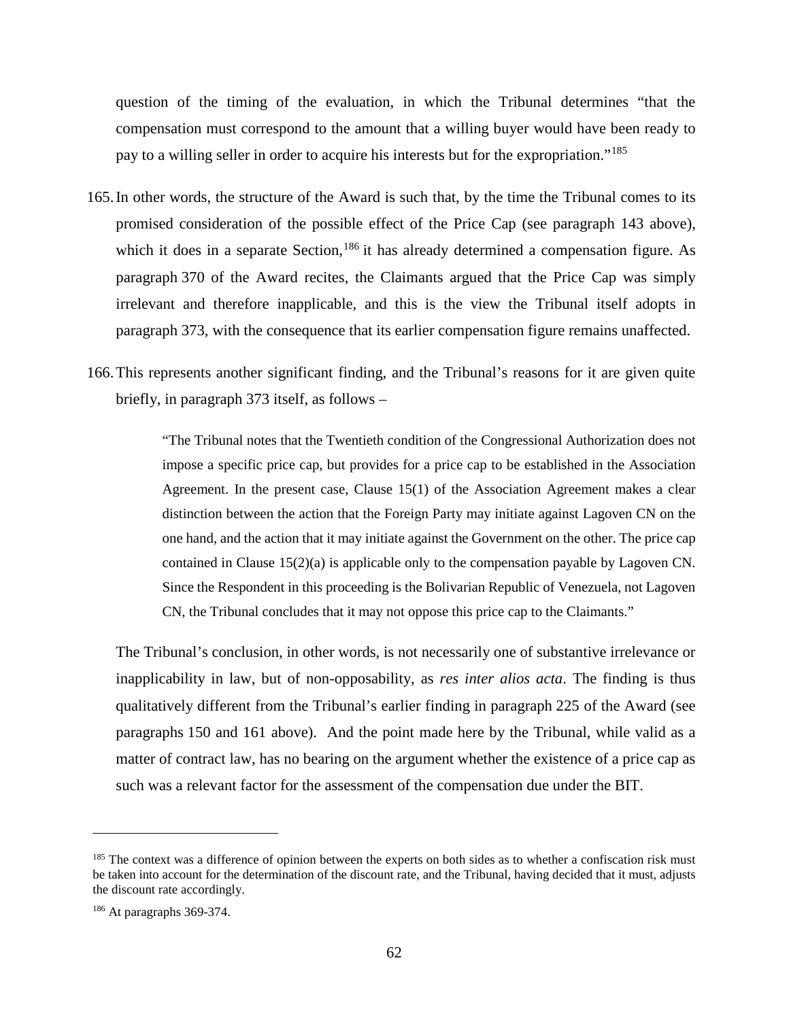question of the timing of the evaluation, in which the Tribunal determines "that the compensation must correspond to the amount that a willing buyer would have been ready to pay to a willing seller in order to acquire his interests but for the expropriation."<sup>[185](#page-65-0)</sup>

- 165.In other words, the structure of the Award is such that, by the time the Tribunal comes to its promised consideration of the possible effect of the Price Cap (see paragraph 143 above), which it does in a separate Section,  $186$  it has already determined a compensation figure. As paragraph 370 of the Award recites, the Claimants argued that the Price Cap was simply irrelevant and therefore inapplicable, and this is the view the Tribunal itself adopts in paragraph 373, with the consequence that its earlier compensation figure remains unaffected.
- 166.This represents another significant finding, and the Tribunal's reasons for it are given quite briefly, in paragraph 373 itself, as follows –

"The Tribunal notes that the Twentieth condition of the Congressional Authorization does not impose a specific price cap, but provides for a price cap to be established in the Association Agreement. In the present case, Clause 15(1) of the Association Agreement makes a clear distinction between the action that the Foreign Party may initiate against Lagoven CN on the one hand, and the action that it may initiate against the Government on the other. The price cap contained in Clause 15(2)(a) is applicable only to the compensation payable by Lagoven CN. Since the Respondent in this proceeding is the Bolivarian Republic of Venezuela, not Lagoven CN, the Tribunal concludes that it may not oppose this price cap to the Claimants."

The Tribunal's conclusion, in other words, is not necessarily one of substantive irrelevance or inapplicability in law, but of non-opposability, as *res inter alios acta*. The finding is thus qualitatively different from the Tribunal's earlier finding in paragraph 225 of the Award (see paragraphs 150 and 161 above). And the point made here by the Tribunal, while valid as a matter of contract law, has no bearing on the argument whether the existence of a price cap as such was a relevant factor for the assessment of the compensation due under the BIT.

<span id="page-65-0"></span><sup>&</sup>lt;sup>185</sup> The context was a difference of opinion between the experts on both sides as to whether a confiscation risk must be taken into account for the determination of the discount rate, and the Tribunal, having decided that it must, adjusts the discount rate accordingly.

<span id="page-65-1"></span><sup>186</sup> At paragraphs 369-374.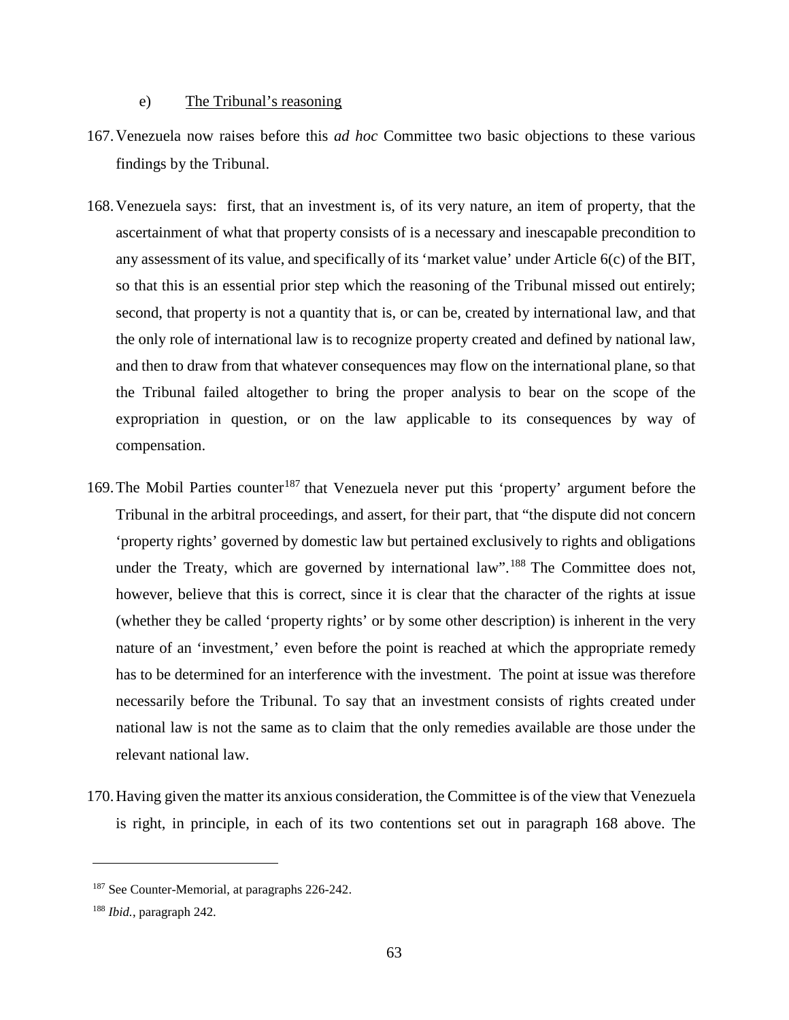## e) The Tribunal's reasoning

- 167.Venezuela now raises before this *ad hoc* Committee two basic objections to these various findings by the Tribunal.
- 168.Venezuela says: first, that an investment is, of its very nature, an item of property, that the ascertainment of what that property consists of is a necessary and inescapable precondition to any assessment of its value, and specifically of its 'market value' under Article 6(c) of the BIT, so that this is an essential prior step which the reasoning of the Tribunal missed out entirely; second, that property is not a quantity that is, or can be, created by international law, and that the only role of international law is to recognize property created and defined by national law, and then to draw from that whatever consequences may flow on the international plane, so that the Tribunal failed altogether to bring the proper analysis to bear on the scope of the expropriation in question, or on the law applicable to its consequences by way of compensation.
- 169. The Mobil Parties counter<sup>[187](#page-66-0)</sup> that Venezuela never put this 'property' argument before the Tribunal in the arbitral proceedings, and assert, for their part, that "the dispute did not concern 'property rights' governed by domestic law but pertained exclusively to rights and obligations under the Treaty, which are governed by international law".<sup>[188](#page-66-1)</sup> The Committee does not, however, believe that this is correct, since it is clear that the character of the rights at issue (whether they be called 'property rights' or by some other description) is inherent in the very nature of an 'investment,' even before the point is reached at which the appropriate remedy has to be determined for an interference with the investment. The point at issue was therefore necessarily before the Tribunal. To say that an investment consists of rights created under national law is not the same as to claim that the only remedies available are those under the relevant national law.
- 170.Having given the matter its anxious consideration, the Committee is of the view that Venezuela is right, in principle, in each of its two contentions set out in paragraph 168 above. The

<span id="page-66-0"></span><sup>&</sup>lt;sup>187</sup> See Counter-Memorial, at paragraphs 226-242.

<span id="page-66-1"></span><sup>188</sup> *Ibid.*, paragraph 242.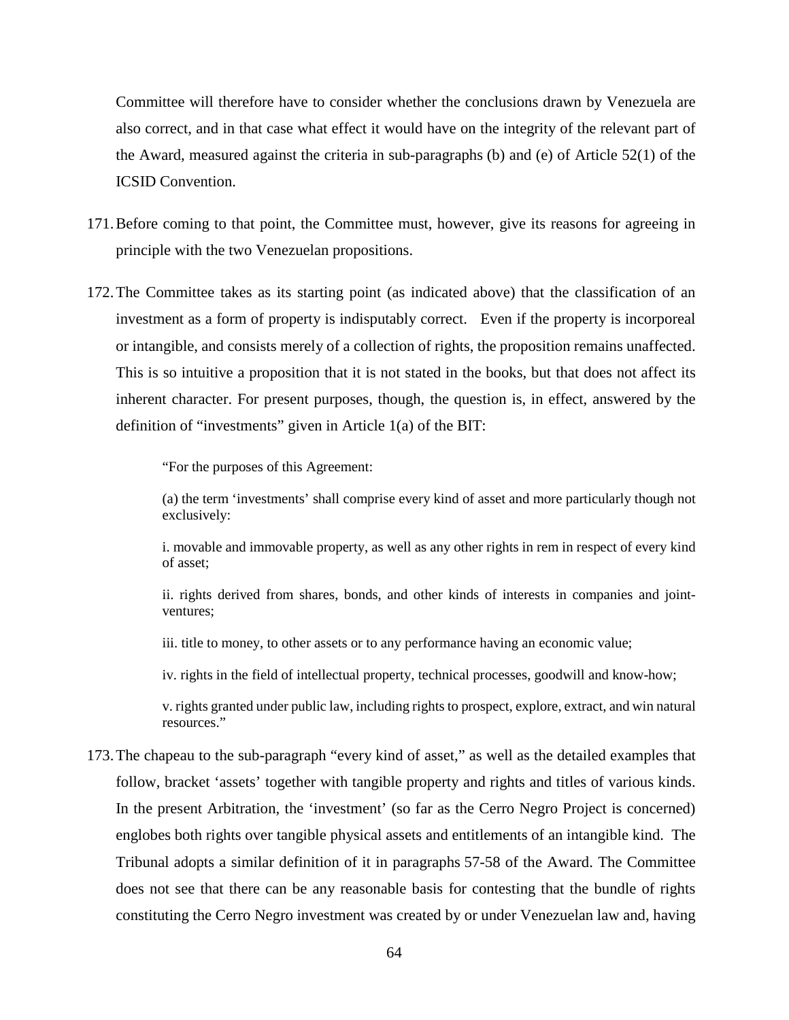Committee will therefore have to consider whether the conclusions drawn by Venezuela are also correct, and in that case what effect it would have on the integrity of the relevant part of the Award, measured against the criteria in sub-paragraphs (b) and (e) of Article 52(1) of the ICSID Convention.

- 171.Before coming to that point, the Committee must, however, give its reasons for agreeing in principle with the two Venezuelan propositions.
- 172.The Committee takes as its starting point (as indicated above) that the classification of an investment as a form of property is indisputably correct. Even if the property is incorporeal or intangible, and consists merely of a collection of rights, the proposition remains unaffected. This is so intuitive a proposition that it is not stated in the books, but that does not affect its inherent character. For present purposes, though, the question is, in effect, answered by the definition of "investments" given in Article 1(a) of the BIT:

"For the purposes of this Agreement:

(a) the term 'investments' shall comprise every kind of asset and more particularly though not exclusively:

i. movable and immovable property, as well as any other rights in rem in respect of every kind of asset;

ii. rights derived from shares, bonds, and other kinds of interests in companies and jointventures;

iii. title to money, to other assets or to any performance having an economic value;

iv. rights in the field of intellectual property, technical processes, goodwill and know-how;

v. rights granted under public law, including rights to prospect, explore, extract, and win natural resources."

173.The chapeau to the sub-paragraph "every kind of asset," as well as the detailed examples that follow, bracket 'assets' together with tangible property and rights and titles of various kinds. In the present Arbitration, the 'investment' (so far as the Cerro Negro Project is concerned) englobes both rights over tangible physical assets and entitlements of an intangible kind. The Tribunal adopts a similar definition of it in paragraphs 57-58 of the Award. The Committee does not see that there can be any reasonable basis for contesting that the bundle of rights constituting the Cerro Negro investment was created by or under Venezuelan law and, having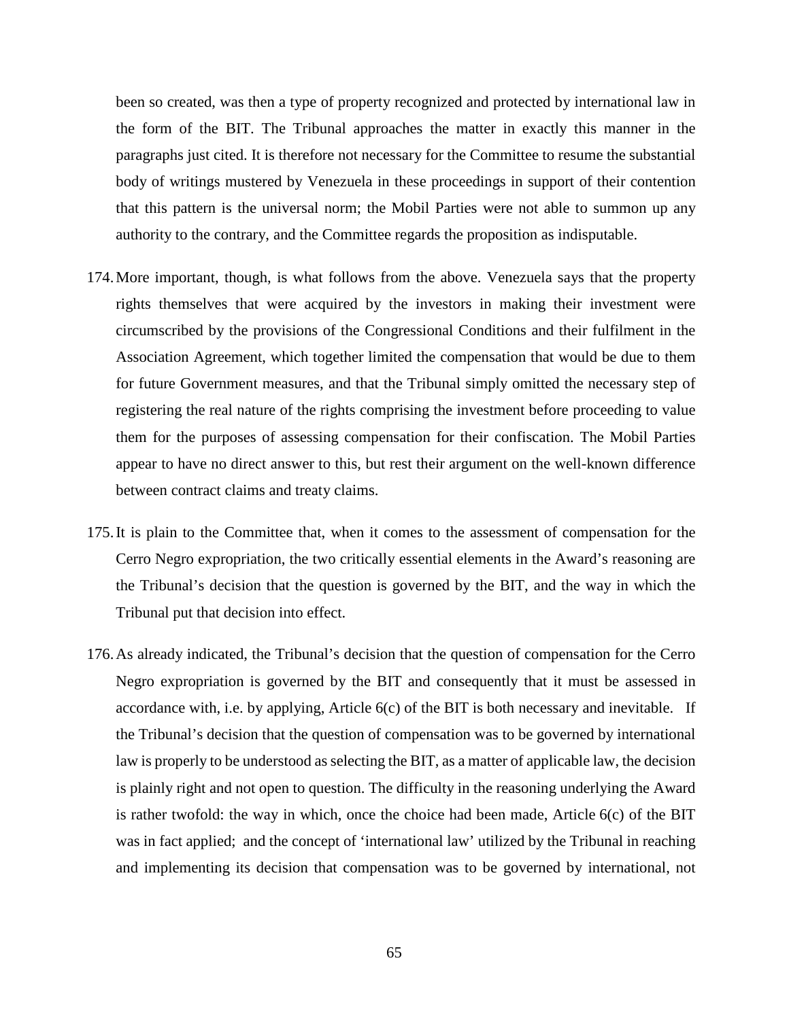been so created, was then a type of property recognized and protected by international law in the form of the BIT. The Tribunal approaches the matter in exactly this manner in the paragraphs just cited. It is therefore not necessary for the Committee to resume the substantial body of writings mustered by Venezuela in these proceedings in support of their contention that this pattern is the universal norm; the Mobil Parties were not able to summon up any authority to the contrary, and the Committee regards the proposition as indisputable.

- 174.More important, though, is what follows from the above. Venezuela says that the property rights themselves that were acquired by the investors in making their investment were circumscribed by the provisions of the Congressional Conditions and their fulfilment in the Association Agreement, which together limited the compensation that would be due to them for future Government measures, and that the Tribunal simply omitted the necessary step of registering the real nature of the rights comprising the investment before proceeding to value them for the purposes of assessing compensation for their confiscation. The Mobil Parties appear to have no direct answer to this, but rest their argument on the well-known difference between contract claims and treaty claims.
- 175.It is plain to the Committee that, when it comes to the assessment of compensation for the Cerro Negro expropriation, the two critically essential elements in the Award's reasoning are the Tribunal's decision that the question is governed by the BIT, and the way in which the Tribunal put that decision into effect.
- 176.As already indicated, the Tribunal's decision that the question of compensation for the Cerro Negro expropriation is governed by the BIT and consequently that it must be assessed in accordance with, i.e. by applying, Article 6(c) of the BIT is both necessary and inevitable. If the Tribunal's decision that the question of compensation was to be governed by international law is properly to be understood as selecting the BIT, as a matter of applicable law, the decision is plainly right and not open to question. The difficulty in the reasoning underlying the Award is rather twofold: the way in which, once the choice had been made, Article 6(c) of the BIT was in fact applied; and the concept of 'international law' utilized by the Tribunal in reaching and implementing its decision that compensation was to be governed by international, not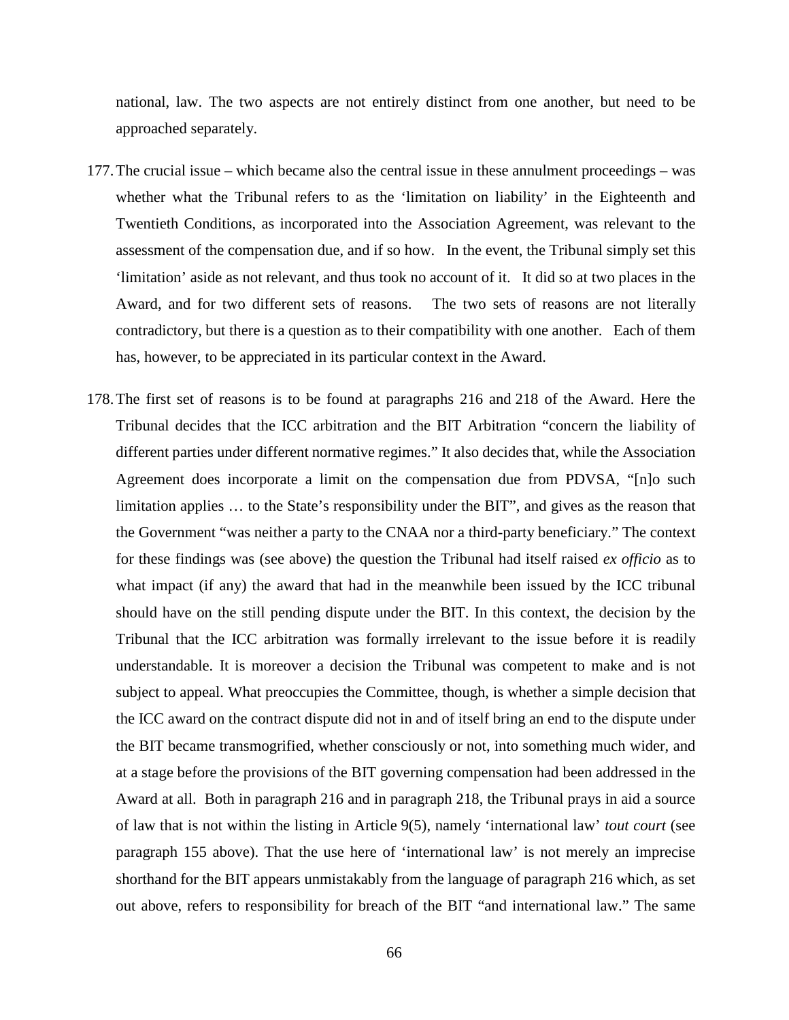national, law. The two aspects are not entirely distinct from one another, but need to be approached separately.

- 177.The crucial issue which became also the central issue in these annulment proceedings was whether what the Tribunal refers to as the 'limitation on liability' in the Eighteenth and Twentieth Conditions, as incorporated into the Association Agreement, was relevant to the assessment of the compensation due, and if so how. In the event, the Tribunal simply set this 'limitation' aside as not relevant, and thus took no account of it. It did so at two places in the Award, and for two different sets of reasons. The two sets of reasons are not literally contradictory, but there is a question as to their compatibility with one another. Each of them has, however, to be appreciated in its particular context in the Award.
- 178.The first set of reasons is to be found at paragraphs 216 and 218 of the Award. Here the Tribunal decides that the ICC arbitration and the BIT Arbitration "concern the liability of different parties under different normative regimes." It also decides that, while the Association Agreement does incorporate a limit on the compensation due from PDVSA, "[n]o such limitation applies … to the State's responsibility under the BIT", and gives as the reason that the Government "was neither a party to the CNAA nor a third-party beneficiary." The context for these findings was (see above) the question the Tribunal had itself raised *ex officio* as to what impact (if any) the award that had in the meanwhile been issued by the ICC tribunal should have on the still pending dispute under the BIT. In this context, the decision by the Tribunal that the ICC arbitration was formally irrelevant to the issue before it is readily understandable. It is moreover a decision the Tribunal was competent to make and is not subject to appeal. What preoccupies the Committee, though, is whether a simple decision that the ICC award on the contract dispute did not in and of itself bring an end to the dispute under the BIT became transmogrified, whether consciously or not, into something much wider, and at a stage before the provisions of the BIT governing compensation had been addressed in the Award at all. Both in paragraph 216 and in paragraph 218, the Tribunal prays in aid a source of law that is not within the listing in Article 9(5), namely 'international law' *tout court* (see paragraph 155 above). That the use here of 'international law' is not merely an imprecise shorthand for the BIT appears unmistakably from the language of paragraph 216 which, as set out above, refers to responsibility for breach of the BIT "and international law." The same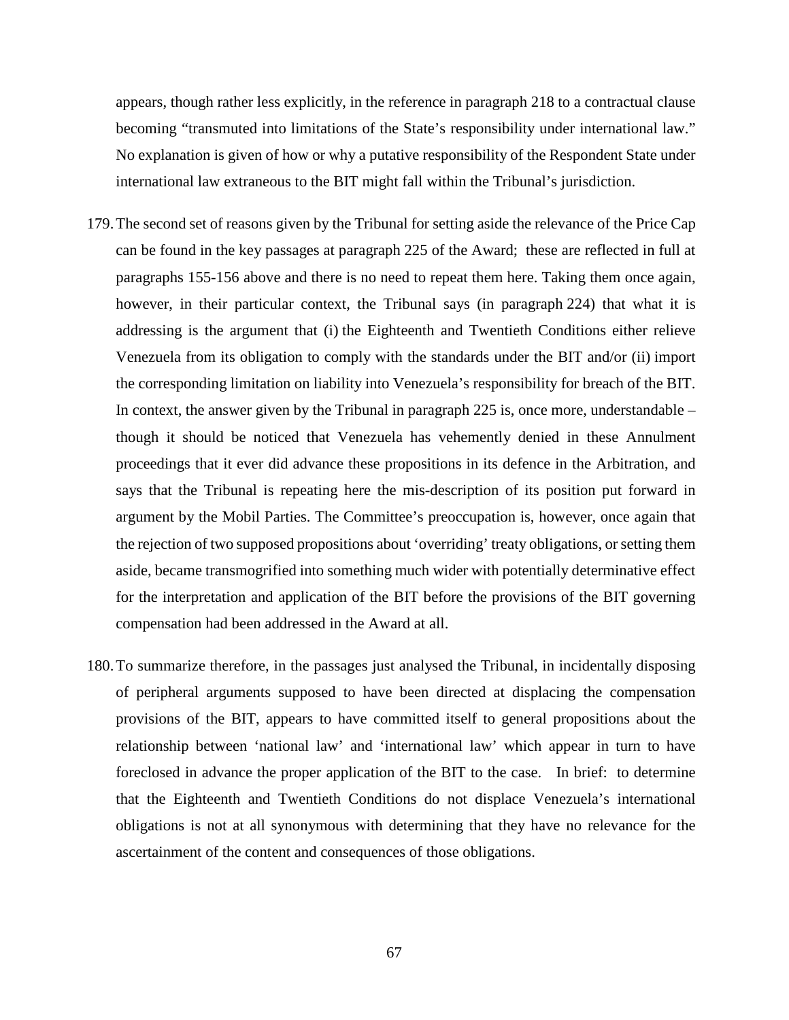appears, though rather less explicitly, in the reference in paragraph 218 to a contractual clause becoming "transmuted into limitations of the State's responsibility under international law." No explanation is given of how or why a putative responsibility of the Respondent State under international law extraneous to the BIT might fall within the Tribunal's jurisdiction.

- 179.The second set of reasons given by the Tribunal for setting aside the relevance of the Price Cap can be found in the key passages at paragraph 225 of the Award; these are reflected in full at paragraphs 155-156 above and there is no need to repeat them here. Taking them once again, however, in their particular context, the Tribunal says (in paragraph 224) that what it is addressing is the argument that (i) the Eighteenth and Twentieth Conditions either relieve Venezuela from its obligation to comply with the standards under the BIT and/or (ii) import the corresponding limitation on liability into Venezuela's responsibility for breach of the BIT. In context, the answer given by the Tribunal in paragraph 225 is, once more, understandable  $$ though it should be noticed that Venezuela has vehemently denied in these Annulment proceedings that it ever did advance these propositions in its defence in the Arbitration, and says that the Tribunal is repeating here the mis-description of its position put forward in argument by the Mobil Parties. The Committee's preoccupation is, however, once again that the rejection of two supposed propositions about 'overriding' treaty obligations, or setting them aside, became transmogrified into something much wider with potentially determinative effect for the interpretation and application of the BIT before the provisions of the BIT governing compensation had been addressed in the Award at all.
- 180.To summarize therefore, in the passages just analysed the Tribunal, in incidentally disposing of peripheral arguments supposed to have been directed at displacing the compensation provisions of the BIT, appears to have committed itself to general propositions about the relationship between 'national law' and 'international law' which appear in turn to have foreclosed in advance the proper application of the BIT to the case. In brief: to determine that the Eighteenth and Twentieth Conditions do not displace Venezuela's international obligations is not at all synonymous with determining that they have no relevance for the ascertainment of the content and consequences of those obligations.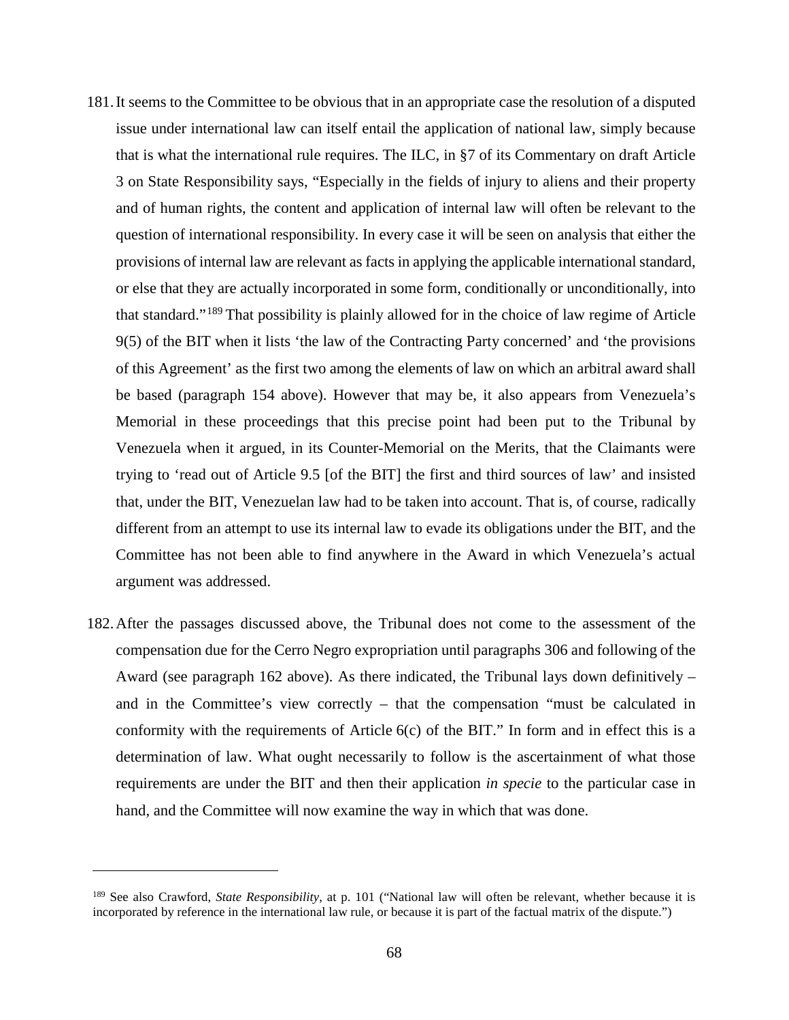- 181.It seems to the Committee to be obvious that in an appropriate case the resolution of a disputed issue under international law can itself entail the application of national law, simply because that is what the international rule requires. The ILC, in §7 of its Commentary on draft Article 3 on State Responsibility says, "Especially in the fields of injury to aliens and their property and of human rights, the content and application of internal law will often be relevant to the question of international responsibility. In every case it will be seen on analysis that either the provisions of internal law are relevant as facts in applying the applicable international standard, or else that they are actually incorporated in some form, conditionally or unconditionally, into that standard."[189](#page-71-0) That possibility is plainly allowed for in the choice of law regime of Article 9(5) of the BIT when it lists 'the law of the Contracting Party concerned' and 'the provisions of this Agreement' as the first two among the elements of law on which an arbitral award shall be based (paragraph 154 above). However that may be, it also appears from Venezuela's Memorial in these proceedings that this precise point had been put to the Tribunal by Venezuela when it argued, in its Counter-Memorial on the Merits, that the Claimants were trying to 'read out of Article 9.5 [of the BIT] the first and third sources of law' and insisted that, under the BIT, Venezuelan law had to be taken into account. That is, of course, radically different from an attempt to use its internal law to evade its obligations under the BIT, and the Committee has not been able to find anywhere in the Award in which Venezuela's actual argument was addressed.
- 182.After the passages discussed above, the Tribunal does not come to the assessment of the compensation due for the Cerro Negro expropriation until paragraphs 306 and following of the Award (see paragraph 162 above). As there indicated, the Tribunal lays down definitively – and in the Committee's view correctly – that the compensation "must be calculated in conformity with the requirements of Article  $6(c)$  of the BIT." In form and in effect this is a determination of law. What ought necessarily to follow is the ascertainment of what those requirements are under the BIT and then their application *in specie* to the particular case in hand, and the Committee will now examine the way in which that was done.

<span id="page-71-0"></span><sup>189</sup> See also Crawford, *State Responsibility*, at p. 101 ("National law will often be relevant, whether because it is incorporated by reference in the international law rule, or because it is part of the factual matrix of the dispute.")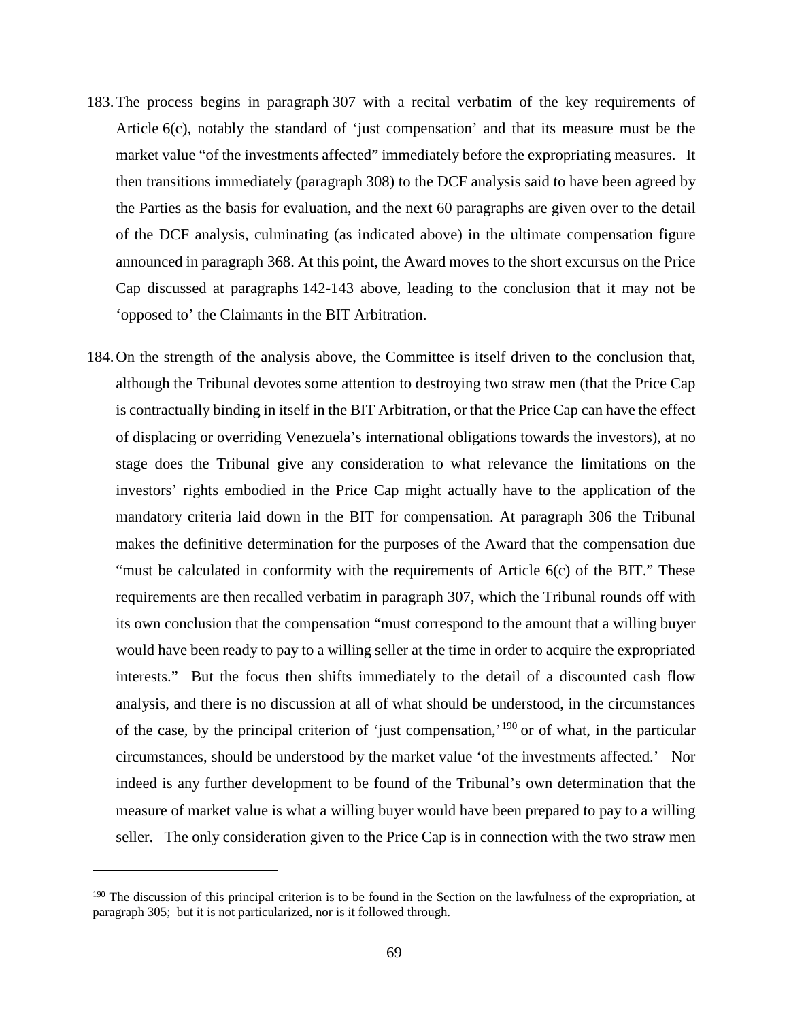- 183.The process begins in paragraph 307 with a recital verbatim of the key requirements of Article 6(c), notably the standard of 'just compensation' and that its measure must be the market value "of the investments affected" immediately before the expropriating measures. It then transitions immediately (paragraph 308) to the DCF analysis said to have been agreed by the Parties as the basis for evaluation, and the next 60 paragraphs are given over to the detail of the DCF analysis, culminating (as indicated above) in the ultimate compensation figure announced in paragraph 368. At this point, the Award moves to the short excursus on the Price Cap discussed at paragraphs 142-143 above, leading to the conclusion that it may not be 'opposed to' the Claimants in the BIT Arbitration.
- 184.On the strength of the analysis above, the Committee is itself driven to the conclusion that, although the Tribunal devotes some attention to destroying two straw men (that the Price Cap is contractually binding in itself in the BIT Arbitration, or that the Price Cap can have the effect of displacing or overriding Venezuela's international obligations towards the investors), at no stage does the Tribunal give any consideration to what relevance the limitations on the investors' rights embodied in the Price Cap might actually have to the application of the mandatory criteria laid down in the BIT for compensation. At paragraph 306 the Tribunal makes the definitive determination for the purposes of the Award that the compensation due "must be calculated in conformity with the requirements of Article 6(c) of the BIT." These requirements are then recalled verbatim in paragraph 307, which the Tribunal rounds off with its own conclusion that the compensation "must correspond to the amount that a willing buyer would have been ready to pay to a willing seller at the time in order to acquire the expropriated interests." But the focus then shifts immediately to the detail of a discounted cash flow analysis, and there is no discussion at all of what should be understood, in the circumstances of the case, by the principal criterion of 'just compensation,'<sup>[190](#page-72-0)</sup> or of what, in the particular circumstances, should be understood by the market value 'of the investments affected.' Nor indeed is any further development to be found of the Tribunal's own determination that the measure of market value is what a willing buyer would have been prepared to pay to a willing seller. The only consideration given to the Price Cap is in connection with the two straw men

 $\overline{a}$ 

<span id="page-72-0"></span><sup>&</sup>lt;sup>190</sup> The discussion of this principal criterion is to be found in the Section on the lawfulness of the expropriation, at paragraph 305; but it is not particularized, nor is it followed through.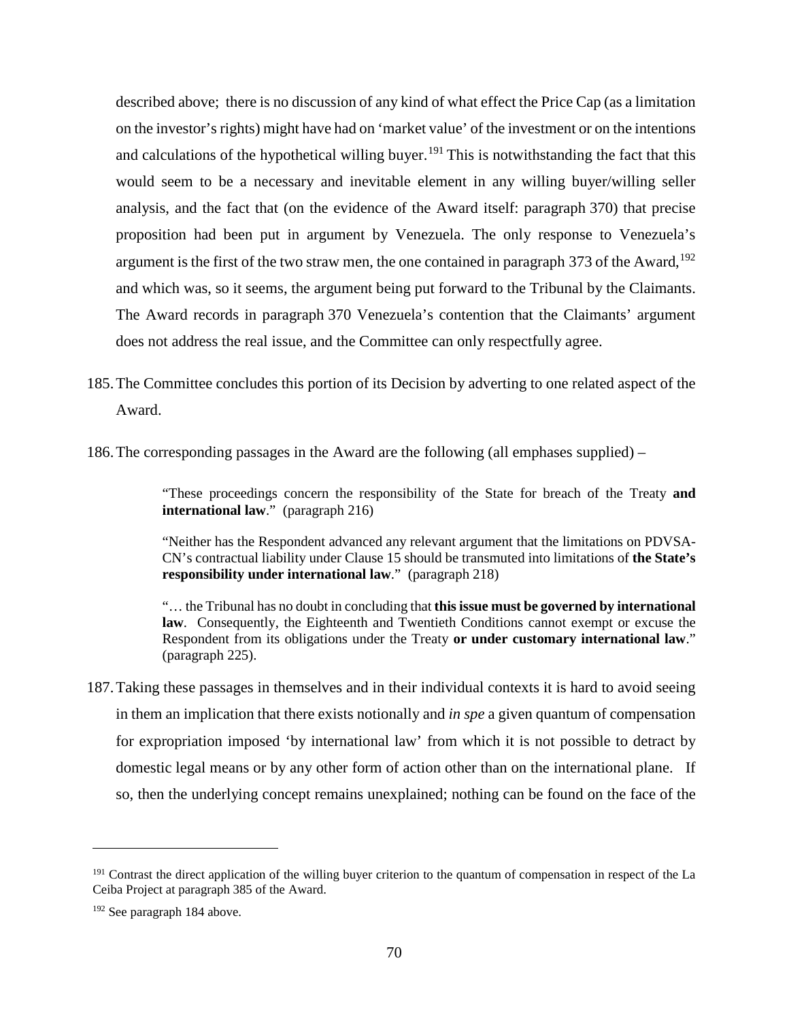described above; there is no discussion of any kind of what effect the Price Cap (as a limitation on the investor's rights) might have had on 'market value' of the investment or on the intentions and calculations of the hypothetical willing buyer.<sup>[191](#page-73-0)</sup> This is notwithstanding the fact that this would seem to be a necessary and inevitable element in any willing buyer/willing seller analysis, and the fact that (on the evidence of the Award itself: paragraph 370) that precise proposition had been put in argument by Venezuela. The only response to Venezuela's argument is the first of the two straw men, the one contained in paragraph 373 of the Award,  $192$ and which was, so it seems, the argument being put forward to the Tribunal by the Claimants. The Award records in paragraph 370 Venezuela's contention that the Claimants' argument does not address the real issue, and the Committee can only respectfully agree.

185.The Committee concludes this portion of its Decision by adverting to one related aspect of the Award.

186.The corresponding passages in the Award are the following (all emphases supplied) –

"These proceedings concern the responsibility of the State for breach of the Treaty **and international law**." (paragraph 216)

"Neither has the Respondent advanced any relevant argument that the limitations on PDVSA-CN's contractual liability under Clause 15 should be transmuted into limitations of **the State's responsibility under international law**." (paragraph 218)

"… the Tribunal has no doubt in concluding that **this issue must be governed by international law**. Consequently, the Eighteenth and Twentieth Conditions cannot exempt or excuse the Respondent from its obligations under the Treaty **or under customary international law**." (paragraph 225).

187.Taking these passages in themselves and in their individual contexts it is hard to avoid seeing in them an implication that there exists notionally and *in spe* a given quantum of compensation for expropriation imposed 'by international law' from which it is not possible to detract by domestic legal means or by any other form of action other than on the international plane. If so, then the underlying concept remains unexplained; nothing can be found on the face of the

 $\overline{a}$ 

<span id="page-73-0"></span><sup>&</sup>lt;sup>191</sup> Contrast the direct application of the willing buyer criterion to the quantum of compensation in respect of the La Ceiba Project at paragraph 385 of the Award.

<span id="page-73-1"></span><sup>192</sup> See paragraph 184 above.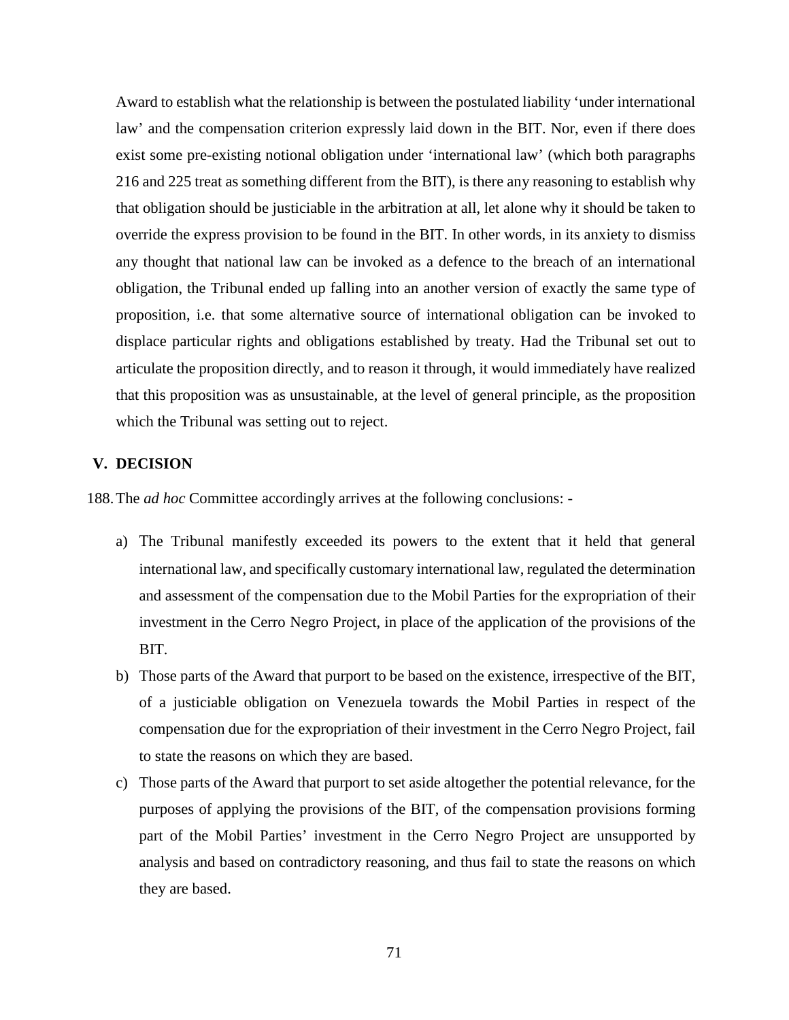Award to establish what the relationship is between the postulated liability 'under international law' and the compensation criterion expressly laid down in the BIT. Nor, even if there does exist some pre-existing notional obligation under 'international law' (which both paragraphs 216 and 225 treat as something different from the BIT), is there any reasoning to establish why that obligation should be justiciable in the arbitration at all, let alone why it should be taken to override the express provision to be found in the BIT. In other words, in its anxiety to dismiss any thought that national law can be invoked as a defence to the breach of an international obligation, the Tribunal ended up falling into an another version of exactly the same type of proposition, i.e. that some alternative source of international obligation can be invoked to displace particular rights and obligations established by treaty. Had the Tribunal set out to articulate the proposition directly, and to reason it through, it would immediately have realized that this proposition was as unsustainable, at the level of general principle, as the proposition which the Tribunal was setting out to reject.

## **V. DECISION**

188.The *ad hoc* Committee accordingly arrives at the following conclusions: -

- a) The Tribunal manifestly exceeded its powers to the extent that it held that general international law, and specifically customary international law, regulated the determination and assessment of the compensation due to the Mobil Parties for the expropriation of their investment in the Cerro Negro Project, in place of the application of the provisions of the BIT.
- b) Those parts of the Award that purport to be based on the existence, irrespective of the BIT, of a justiciable obligation on Venezuela towards the Mobil Parties in respect of the compensation due for the expropriation of their investment in the Cerro Negro Project, fail to state the reasons on which they are based.
- c) Those parts of the Award that purport to set aside altogether the potential relevance, for the purposes of applying the provisions of the BIT, of the compensation provisions forming part of the Mobil Parties' investment in the Cerro Negro Project are unsupported by analysis and based on contradictory reasoning, and thus fail to state the reasons on which they are based.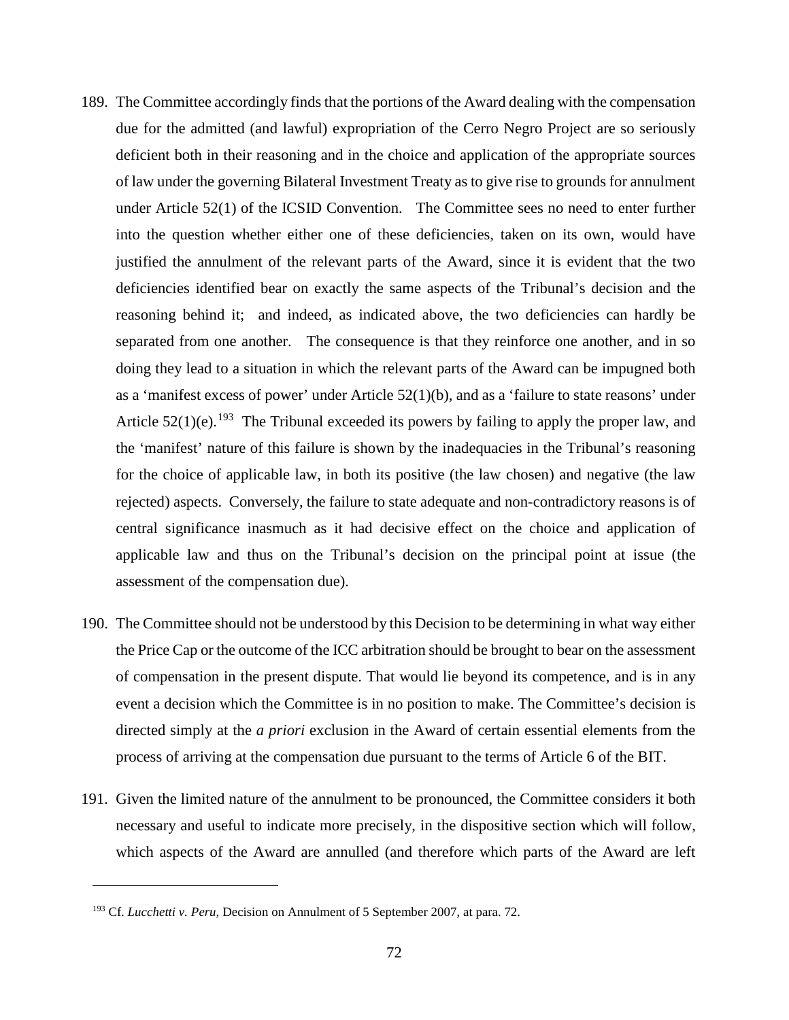- 189. The Committee accordingly finds that the portions of the Award dealing with the compensation due for the admitted (and lawful) expropriation of the Cerro Negro Project are so seriously deficient both in their reasoning and in the choice and application of the appropriate sources of law under the governing Bilateral Investment Treaty as to give rise to grounds for annulment under Article 52(1) of the ICSID Convention. The Committee sees no need to enter further into the question whether either one of these deficiencies, taken on its own, would have justified the annulment of the relevant parts of the Award, since it is evident that the two deficiencies identified bear on exactly the same aspects of the Tribunal's decision and the reasoning behind it; and indeed, as indicated above, the two deficiencies can hardly be separated from one another. The consequence is that they reinforce one another, and in so doing they lead to a situation in which the relevant parts of the Award can be impugned both as a 'manifest excess of power' under Article  $52(1)(b)$ , and as a 'failure to state reasons' under Article  $52(1)(e)$ .<sup>[193](#page-75-0)</sup> The Tribunal exceeded its powers by failing to apply the proper law, and the 'manifest' nature of this failure is shown by the inadequacies in the Tribunal's reasoning for the choice of applicable law, in both its positive (the law chosen) and negative (the law rejected) aspects. Conversely, the failure to state adequate and non-contradictory reasons is of central significance inasmuch as it had decisive effect on the choice and application of applicable law and thus on the Tribunal's decision on the principal point at issue (the assessment of the compensation due).
- 190. The Committee should not be understood by this Decision to be determining in what way either the Price Cap or the outcome of the ICC arbitration should be brought to bear on the assessment of compensation in the present dispute. That would lie beyond its competence, and is in any event a decision which the Committee is in no position to make. The Committee's decision is directed simply at the *a priori* exclusion in the Award of certain essential elements from the process of arriving at the compensation due pursuant to the terms of Article 6 of the BIT.
- 191. Given the limited nature of the annulment to be pronounced, the Committee considers it both necessary and useful to indicate more precisely, in the dispositive section which will follow, which aspects of the Award are annulled (and therefore which parts of the Award are left

 $\overline{a}$ 

<span id="page-75-0"></span><sup>193</sup> Cf. *Lucchetti v. Peru*, Decision on Annulment of 5 September 2007, at para. 72.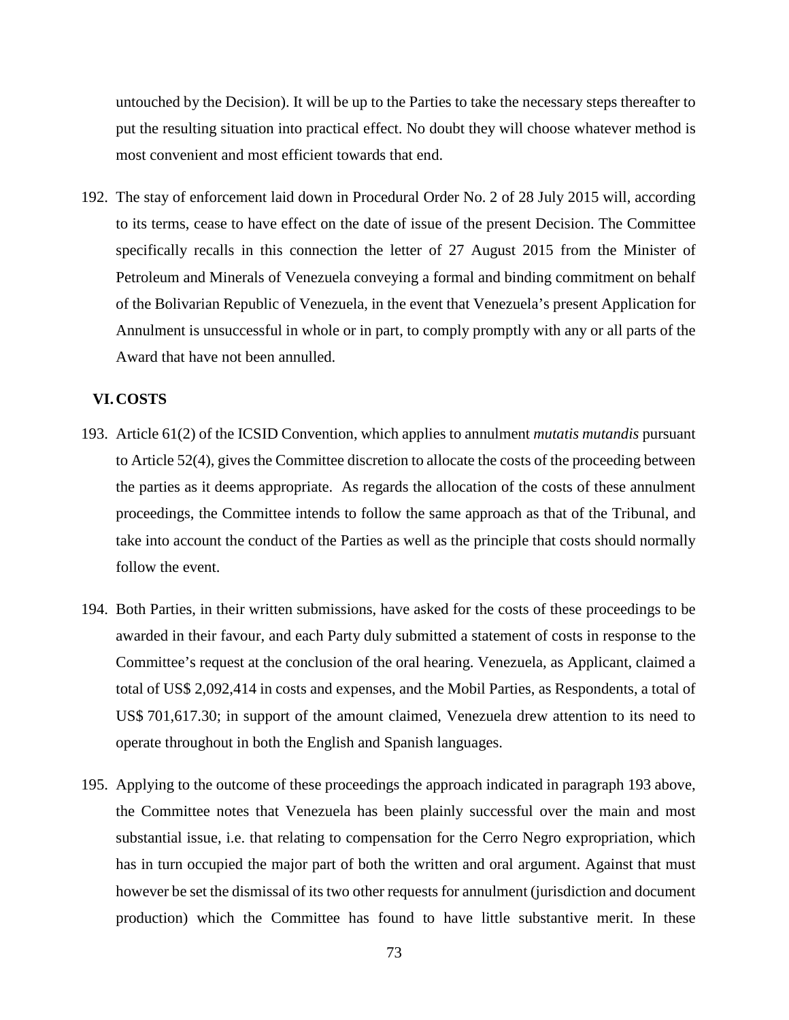untouched by the Decision). It will be up to the Parties to take the necessary steps thereafter to put the resulting situation into practical effect. No doubt they will choose whatever method is most convenient and most efficient towards that end.

192. The stay of enforcement laid down in Procedural Order No. 2 of 28 July 2015 will, according to its terms, cease to have effect on the date of issue of the present Decision. The Committee specifically recalls in this connection the letter of 27 August 2015 from the Minister of Petroleum and Minerals of Venezuela conveying a formal and binding commitment on behalf of the Bolivarian Republic of Venezuela, in the event that Venezuela's present Application for Annulment is unsuccessful in whole or in part, to comply promptly with any or all parts of the Award that have not been annulled.

## **VI.COSTS**

- 193. Article 61(2) of the ICSID Convention, which applies to annulment *mutatis mutandis* pursuant to Article 52(4), gives the Committee discretion to allocate the costs of the proceeding between the parties as it deems appropriate. As regards the allocation of the costs of these annulment proceedings, the Committee intends to follow the same approach as that of the Tribunal, and take into account the conduct of the Parties as well as the principle that costs should normally follow the event.
- 194. Both Parties, in their written submissions, have asked for the costs of these proceedings to be awarded in their favour, and each Party duly submitted a statement of costs in response to the Committee's request at the conclusion of the oral hearing. Venezuela, as Applicant, claimed a total of US\$ 2,092,414 in costs and expenses, and the Mobil Parties, as Respondents, a total of US\$ 701,617.30; in support of the amount claimed, Venezuela drew attention to its need to operate throughout in both the English and Spanish languages.
- 195. Applying to the outcome of these proceedings the approach indicated in paragraph 193 above, the Committee notes that Venezuela has been plainly successful over the main and most substantial issue, i.e. that relating to compensation for the Cerro Negro expropriation, which has in turn occupied the major part of both the written and oral argument. Against that must however be set the dismissal of its two other requests for annulment (jurisdiction and document production) which the Committee has found to have little substantive merit. In these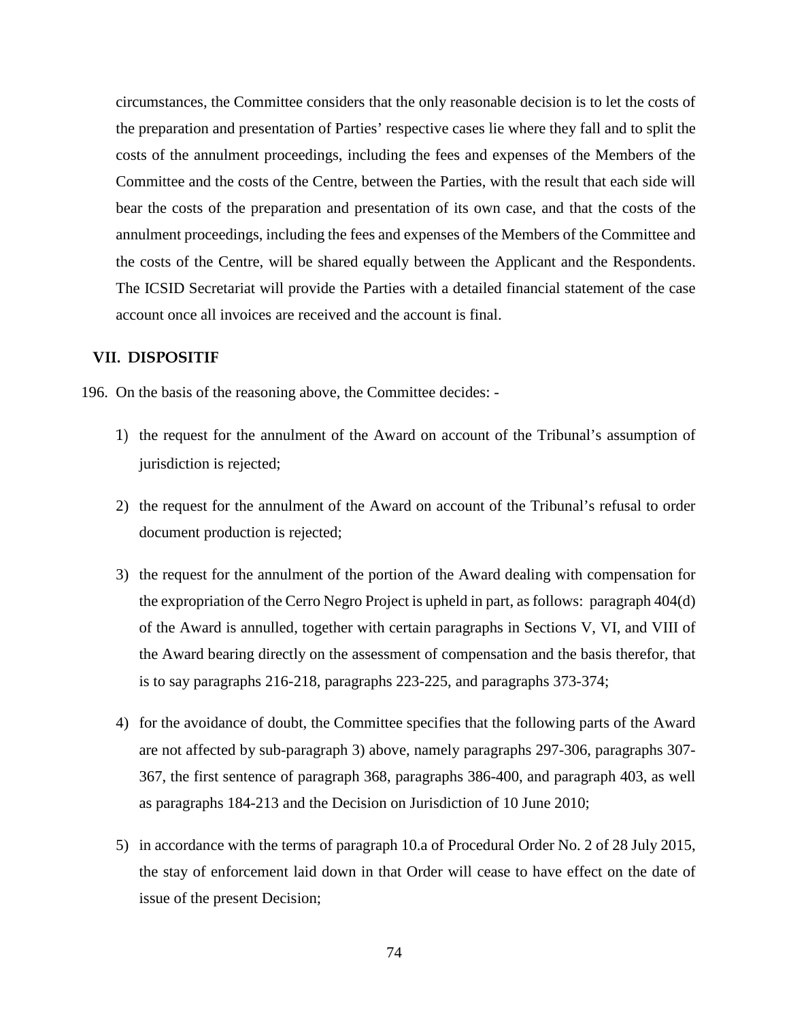circumstances, the Committee considers that the only reasonable decision is to let the costs of the preparation and presentation of Parties' respective cases lie where they fall and to split the costs of the annulment proceedings, including the fees and expenses of the Members of the Committee and the costs of the Centre, between the Parties, with the result that each side will bear the costs of the preparation and presentation of its own case, and that the costs of the annulment proceedings, including the fees and expenses of the Members of the Committee and the costs of the Centre, will be shared equally between the Applicant and the Respondents. The ICSID Secretariat will provide the Parties with a detailed financial statement of the case account once all invoices are received and the account is final.

## **VII. DISPOSITIF**

- 196. On the basis of the reasoning above, the Committee decides:
	- 1) the request for the annulment of the Award on account of the Tribunal's assumption of jurisdiction is rejected;
	- 2) the request for the annulment of the Award on account of the Tribunal's refusal to order document production is rejected;
	- 3) the request for the annulment of the portion of the Award dealing with compensation for the expropriation of the Cerro Negro Project is upheld in part, as follows: paragraph 404(d) of the Award is annulled, together with certain paragraphs in Sections V, VI, and VIII of the Award bearing directly on the assessment of compensation and the basis therefor, that is to say paragraphs 216-218, paragraphs 223-225, and paragraphs 373-374;
	- 4) for the avoidance of doubt, the Committee specifies that the following parts of the Award are not affected by sub-paragraph 3) above, namely paragraphs 297-306, paragraphs 307- 367, the first sentence of paragraph 368, paragraphs 386-400, and paragraph 403, as well as paragraphs 184-213 and the Decision on Jurisdiction of 10 June 2010;
	- 5) in accordance with the terms of paragraph 10.a of Procedural Order No. 2 of 28 July 2015, the stay of enforcement laid down in that Order will cease to have effect on the date of issue of the present Decision;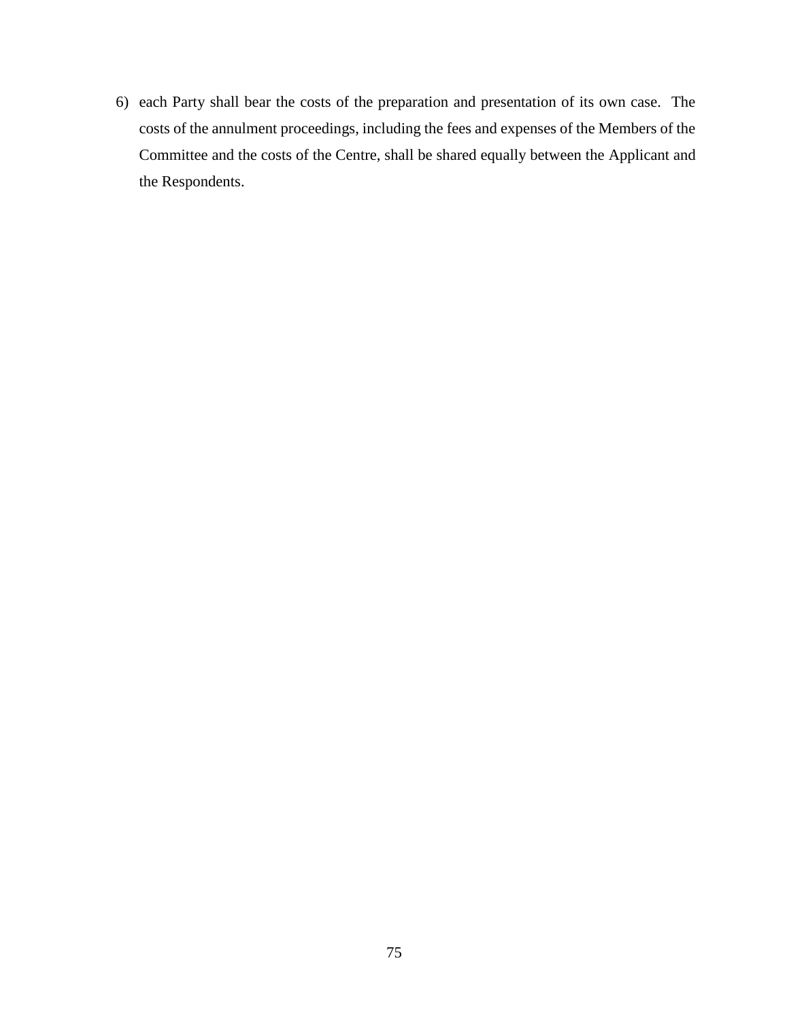6) each Party shall bear the costs of the preparation and presentation of its own case. The costs of the annulment proceedings, including the fees and expenses of the Members of the Committee and the costs of the Centre, shall be shared equally between the Applicant and the Respondents.